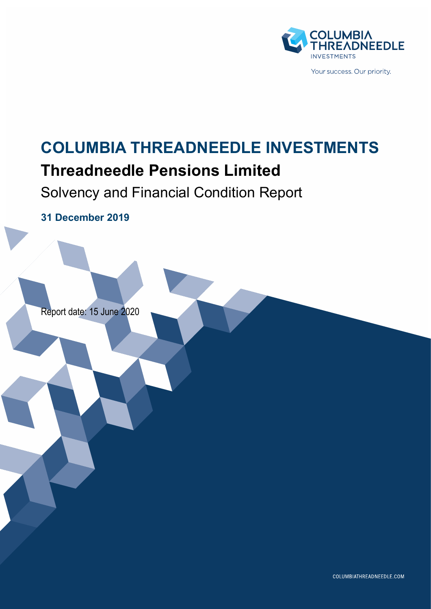

**COLUMBIA THREADNEEDLE INVESTMENTS Threadneedle Pensions Limited**

Solvency and Financial Condition Report

**31 December 2019**

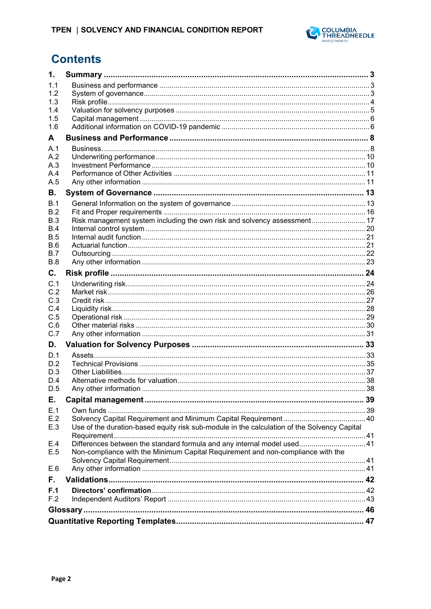

# **Contents**

| 1.         |                                                                                             |  |
|------------|---------------------------------------------------------------------------------------------|--|
| 1.1        |                                                                                             |  |
| 1.2        |                                                                                             |  |
| 1.3        |                                                                                             |  |
| 1.4        |                                                                                             |  |
| 1.5        |                                                                                             |  |
| 1.6        |                                                                                             |  |
| A          |                                                                                             |  |
| A.1        |                                                                                             |  |
| A.2        |                                                                                             |  |
| A.3        |                                                                                             |  |
| A.4<br>A.5 |                                                                                             |  |
|            |                                                                                             |  |
| В.         |                                                                                             |  |
| B.1        |                                                                                             |  |
| B.2        | Risk management system including the own risk and solvency assessment 17                    |  |
| B.3<br>B.4 |                                                                                             |  |
| B.5        |                                                                                             |  |
| B.6        |                                                                                             |  |
| <b>B.7</b> |                                                                                             |  |
| <b>B.8</b> |                                                                                             |  |
| C.         |                                                                                             |  |
| C.1        |                                                                                             |  |
| C.2        |                                                                                             |  |
| C.3        |                                                                                             |  |
| C.4        |                                                                                             |  |
| C.5        |                                                                                             |  |
| C.6        |                                                                                             |  |
| C.7        |                                                                                             |  |
| D.         |                                                                                             |  |
| D.1        |                                                                                             |  |
| D.2        |                                                                                             |  |
| D.3        |                                                                                             |  |
| D.4<br>D.5 |                                                                                             |  |
|            |                                                                                             |  |
| Е.         |                                                                                             |  |
| E.1        |                                                                                             |  |
| E.2        |                                                                                             |  |
| E.3        | Use of the duration-based equity risk sub-module in the calculation of the Solvency Capital |  |
| E.4        | Differences between the standard formula and any internal model used 41                     |  |
| E.5        | Non-compliance with the Minimum Capital Requirement and non-compliance with the             |  |
|            |                                                                                             |  |
| E.6        |                                                                                             |  |
| F.         |                                                                                             |  |
| F.1        |                                                                                             |  |
| F.2        |                                                                                             |  |
|            |                                                                                             |  |
|            |                                                                                             |  |
|            |                                                                                             |  |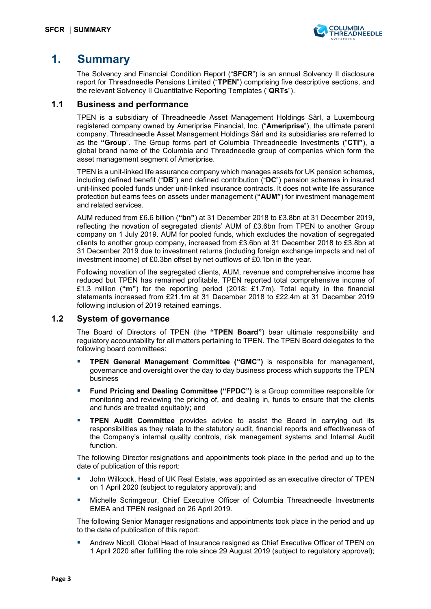

# <span id="page-2-0"></span>**1. Summary**

The Solvency and Financial Condition Report ("**SFCR**") is an annual Solvency II disclosure report for Threadneedle Pensions Limited ("**TPEN**") comprising five descriptive sections, and the relevant Solvency II Quantitative Reporting Templates ("**QRTs**").

# <span id="page-2-1"></span>**1.1 Business and performance**

TPEN is a subsidiary of Threadneedle Asset Management Holdings Sàrl, a Luxembourg registered company owned by Ameriprise Financial, Inc. ("**Ameriprise**"), the ultimate parent company. Threadneedle Asset Management Holdings Sàrl and its subsidiaries are referred to as the **"Group**". The Group forms part of Columbia Threadneedle Investments ("**CTI"**), a global brand name of the Columbia and Threadneedle group of companies which form the asset management segment of Ameriprise.

TPEN is a unit-linked life assurance company which manages assets for UK pension schemes, including defined benefit ("**DB**") and defined contribution ("**DC**") pension schemes in insured unit-linked pooled funds under unit-linked insurance contracts. It does not write life assurance protection but earns fees on assets under management (**"AUM"**) for investment management and related services.

AUM reduced from £6.6 billion (**"bn"**) at 31 December 2018 to £3.8bn at 31 December 2019, reflecting the novation of segregated clients' AUM of £3.6bn from TPEN to another Group company on 1 July 2019. AUM for pooled funds, which excludes the novation of segregated clients to another group company, increased from £3.6bn at 31 December 2018 to £3.8bn at 31 December 2019 due to investment returns (including foreign exchange impacts and net of investment income) of £0.3bn offset by net outflows of £0.1bn in the year.

Following novation of the segregated clients, AUM, revenue and comprehensive income has reduced but TPEN has remained profitable. TPEN reported total comprehensive income of £1.3 million (**"m"**) for the reporting period (2018: £1.7m). Total equity in the financial statements increased from £21.1m at 31 December 2018 to £22.4m at 31 December 2019 following inclusion of 2019 retained earnings.

# <span id="page-2-2"></span>**1.2 System of governance**

The Board of Directors of TPEN (the **"TPEN Board"**) bear ultimate responsibility and regulatory accountability for all matters pertaining to TPEN. The TPEN Board delegates to the following board committees:

- **TPEN General Management Committee ("GMC")** is responsible for management, governance and oversight over the day to day business process which supports the TPEN business
- **Fund Pricing and Dealing Committee ("FPDC")** is a Group committee responsible for monitoring and reviewing the pricing of, and dealing in, funds to ensure that the clients and funds are treated equitably; and
- **TPEN Audit Committee** provides advice to assist the Board in carrying out its responsibilities as they relate to the statutory audit, financial reports and effectiveness of the Company's internal quality controls, risk management systems and Internal Audit function.

The following Director resignations and appointments took place in the period and up to the date of publication of this report:

- John Willcock, Head of UK Real Estate, was appointed as an executive director of TPEN on 1 April 2020 (subject to regulatory approval); and
- Michelle Scrimgeour, Chief Executive Officer of Columbia Threadneedle Investments EMEA and TPEN resigned on 26 April 2019.

The following Senior Manager resignations and appointments took place in the period and up to the date of publication of this report:

 Andrew Nicoll, Global Head of Insurance resigned as Chief Executive Officer of TPEN on 1 April 2020 after fulfilling the role since 29 August 2019 (subject to regulatory approval);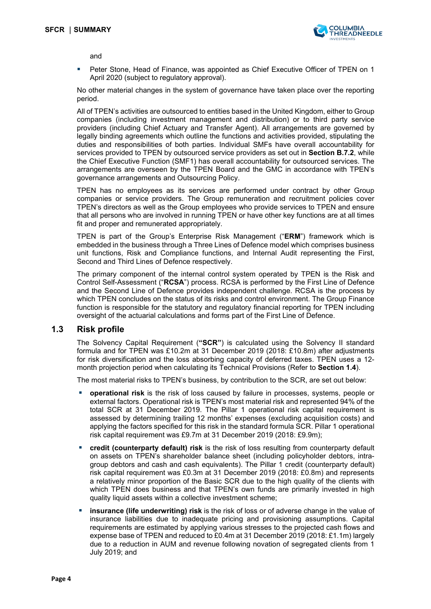

and

**Peter Stone, Head of Finance, was appointed as Chief Executive Officer of TPEN on 1** April 2020 (subject to regulatory approval).

No other material changes in the system of governance have taken place over the reporting period.

All of TPEN's activities are outsourced to entities based in the United Kingdom, either to Group companies (including investment management and distribution) or to third party service providers (including Chief Actuary and Transfer Agent). All arrangements are governed by legally binding agreements which outline the functions and activities provided, stipulating the duties and responsibilities of both parties. Individual SMFs have overall accountability for services provided to TPEN by outsourced service providers as set out in **Section B.7.2**, while the Chief Executive Function (SMF1) has overall accountability for outsourced services. The arrangements are overseen by the TPEN Board and the GMC in accordance with TPEN's governance arrangements and Outsourcing Policy.

TPEN has no employees as its services are performed under contract by other Group companies or service providers. The Group remuneration and recruitment policies cover TPEN's directors as well as the Group employees who provide services to TPEN and ensure that all persons who are involved in running TPEN or have other key functions are at all times fit and proper and remunerated appropriately.

TPEN is part of the Group's Enterprise Risk Management ("**ERM**") framework which is embedded in the business through a Three Lines of Defence model which comprises business unit functions, Risk and Compliance functions, and Internal Audit representing the First, Second and Third Lines of Defence respectively.

The primary component of the internal control system operated by TPEN is the Risk and Control Self-Assessment ("**RCSA**") process. RCSA is performed by the First Line of Defence and the Second Line of Defence provides independent challenge. RCSA is the process by which TPEN concludes on the status of its risks and control environment. The Group Finance function is responsible for the statutory and regulatory financial reporting for TPEN including oversight of the actuarial calculations and forms part of the First Line of Defence.

## <span id="page-3-0"></span>**1.3 Risk profile**

The Solvency Capital Requirement (**"SCR"**) is calculated using the Solvency II standard formula and for TPEN was £10.2m at 31 December 2019 (2018: £10.8m) after adjustments for risk diversification and the loss absorbing capacity of deferred taxes. TPEN uses a 12 month projection period when calculating its Technical Provisions (Refer to **Section 1.4**).

The most material risks to TPEN's business, by contribution to the SCR, are set out below:

- **operational risk** is the risk of loss caused by failure in processes, systems, people or external factors. Operational risk is TPEN's most material risk and represented 94% of the total SCR at 31 December 2019. The Pillar 1 operational risk capital requirement is assessed by determining trailing 12 months' expenses (excluding acquisition costs) and applying the factors specified for this risk in the standard formula SCR. Pillar 1 operational risk capital requirement was £9.7m at 31 December 2019 (2018: £9.9m);
- **credit (counterparty default) risk** is the risk of loss resulting from counterparty default on assets on TPEN's shareholder balance sheet (including policyholder debtors, intragroup debtors and cash and cash equivalents). The Pillar 1 credit (counterparty default) risk capital requirement was £0.3m at 31 December 2019 (2018: £0.8m) and represents a relatively minor proportion of the Basic SCR due to the high quality of the clients with which TPEN does business and that TPEN's own funds are primarily invested in high quality liquid assets within a collective investment scheme;
- **insurance (life underwriting) risk** is the risk of loss or of adverse change in the value of insurance liabilities due to inadequate pricing and provisioning assumptions. Capital requirements are estimated by applying various stresses to the projected cash flows and expense base of TPEN and reduced to £0.4m at 31 December 2019 (2018: £1.1m) largely due to a reduction in AUM and revenue following novation of segregated clients from 1 July 2019; and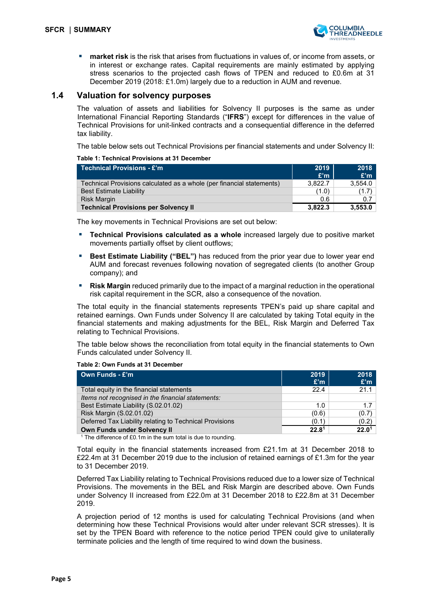

 **market risk** is the risk that arises from fluctuations in values of, or income from assets, or in interest or exchange rates. Capital requirements are mainly estimated by applying stress scenarios to the projected cash flows of TPEN and reduced to £0.6m at 31 December 2019 (2018: £1.0m) largely due to a reduction in AUM and revenue.

## <span id="page-4-0"></span>**1.4 Valuation for solvency purposes**

The valuation of assets and liabilities for Solvency II purposes is the same as under International Financial Reporting Standards ("**IFRS**") except for differences in the value of Technical Provisions for unit-linked contracts and a consequential difference in the deferred tax liability.

The table below sets out Technical Provisions per financial statements and under Solvency II:

#### **Table 1: Technical Provisions at 31 December**

| <b>Technical Provisions - £'m</b>                                     | 2019<br>E'm | 2018<br>E'm |
|-----------------------------------------------------------------------|-------------|-------------|
| Technical Provisions calculated as a whole (per financial statements) | 3.822.7     | 3,554.0     |
| <b>Best Estimate Liability</b>                                        | (1.0)       | (1.7)       |
| <b>Risk Margin</b>                                                    | 0.6         | 0.7         |
| <b>Technical Provisions per Solvency II</b>                           | 3.822.3     | 3,553.0     |

The key movements in Technical Provisions are set out below:

- **Technical Provisions calculated as a whole** increased largely due to positive market movements partially offset by client outflows;
- **Best Estimate Liability ("BEL")** has reduced from the prior year due to lower year end AUM and forecast revenues following novation of segregated clients (to another Group company); and
- **Risk Margin** reduced primarily due to the impact of a marginal reduction in the operational risk capital requirement in the SCR, also a consequence of the novation.

The total equity in the financial statements represents TPEN's paid up share capital and retained earnings. Own Funds under Solvency II are calculated by taking Total equity in the financial statements and making adjustments for the BEL, Risk Margin and Deferred Tax relating to Technical Provisions.

The table below shows the reconciliation from total equity in the financial statements to Own Funds calculated under Solvency II.

#### **Table 2: Own Funds at 31 December**

| Own Funds - £'m                                         | 2019<br>E'm       | 2018<br>E'm       |
|---------------------------------------------------------|-------------------|-------------------|
| Total equity in the financial statements                | 22.4              | 21.1              |
| Items not recognised in the financial statements:       |                   |                   |
| Best Estimate Liability (S.02.01.02)                    | 1.0               | 1.7               |
| Risk Margin (S.02.01.02)                                | (0.6)             | (0.7)             |
| Deferred Tax Liability relating to Technical Provisions | (0.1)             | (0.2)             |
| Own Funds under Solvency II                             | 22.8 <sup>1</sup> | 22.0 <sup>1</sup> |

 $1$  The difference of £0.1m in the sum total is due to rounding.

Total equity in the financial statements increased from £21.1m at 31 December 2018 to £22.4m at 31 December 2019 due to the inclusion of retained earnings of £1.3m for the year to 31 December 2019.

Deferred Tax Liability relating to Technical Provisions reduced due to a lower size of Technical Provisions. The movements in the BEL and Risk Margin are described above. Own Funds under Solvency II increased from £22.0m at 31 December 2018 to £22.8m at 31 December 2019.

A projection period of 12 months is used for calculating Technical Provisions (and when determining how these Technical Provisions would alter under relevant SCR stresses). It is set by the TPEN Board with reference to the notice period TPEN could give to unilaterally terminate policies and the length of time required to wind down the business.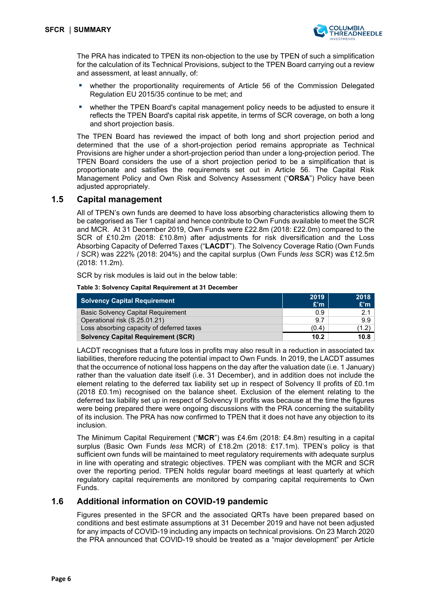

The PRA has indicated to TPEN its non-objection to the use by TPEN of such a simplification for the calculation of its Technical Provisions, subject to the TPEN Board carrying out a review and assessment, at least annually, of:

- whether the proportionality requirements of Article 56 of the Commission Delegated Regulation EU 2015/35 continue to be met; and
- whether the TPEN Board's capital management policy needs to be adjusted to ensure it reflects the TPEN Board's capital risk appetite, in terms of SCR coverage, on both a long and short projection basis.

The TPEN Board has reviewed the impact of both long and short projection period and determined that the use of a short-projection period remains appropriate as Technical Provisions are higher under a short-projection period than under a long-projection period. The TPEN Board considers the use of a short projection period to be a simplification that is proportionate and satisfies the requirements set out in Article 56. The Capital Risk Management Policy and Own Risk and Solvency Assessment ("**ORSA**") Policy have been adjusted appropriately.

## <span id="page-5-0"></span>**1.5 Capital management**

All of TPEN's own funds are deemed to have loss absorbing characteristics allowing them to be categorised as Tier 1 capital and hence contribute to Own Funds available to meet the SCR and MCR. At 31 December 2019, Own Funds were £22.8m (2018: £22.0m) compared to the SCR of £10.2m (2018: £10.8m) after adjustments for risk diversification and the Loss Absorbing Capacity of Deferred Taxes ("**LACDT**"). The Solvency Coverage Ratio (Own Funds / SCR) was 222% (2018: 204%) and the capital surplus (Own Funds *less* SCR) was £12.5m (2018: 11.2m).

SCR by risk modules is laid out in the below table:

**Table 3: Solvency Capital Requirement at 31 December**

| <b>Solvency Capital Requirement</b>       | 2019<br>E'm | 2018<br>E'm |
|-------------------------------------------|-------------|-------------|
| <b>Basic Solvency Capital Requirement</b> | 0.9         | 2.1         |
| Operational risk (S.25.01.21)             | 9.7         | 9.9         |
| Loss absorbing capacity of deferred taxes | (0.4)       | (1.2)       |
| <b>Solvency Capital Requirement (SCR)</b> | 10.2        | 10.8        |

LACDT recognises that a future loss in profits may also result in a reduction in associated tax liabilities, therefore reducing the potential impact to Own Funds. In 2019, the LACDT assumes that the occurrence of notional loss happens on the day after the valuation date (i.e. 1 January) rather than the valuation date itself (i.e. 31 December), and in addition does not include the element relating to the deferred tax liability set up in respect of Solvency II profits of £0.1m (2018 £0.1m) recognised on the balance sheet. Exclusion of the element relating to the deferred tax liability set up in respect of Solvency II profits was because at the time the figures were being prepared there were ongoing discussions with the PRA concerning the suitability of its inclusion. The PRA has now confirmed to TPEN that it does not have any objection to its inclusion.

The Minimum Capital Requirement ("**MCR**") was £4.6m (2018: £4.8m) resulting in a capital surplus (Basic Own Funds *less* MCR) of £18.2m (2018: £17.1m). TPEN's policy is that sufficient own funds will be maintained to meet regulatory requirements with adequate surplus in line with operating and strategic objectives. TPEN was compliant with the MCR and SCR over the reporting period. TPEN holds regular board meetings at least quarterly at which regulatory capital requirements are monitored by comparing capital requirements to Own Funds.

# <span id="page-5-1"></span>**1.6 Additional information on COVID-19 pandemic**

Figures presented in the SFCR and the associated QRTs have been prepared based on conditions and best estimate assumptions at 31 December 2019 and have not been adjusted for any impacts of COVID-19 including any impacts on technical provisions. On 23 March 2020 the PRA announced that COVID-19 should be treated as a "major development" per Article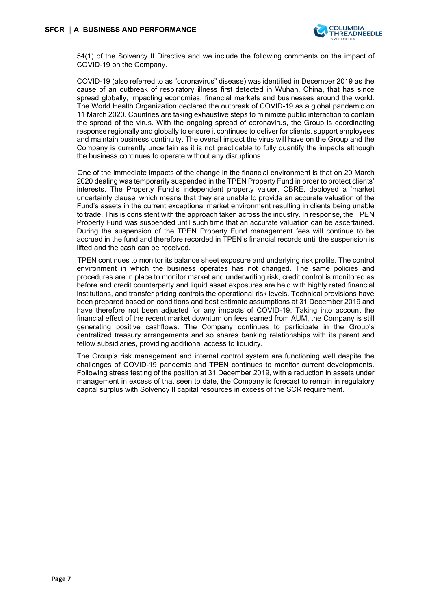

54(1) of the Solvency II Directive and we include the following comments on the impact of COVID-19 on the Company.

COVID-19 (also referred to as "coronavirus" disease) was identified in December 2019 as the cause of an outbreak of respiratory illness first detected in Wuhan, China, that has since spread globally, impacting economies, financial markets and businesses around the world. The World Health Organization declared the outbreak of COVID-19 as a global pandemic on 11 March 2020. Countries are taking exhaustive steps to minimize public interaction to contain the spread of the virus. With the ongoing spread of coronavirus, the Group is coordinating response regionally and globally to ensure it continues to deliver for clients, support employees and maintain business continuity. The overall impact the virus will have on the Group and the Company is currently uncertain as it is not practicable to fully quantify the impacts although the business continues to operate without any disruptions.

One of the immediate impacts of the change in the financial environment is that on 20 March 2020 dealing was temporarily suspended in the TPEN Property Fund in order to protect clients' interests. The Property Fund's independent property valuer, CBRE, deployed a 'market uncertainty clause' which means that they are unable to provide an accurate valuation of the Fund's assets in the current exceptional market environment resulting in clients being unable to trade. This is consistent with the approach taken across the industry. In response, the TPEN Property Fund was suspended until such time that an accurate valuation can be ascertained. During the suspension of the TPEN Property Fund management fees will continue to be accrued in the fund and therefore recorded in TPEN's financial records until the suspension is lifted and the cash can be received.

TPEN continues to monitor its balance sheet exposure and underlying risk profile. The control environment in which the business operates has not changed. The same policies and procedures are in place to monitor market and underwriting risk, credit control is monitored as before and credit counterparty and liquid asset exposures are held with highly rated financial institutions, and transfer pricing controls the operational risk levels. Technical provisions have been prepared based on conditions and best estimate assumptions at 31 December 2019 and have therefore not been adjusted for any impacts of COVID-19. Taking into account the financial effect of the recent market downturn on fees earned from AUM, the Company is still generating positive cashflows. The Company continues to participate in the Group's centralized treasury arrangements and so shares banking relationships with its parent and fellow subsidiaries, providing additional access to liquidity.

The Group's risk management and internal control system are functioning well despite the challenges of COVID-19 pandemic and TPEN continues to monitor current developments. Following stress testing of the position at 31 December 2019, with a reduction in assets under management in excess of that seen to date, the Company is forecast to remain in regulatory capital surplus with Solvency II capital resources in excess of the SCR requirement.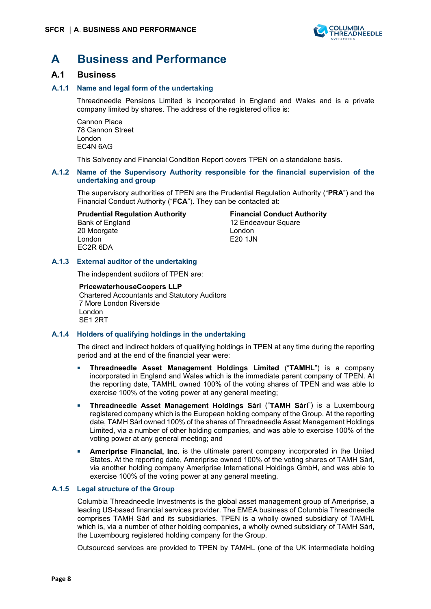

# <span id="page-7-0"></span>**A Business and Performance**

## <span id="page-7-1"></span>**A.1 Business**

#### **A.1.1 Name and legal form of the undertaking**

Threadneedle Pensions Limited is incorporated in England and Wales and is a private company limited by shares. The address of the registered office is:

Cannon Place 78 Cannon Street London EC4N 6AG

This Solvency and Financial Condition Report covers TPEN on a standalone basis.

#### **A.1.2 Name of the Supervisory Authority responsible for the financial supervision of the undertaking and group**

The supervisory authorities of TPEN are the Prudential Regulation Authority ("**PRA**") and the Financial Conduct Authority ("**FCA**"). They can be contacted at:

**Prudential Regulation Authority**  Bank of England 20 Moorgate London EC2R 6DA

**Financial Conduct Authority** 12 Endeavour Square London E20 1JN

## **A.1.3 External auditor of the undertaking**

The independent auditors of TPEN are:

#### **PricewaterhouseCoopers LLP**

Chartered Accountants and Statutory Auditors 7 More London Riverside London SE1 2RT

#### **A.1.4 Holders of qualifying holdings in the undertaking**

The direct and indirect holders of qualifying holdings in TPEN at any time during the reporting period and at the end of the financial year were:

- **Threadneedle Asset Management Holdings Limited** ("**TAMHL**") is a company incorporated in England and Wales which is the immediate parent company of TPEN. At the reporting date, TAMHL owned 100% of the voting shares of TPEN and was able to exercise 100% of the voting power at any general meeting;
- **Threadneedle Asset Management Holdings Sàrl** ("**TAMH Sàrl**") is a Luxembourg registered company which is the European holding company of the Group. At the reporting date, TAMH Sàrl owned 100% of the shares of Threadneedle Asset Management Holdings Limited, via a number of other holding companies, and was able to exercise 100% of the voting power at any general meeting; and
- **Ameriprise Financial, Inc.** is the ultimate parent company incorporated in the United States. At the reporting date, Ameriprise owned 100% of the voting shares of TAMH Sàrl, via another holding company Ameriprise International Holdings GmbH, and was able to exercise 100% of the voting power at any general meeting.

## **A.1.5 Legal structure of the Group**

Columbia Threadneedle Investments is the global asset management group of Ameriprise, a leading US-based financial services provider. The EMEA business of Columbia Threadneedle comprises TAMH Sàrl and its subsidiaries. TPEN is a wholly owned subsidiary of TAMHL which is, via a number of other holding companies, a wholly owned subsidiary of TAMH Sàrl, the Luxembourg registered holding company for the Group.

Outsourced services are provided to TPEN by TAMHL (one of the UK intermediate holding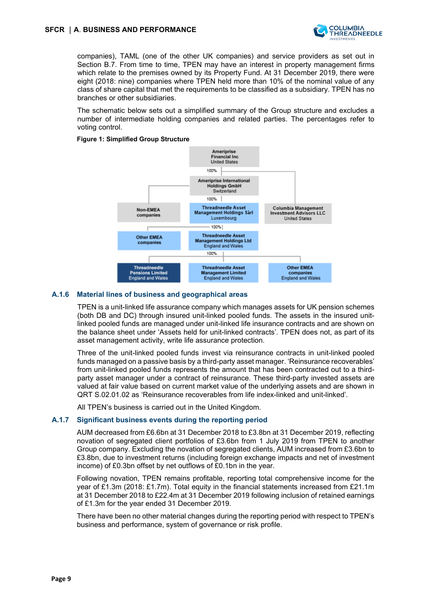

companies), TAML (one of the other UK companies) and service providers as set out in Section B.7. From time to time, TPEN may have an interest in property management firms which relate to the premises owned by its Property Fund. At 31 December 2019, there were eight (2018: nine) companies where TPEN held more than 10% of the nominal value of any class of share capital that met the requirements to be classified as a subsidiary. TPEN has no branches or other subsidiaries.

The schematic below sets out a simplified summary of the Group structure and excludes a number of intermediate holding companies and related parties. The percentages refer to voting control.

#### **Figure 1: Simplified Group Structure**



## **A.1.6 Material lines of business and geographical areas**

TPEN is a unit-linked life assurance company which manages assets for UK pension schemes (both DB and DC) through insured unit-linked pooled funds. The assets in the insured unitlinked pooled funds are managed under unit-linked life insurance contracts and are shown on the balance sheet under 'Assets held for unit-linked contracts'. TPEN does not, as part of its asset management activity, write life assurance protection.

Three of the unit-linked pooled funds invest via reinsurance contracts in unit-linked pooled funds managed on a passive basis by a third-party asset manager. 'Reinsurance recoverables' from unit-linked pooled funds represents the amount that has been contracted out to a thirdparty asset manager under a contract of reinsurance. These third-party invested assets are valued at fair value based on current market value of the underlying assets and are shown in QRT S.02.01.02 as 'Reinsurance recoverables from life index-linked and unit-linked'.

All TPEN's business is carried out in the United Kingdom.

#### **A.1.7 Significant business events during the reporting period**

AUM decreased from £6.6bn at 31 December 2018 to £3.8bn at 31 December 2019, reflecting novation of segregated client portfolios of £3.6bn from 1 July 2019 from TPEN to another Group company. Excluding the novation of segregated clients, AUM increased from £3.6bn to £3.8bn, due to investment returns (including foreign exchange impacts and net of investment income) of £0.3bn offset by net outflows of £0.1bn in the year.

Following novation, TPEN remains profitable, reporting total comprehensive income for the year of £1.3m (2018: £1.7m). Total equity in the financial statements increased from £21.1m at 31 December 2018 to £22.4m at 31 December 2019 following inclusion of retained earnings of £1.3m for the year ended 31 December 2019.

<span id="page-8-0"></span>There have been no other material changes during the reporting period with respect to TPEN's business and performance, system of governance or risk profile.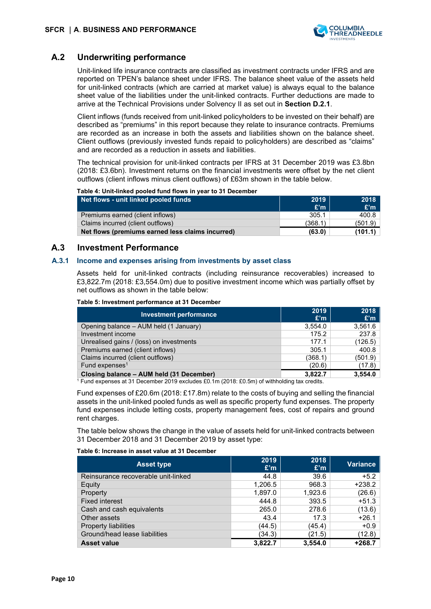

# **A.2 Underwriting performance**

Unit-linked life insurance contracts are classified as investment contracts under IFRS and are reported on TPEN's balance sheet under IFRS. The balance sheet value of the assets held for unit-linked contracts (which are carried at market value) is always equal to the balance sheet value of the liabilities under the unit-linked contracts. Further deductions are made to arrive at the Technical Provisions under Solvency II as set out in **Section D.2.1**.

Client inflows (funds received from unit-linked policyholders to be invested on their behalf) are described as "premiums" in this report because they relate to insurance contracts. Premiums are recorded as an increase in both the assets and liabilities shown on the balance sheet. Client outflows (previously invested funds repaid to policyholders) are described as "claims" and are recorded as a reduction in assets and liabilities.

The technical provision for unit-linked contracts per IFRS at 31 December 2019 was £3.8bn (2018: £3.6bn). Investment returns on the financial investments were offset by the net client outflows (client inflows minus client outflows) of £63m shown in the table below.

**Table 4: Unit-linked pooled fund flows in year to 31 December**

| Net flows - unit linked pooled funds             | 2019<br>E'm | 2018<br>E'm |
|--------------------------------------------------|-------------|-------------|
| Premiums earned (client inflows)                 | 305.1       | 400.8       |
| Claims incurred (client outflows)                | (368.1)     | (501.9)     |
| Net flows (premiums earned less claims incurred) | (63.0)      | (101.1)     |

## <span id="page-9-0"></span>**A.3 Investment Performance**

## **A.3.1 Income and expenses arising from investments by asset class**

Assets held for unit-linked contracts (including reinsurance recoverables) increased to £3,822.7m (2018: £3,554.0m) due to positive investment income which was partially offset by net outflows as shown in the table below:

#### **Table 5: Investment performance at 31 December**

| <b>Investment performance</b>            | 2019<br>E'm | 2018<br>E'm |
|------------------------------------------|-------------|-------------|
| Opening balance – AUM held (1 January)   | 3,554.0     | 3,561.6     |
| Investment income                        | 175.2       | 237.8       |
| Unrealised gains / (loss) on investments | 177.1       | (126.5)     |
| Premiums earned (client inflows)         | 305.1       | 400.8       |
| Claims incurred (client outflows)        | (368.1)     | (501.9)     |
| Fund expenses <sup>1</sup>               | (20.6)      | (17.8)      |
| Closing balance - AUM held (31 December) | 3,822.7     | 3.554.0     |

<sup>1</sup> Fund expenses at 31 December 2019 excludes £0.1m (2018: £0.5m) of withholding tax credits.

Fund expenses of £20.6m (2018: £17.8m) relate to the costs of buying and selling the financial assets in the unit-linked pooled funds as well as specific property fund expenses. The property fund expenses include letting costs, property management fees, cost of repairs and ground rent charges.

The table below shows the change in the value of assets held for unit-linked contracts between 31 December 2018 and 31 December 2019 by asset type:

#### **Table 6: Increase in asset value at 31 December**

<span id="page-9-1"></span>

| <b>Asset type</b>                   | 2019<br>E'm | 2018<br>E'm | <b>Variance</b> |
|-------------------------------------|-------------|-------------|-----------------|
| Reinsurance recoverable unit-linked | 44.8        | 39.6        | $+5.2$          |
| Equity                              | 1,206.5     | 968.3       | $+238.2$        |
| Property                            | 1,897.0     | 1,923.6     | (26.6)          |
| <b>Fixed interest</b>               | 444.8       | 393.5       | $+51.3$         |
| Cash and cash equivalents           | 265.0       | 278.6       | (13.6)          |
| Other assets                        | 43.4        | 17.3        | $+26.1$         |
| Property liabilities                | (44.5)      | (45.4)      | $+0.9$          |
| Ground/head lease liabilities       | (34.3)      | (21.5)      | (12.8)          |
| <b>Asset value</b>                  | 3,822.7     | 3,554.0     | +268.7          |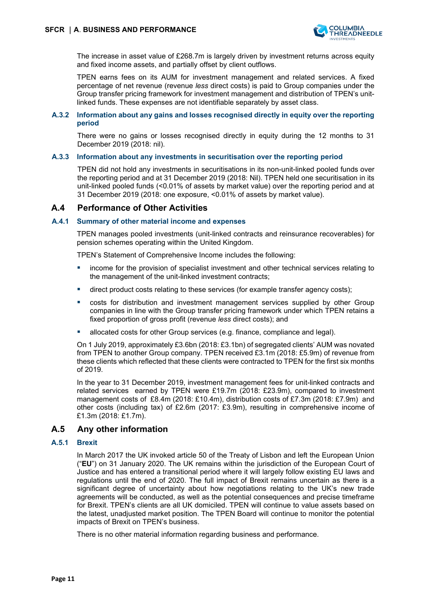

The increase in asset value of £268.7m is largely driven by investment returns across equity and fixed income assets, and partially offset by client outflows.

TPEN earns fees on its AUM for investment management and related services. A fixed percentage of net revenue (revenue *less* direct costs) is paid to Group companies under the Group transfer pricing framework for investment management and distribution of TPEN's unitlinked funds. These expenses are not identifiable separately by asset class.

#### **A.3.2 Information about any gains and losses recognised directly in equity over the reporting period**

There were no gains or losses recognised directly in equity during the 12 months to 31 December 2019 (2018: nil).

#### **A.3.3 Information about any investments in securitisation over the reporting period**

TPEN did not hold any investments in securitisations in its non-unit-linked pooled funds over the reporting period and at 31 December 2019 (2018: Nil). TPEN held one securitisation in its unit-linked pooled funds (<0.01% of assets by market value) over the reporting period and at 31 December 2019 (2018: one exposure, <0.01% of assets by market value).

## <span id="page-10-0"></span>**A.4 Performance of Other Activities**

#### **A.4.1 Summary of other material income and expenses**

TPEN manages pooled investments (unit-linked contracts and reinsurance recoverables) for pension schemes operating within the United Kingdom.

TPEN's Statement of Comprehensive Income includes the following:

- income for the provision of specialist investment and other technical services relating to the management of the unit-linked investment contracts;
- direct product costs relating to these services (for example transfer agency costs);
- costs for distribution and investment management services supplied by other Group companies in line with the Group transfer pricing framework under which TPEN retains a fixed proportion of gross profit (revenue *less* direct costs); and
- allocated costs for other Group services (e.g. finance, compliance and legal).

On 1 July 2019, approximately £3.6bn (2018: £3.1bn) of segregated clients' AUM was novated from TPEN to another Group company. TPEN received £3.1m (2018: £5.9m) of revenue from these clients which reflected that these clients were contracted to TPEN for the first six months of 2019.

In the year to 31 December 2019, investment management fees for unit-linked contracts and related services earned by TPEN were £19.7m (2018: £23.9m), compared to investment management costs of £8.4m (2018: £10.4m), distribution costs of £7.3m (2018: £7.9m) and other costs (including tax) of £2.6m (2017: £3.9m), resulting in comprehensive income of £1.3m (2018: £1.7m).

#### <span id="page-10-1"></span>**A.5 Any other information**

#### **A.5.1 Brexit**

In March 2017 the UK invoked article 50 of the Treaty of Lisbon and left the European Union ("**EU**") on 31 January 2020. The UK remains within the jurisdiction of the European Court of Justice and has entered a transitional period where it will largely follow existing EU laws and regulations until the end of 2020. The full impact of Brexit remains uncertain as there is a significant degree of uncertainty about how negotiations relating to the UK's new trade agreements will be conducted, as well as the potential consequences and precise timeframe for Brexit. TPEN's clients are all UK domiciled. TPEN will continue to value assets based on the latest, unadjusted market position. The TPEN Board will continue to monitor the potential impacts of Brexit on TPEN's business.

There is no other material information regarding business and performance.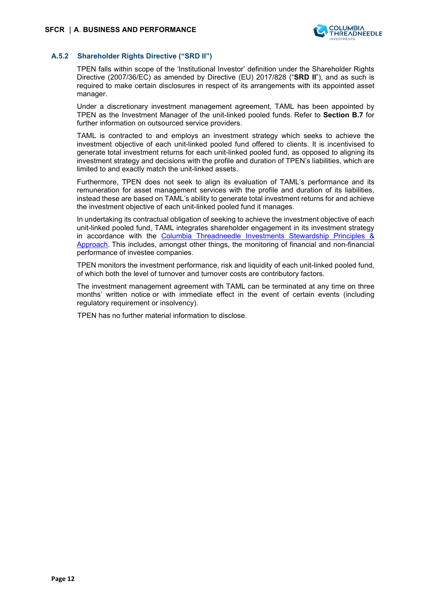

## **A.5.2 Shareholder Rights Directive ("SRD II")**

TPEN falls within scope of the 'Institutional Investor' definition under the Shareholder Rights Directive (2007/36/EC) as amended by Directive (EU) 2017/828 ("**SRD II**"), and as such is required to make certain disclosures in respect of its arrangements with its appointed asset manager.

Under a discretionary investment management agreement, TAML has been appointed by TPEN as the Investment Manager of the unit-linked pooled funds. Refer to **Section B.7** for further information on outsourced service providers.

TAML is contracted to and employs an investment strategy which seeks to achieve the investment objective of each unit-linked pooled fund offered to clients. It is incentivised to generate total investment returns for each unit-linked pooled fund, as opposed to aligning its investment strategy and decisions with the profile and duration of TPEN's liabilities, which are limited to and exactly match the unit-linked assets.

Furthermore, TPEN does not seek to align its evaluation of TAML's performance and its remuneration for asset management services with the profile and duration of its liabilities, instead these are based on TAML's ability to generate total investment returns for and achieve the investment objective of each unit-linked pooled fund it manages.

In undertaking its contractual obligation of seeking to achieve the investment objective of each unit-linked pooled fund, TAML integrates shareholder engagement in its investment strategy in accordance with the [Columbia Threadneedle Investments Stewardship Principles &](https://www.columbiathreadneedle.co.uk/media/1020104/en_frc_compliance_statement.pdf)  [Approach.](https://www.columbiathreadneedle.co.uk/media/1020104/en_frc_compliance_statement.pdf) This includes, amongst other things, the monitoring of financial and non-financial performance of investee companies.

TPEN monitors the investment performance, risk and liquidity of each unit-linked pooled fund, of which both the level of turnover and turnover costs are contributory factors.

The investment management agreement with TAML can be terminated at any time on three months' written notice or with immediate effect in the event of certain events (including regulatory requirement or insolvency).

TPEN has no further material information to disclose.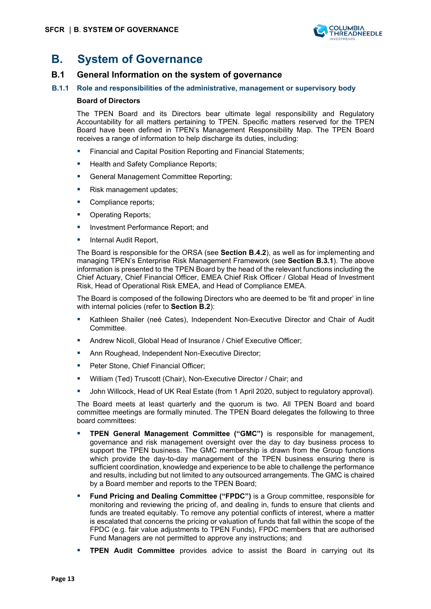

# <span id="page-12-0"></span>**B. System of Governance**

## <span id="page-12-1"></span>**B.1 General Information on the system of governance**

## **B.1.1 Role and responsibilities of the administrative, management or supervisory body**

#### **Board of Directors**

The TPEN Board and its Directors bear ultimate legal responsibility and Regulatory Accountability for all matters pertaining to TPEN. Specific matters reserved for the TPEN Board have been defined in TPEN's Management Responsibility Map. The TPEN Board receives a range of information to help discharge its duties, including:

- **Financial and Capital Position Reporting and Financial Statements;**
- **Health and Safety Compliance Reports:**
- **General Management Committee Reporting;**
- Risk management updates;
- Compliance reports;
- Operating Reports;
- **Investment Performance Report: and**
- **Internal Audit Report,**

The Board is responsible for the ORSA (see **Section B.4.2**), as well as for implementing and managing TPEN's Enterprise Risk Management Framework (see **Section B.3.1**). The above information is presented to the TPEN Board by the head of the relevant functions including the Chief Actuary, Chief Financial Officer, EMEA Chief Risk Officer / Global Head of Investment Risk, Head of Operational Risk EMEA, and Head of Compliance EMEA.

The Board is composed of the following Directors who are deemed to be 'fit and proper' in line with internal policies (refer to **Section B.2**):

- Kathleen Shailer (neé Cates), Independent Non-Executive Director and Chair of Audit Committee.
- Andrew Nicoll, Global Head of Insurance / Chief Executive Officer;
- **Ann Roughead, Independent Non-Executive Director:**
- **Peter Stone, Chief Financial Officer;**
- **William (Ted) Truscott (Chair), Non-Executive Director / Chair; and**
- John Willcock, Head of UK Real Estate (from 1 April 2020, subject to regulatory approval).

The Board meets at least quarterly and the quorum is two. All TPEN Board and board committee meetings are formally minuted. The TPEN Board delegates the following to three board committees:

- **TPEN General Management Committee ("GMC")** is responsible for management, governance and risk management oversight over the day to day business process to support the TPEN business. The GMC membership is drawn from the Group functions which provide the day-to-day management of the TPEN business ensuring there is sufficient coordination, knowledge and experience to be able to challenge the performance and results, including but not limited to any outsourced arrangements. The GMC is chaired by a Board member and reports to the TPEN Board;
- **Fund Pricing and Dealing Committee ("FPDC")** is a Group committee, responsible for monitoring and reviewing the pricing of, and dealing in, funds to ensure that clients and funds are treated equitably. To remove any potential conflicts of interest, where a matter is escalated that concerns the pricing or valuation of funds that fall within the scope of the FPDC (e.g. fair value adjustments to TPEN Funds), FPDC members that are authorised Fund Managers are not permitted to approve any instructions; and
- **TPEN Audit Committee** provides advice to assist the Board in carrying out its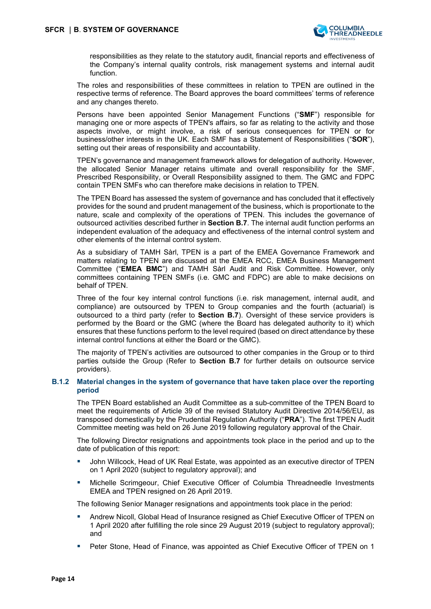

responsibilities as they relate to the statutory audit, financial reports and effectiveness of the Company's internal quality controls, risk management systems and internal audit function.

The roles and responsibilities of these committees in relation to TPEN are outlined in the respective terms of reference. The Board approves the board committees' terms of reference and any changes thereto.

Persons have been appointed Senior Management Functions ("**SMF**") responsible for managing one or more aspects of TPEN's affairs, so far as relating to the activity and those aspects involve, or might involve, a risk of serious consequences for TPEN or for business/other interests in the UK. Each SMF has a Statement of Responsibilities ("**SOR**"), setting out their areas of responsibility and accountability.

TPEN's governance and management framework allows for delegation of authority. However, the allocated Senior Manager retains ultimate and overall responsibility for the SMF, Prescribed Responsibility, or Overall Responsibility assigned to them. The GMC and FDPC contain TPEN SMFs who can therefore make decisions in relation to TPEN.

The TPEN Board has assessed the system of governance and has concluded that it effectively provides for the sound and prudent management of the business, which is proportionate to the nature, scale and complexity of the operations of TPEN. This includes the governance of outsourced activities described further in **Section B.7**. The internal audit function performs an independent evaluation of the adequacy and effectiveness of the internal control system and other elements of the internal control system.

As a subsidiary of TAMH Sàrl, TPEN is a part of the EMEA Governance Framework and matters relating to TPEN are discussed at the EMEA RCC, EMEA Business Management Committee ("**EMEA BMC**") and TAMH Sàrl Audit and Risk Committee. However, only committees containing TPEN SMFs (i.e. GMC and FDPC) are able to make decisions on behalf of TPEN.

Three of the four key internal control functions (i.e. risk management, internal audit, and compliance) are outsourced by TPEN to Group companies and the fourth (actuarial) is outsourced to a third party (refer to **Section B.7**). Oversight of these service providers is performed by the Board or the GMC (where the Board has delegated authority to it) which ensures that these functions perform to the level required (based on direct attendance by these internal control functions at either the Board or the GMC).

The majority of TPEN's activities are outsourced to other companies in the Group or to third parties outside the Group (Refer to **Section B.7** for further details on outsource service providers).

#### **B.1.2 Material changes in the system of governance that have taken place over the reporting period**

The TPEN Board established an Audit Committee as a sub-committee of the TPEN Board to meet the requirements of Article 39 of the revised Statutory Audit Directive 2014/56/EU, as transposed domestically by the Prudential Regulation Authority ("**PRA**"). The first TPEN Audit Committee meeting was held on 26 June 2019 following regulatory approval of the Chair.

The following Director resignations and appointments took place in the period and up to the date of publication of this report:

- John Willcock, Head of UK Real Estate, was appointed as an executive director of TPEN on 1 April 2020 (subject to regulatory approval); and
- Michelle Scrimgeour, Chief Executive Officer of Columbia Threadneedle Investments EMEA and TPEN resigned on 26 April 2019.

The following Senior Manager resignations and appointments took place in the period:

- **Andrew Nicoll, Global Head of Insurance resigned as Chief Executive Officer of TPEN on** 1 April 2020 after fulfilling the role since 29 August 2019 (subject to regulatory approval); and
- Peter Stone, Head of Finance, was appointed as Chief Executive Officer of TPEN on 1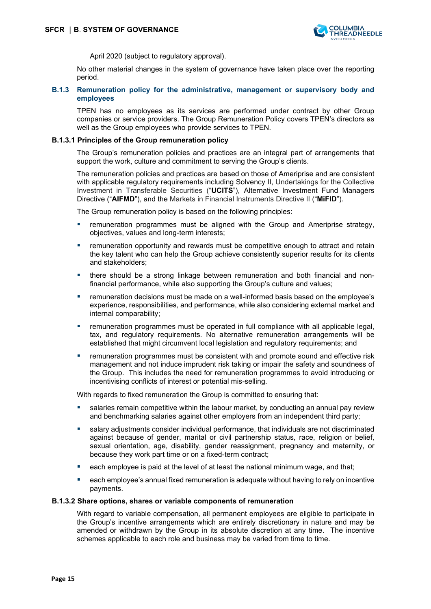

April 2020 (subject to regulatory approval).

No other material changes in the system of governance have taken place over the reporting period.

## **B.1.3 Remuneration policy for the administrative, management or supervisory body and employees**

TPEN has no employees as its services are performed under contract by other Group companies or service providers. The Group Remuneration Policy covers TPEN's directors as well as the Group employees who provide services to TPEN.

#### **B.1.3.1 Principles of the Group remuneration policy**

The Group's remuneration policies and practices are an integral part of arrangements that support the work, culture and commitment to serving the Group's clients.

The remuneration policies and practices are based on those of Ameriprise and are consistent with applicable regulatory requirements including Solvency II, Undertakings for the Collective Investment in Transferable Securities ("**UCITS**"), Alternative Investment Fund Managers Directive ("**AIFMD**"), and the Markets in Financial Instruments Directive II ("**MiFID**").

The Group remuneration policy is based on the following principles:

- **F** remuneration programmes must be aligned with the Group and Ameriprise strategy, objectives, values and long-term interests;
- remuneration opportunity and rewards must be competitive enough to attract and retain the key talent who can help the Group achieve consistently superior results for its clients and stakeholders;
- there should be a strong linkage between remuneration and both financial and nonfinancial performance, while also supporting the Group's culture and values;
- remuneration decisions must be made on a well-informed basis based on the employee's experience, responsibilities, and performance, while also considering external market and internal comparability;
- **•** remuneration programmes must be operated in full compliance with all applicable legal, tax, and regulatory requirements. No alternative remuneration arrangements will be established that might circumvent local legislation and regulatory requirements; and
- remuneration programmes must be consistent with and promote sound and effective risk management and not induce imprudent risk taking or impair the safety and soundness of the Group. This includes the need for remuneration programmes to avoid introducing or incentivising conflicts of interest or potential mis-selling.

With regards to fixed remuneration the Group is committed to ensuring that:

- **salaries remain competitive within the labour market, by conducting an annual pay review** and benchmarking salaries against other employers from an independent third party;
- salary adjustments consider individual performance, that individuals are not discriminated against because of gender, marital or civil partnership status, race, religion or belief, sexual orientation, age, disability, gender reassignment, pregnancy and maternity, or because they work part time or on a fixed-term contract;
- each employee is paid at the level of at least the national minimum wage, and that;
- each employee's annual fixed remuneration is adequate without having to rely on incentive payments.

#### **B.1.3.2 Share options, shares or variable components of remuneration**

With regard to variable compensation, all permanent employees are eligible to participate in the Group's incentive arrangements which are entirely discretionary in nature and may be amended or withdrawn by the Group in its absolute discretion at any time. The incentive schemes applicable to each role and business may be varied from time to time.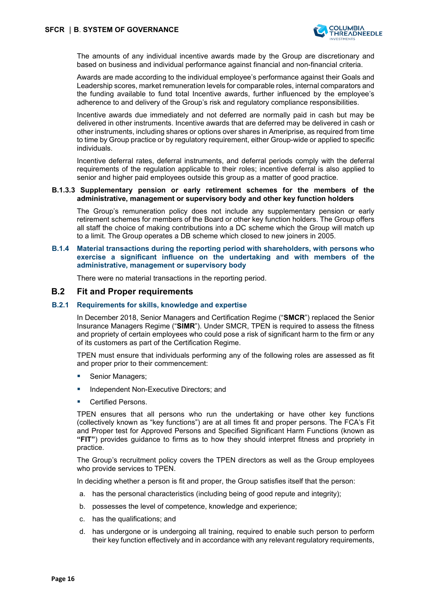

The amounts of any individual incentive awards made by the Group are discretionary and based on business and individual performance against financial and non-financial criteria.

Awards are made according to the individual employee's performance against their Goals and Leadership scores, market remuneration levels for comparable roles, internal comparators and the funding available to fund total Incentive awards, further influenced by the employee's adherence to and delivery of the Group's risk and regulatory compliance responsibilities.

Incentive awards due immediately and not deferred are normally paid in cash but may be delivered in other instruments. Incentive awards that are deferred may be delivered in cash or other instruments, including shares or options over shares in Ameriprise, as required from time to time by Group practice or by regulatory requirement, either Group-wide or applied to specific individuals.

Incentive deferral rates, deferral instruments, and deferral periods comply with the deferral requirements of the regulation applicable to their roles; incentive deferral is also applied to senior and higher paid employees outside this group as a matter of good practice.

#### **B.1.3.3 Supplementary pension or early retirement schemes for the members of the administrative, management or supervisory body and other key function holders**

The Group's remuneration policy does not include any supplementary pension or early retirement schemes for members of the Board or other key function holders. The Group offers all staff the choice of making contributions into a DC scheme which the Group will match up to a limit. The Group operates a DB scheme which closed to new joiners in 2005.

#### **B.1.4 Material transactions during the reporting period with shareholders, with persons who exercise a significant influence on the undertaking and with members of the administrative, management or supervisory body**

There were no material transactions in the reporting period.

## <span id="page-15-0"></span>**B.2 Fit and Proper requirements**

## **B.2.1 Requirements for skills, knowledge and expertise**

In December 2018, Senior Managers and Certification Regime ("**SMCR**") replaced the Senior Insurance Managers Regime ("**SIMR**"). Under SMCR, TPEN is required to assess the fitness and propriety of certain employees who could pose a risk of significant harm to the firm or any of its customers as part of the Certification Regime.

TPEN must ensure that individuals performing any of the following roles are assessed as fit and proper prior to their commencement:

- **Senior Managers;**
- **Independent Non-Executive Directors; and**
- Certified Persons.

TPEN ensures that all persons who run the undertaking or have other key functions (collectively known as "key functions") are at all times fit and proper persons. The FCA's Fit and Proper test for Approved Persons and Specified Significant Harm Functions (known as **"FIT"**) provides guidance to firms as to how they should interpret fitness and propriety in practice.

The Group's recruitment policy covers the TPEN directors as well as the Group employees who provide services to TPEN.

In deciding whether a person is fit and proper, the Group satisfies itself that the person:

- a. has the personal characteristics (including being of good repute and integrity);
- b. possesses the level of competence, knowledge and experience;
- c. has the qualifications; and
- d. has undergone or is undergoing all training, required to enable such person to perform their key function effectively and in accordance with any relevant regulatory requirements,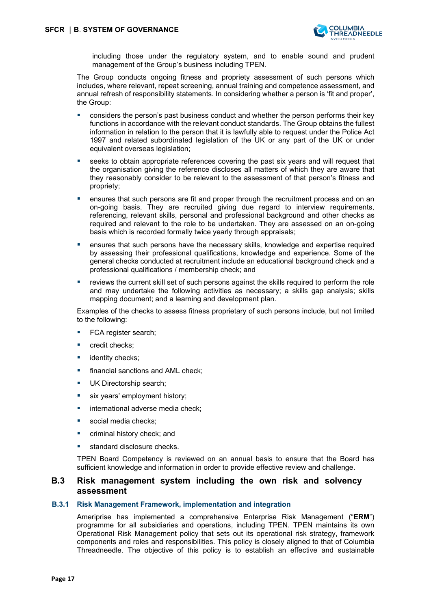

including those under the regulatory system, and to enable sound and prudent management of the Group's business including TPEN.

The Group conducts ongoing fitness and propriety assessment of such persons which includes, where relevant, repeat screening, annual training and competence assessment, and annual refresh of responsibility statements. In considering whether a person is 'fit and proper', the Group:

- **EXECONST CONSIDERS** conduct and whether the person performs their key functions in accordance with the relevant conduct standards. The Group obtains the fullest information in relation to the person that it is lawfully able to request under the Police Act 1997 and related subordinated legislation of the UK or any part of the UK or under equivalent overseas legislation;
- seeks to obtain appropriate references covering the past six years and will request that the organisation giving the reference discloses all matters of which they are aware that they reasonably consider to be relevant to the assessment of that person's fitness and propriety;
- ensures that such persons are fit and proper through the recruitment process and on an on-going basis. They are recruited giving due regard to interview requirements, referencing, relevant skills, personal and professional background and other checks as required and relevant to the role to be undertaken. They are assessed on an on-going basis which is recorded formally twice yearly through appraisals;
- ensures that such persons have the necessary skills, knowledge and expertise required by assessing their professional qualifications, knowledge and experience. Some of the general checks conducted at recruitment include an educational background check and a professional qualifications / membership check; and
- reviews the current skill set of such persons against the skills required to perform the role and may undertake the following activities as necessary; a skills gap analysis; skills mapping document; and a learning and development plan.

Examples of the checks to assess fitness proprietary of such persons include, but not limited to the following:

- **FCA register search;**
- credit checks:
- **ullerity checks;**
- **financial sanctions and AML check;**
- **UK Directorship search:**
- six years' employment history;
- **international adverse media check:**
- social media checks;
- **E** criminal history check; and
- standard disclosure checks.

TPEN Board Competency is reviewed on an annual basis to ensure that the Board has sufficient knowledge and information in order to provide effective review and challenge.

## <span id="page-16-0"></span>**B.3 Risk management system including the own risk and solvency assessment**

#### **B.3.1 Risk Management Framework, implementation and integration**

Ameriprise has implemented a comprehensive Enterprise Risk Management ("**ERM**") programme for all subsidiaries and operations, including TPEN. TPEN maintains its own Operational Risk Management policy that sets out its operational risk strategy, framework components and roles and responsibilities. This policy is closely aligned to that of Columbia Threadneedle. The objective of this policy is to establish an effective and sustainable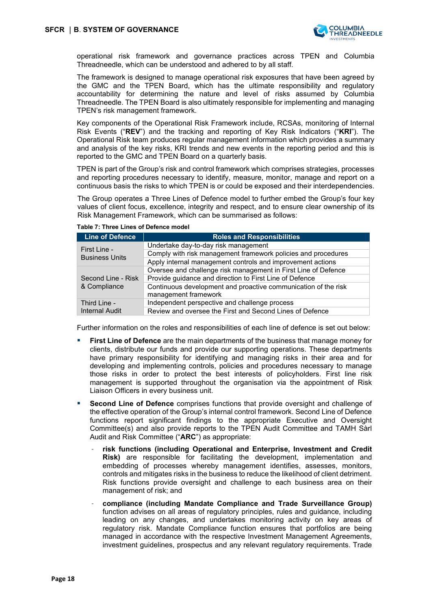

operational risk framework and governance practices across TPEN and Columbia Threadneedle, which can be understood and adhered to by all staff.

The framework is designed to manage operational risk exposures that have been agreed by the GMC and the TPEN Board, which has the ultimate responsibility and regulatory accountability for determining the nature and level of risks assumed by Columbia Threadneedle. The TPEN Board is also ultimately responsible for implementing and managing TPEN's risk management framework.

Key components of the Operational Risk Framework include, RCSAs, monitoring of Internal Risk Events ("**REV**") and the tracking and reporting of Key Risk Indicators ("**KRI**"). The Operational Risk team produces regular management information which provides a summary and analysis of the key risks, KRI trends and new events in the reporting period and this is reported to the GMC and TPEN Board on a quarterly basis.

TPEN is part of the Group's risk and control framework which comprises strategies, processes and reporting procedures necessary to identify, measure, monitor, manage and report on a continuous basis the risks to which TPEN is or could be exposed and their interdependencies.

The Group operates a Three Lines of Defence model to further embed the Group's four key values of client focus, excellence, integrity and respect, and to ensure clear ownership of its Risk Management Framework, which can be summarised as follows:

| <b>Line of Defence</b> | <b>Roles and Responsibilities</b>                                                      |
|------------------------|----------------------------------------------------------------------------------------|
| First Line -           | Undertake day-to-day risk management                                                   |
| <b>Business Units</b>  | Comply with risk management framework policies and procedures                          |
|                        | Apply internal management controls and improvement actions                             |
|                        | Oversee and challenge risk management in First Line of Defence                         |
| Second Line - Risk     | Provide guidance and direction to First Line of Defence                                |
| & Compliance           | Continuous development and proactive communication of the risk<br>management framework |
| Third Line -           | Independent perspective and challenge process                                          |
| <b>Internal Audit</b>  | Review and oversee the First and Second Lines of Defence                               |

**Table 7: Three Lines of Defence model**

Further information on the roles and responsibilities of each line of defence is set out below:

- **First Line of Defence** are the main departments of the business that manage money for clients, distribute our funds and provide our supporting operations. These departments have primary responsibility for identifying and managing risks in their area and for developing and implementing controls, policies and procedures necessary to manage those risks in order to protect the best interests of policyholders. First line risk management is supported throughout the organisation via the appointment of Risk Liaison Officers in every business unit.
- **Second Line of Defence** comprises functions that provide oversight and challenge of the effective operation of the Group's internal control framework. Second Line of Defence functions report significant findings to the appropriate Executive and Oversight Committee(s) and also provide reports to the TPEN Audit Committee and TAMH Sàrl Audit and Risk Committee ("**ARC**") as appropriate:
	- ‐ **risk functions (including Operational and Enterprise, Investment and Credit Risk)** are responsible for facilitating the development, implementation and embedding of processes whereby management identifies, assesses, monitors, controls and mitigates risks in the business to reduce the likelihood of client detriment. Risk functions provide oversight and challenge to each business area on their management of risk; and
	- ‐ **compliance (including Mandate Compliance and Trade Surveillance Group)** function advises on all areas of regulatory principles, rules and guidance, including leading on any changes, and undertakes monitoring activity on key areas of regulatory risk. Mandate Compliance function ensures that portfolios are being managed in accordance with the respective Investment Management Agreements, investment guidelines, prospectus and any relevant regulatory requirements. Trade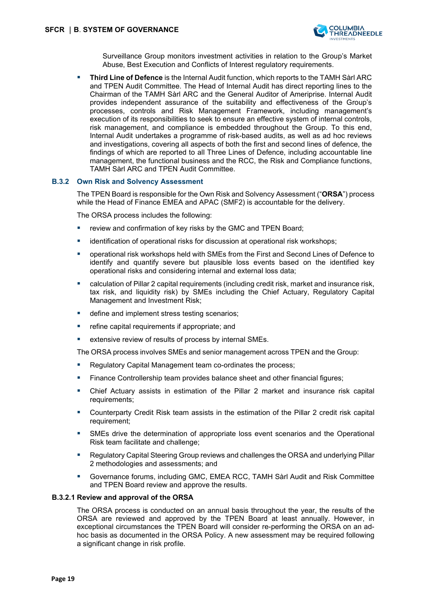

Surveillance Group monitors investment activities in relation to the Group's Market Abuse, Best Execution and Conflicts of Interest regulatory requirements.

 **Third Line of Defence** is the Internal Audit function, which reports to the TAMH Sàrl ARC and TPEN Audit Committee. The Head of Internal Audit has direct reporting lines to the Chairman of the TAMH Sàrl ARC and the General Auditor of Ameriprise. Internal Audit provides independent assurance of the suitability and effectiveness of the Group's processes, controls and Risk Management Framework, including management's execution of its responsibilities to seek to ensure an effective system of internal controls, risk management, and compliance is embedded throughout the Group. To this end, Internal Audit undertakes a programme of risk-based audits, as well as ad hoc reviews and investigations, covering all aspects of both the first and second lines of defence, the findings of which are reported to all Three Lines of Defence, including accountable line management, the functional business and the RCC, the Risk and Compliance functions, TAMH Sàrl ARC and TPEN Audit Committee.

#### **B.3.2 Own Risk and Solvency Assessment**

The TPEN Board is responsible for the Own Risk and Solvency Assessment ("**ORSA**") process while the Head of Finance EMEA and APAC (SMF2) is accountable for the delivery.

The ORSA process includes the following:

- **F** review and confirmation of key risks by the GMC and TPEN Board:
- **EXECTED identification of operational risks for discussion at operational risk workshops;**
- operational risk workshops held with SMEs from the First and Second Lines of Defence to identify and quantify severe but plausible loss events based on the identified key operational risks and considering internal and external loss data;
- calculation of Pillar 2 capital requirements (including credit risk, market and insurance risk, tax risk, and liquidity risk) by SMEs including the Chief Actuary, Regulatory Capital Management and Investment Risk;
- **define and implement stress testing scenarios;**
- **F** refine capital requirements if appropriate; and
- extensive review of results of process by internal SMEs.

The ORSA process involves SMEs and senior management across TPEN and the Group:

- **Regulatory Capital Management team co-ordinates the process;**
- Finance Controllership team provides balance sheet and other financial figures;
- Chief Actuary assists in estimation of the Pillar 2 market and insurance risk capital requirements;
- Counterparty Credit Risk team assists in the estimation of the Pillar 2 credit risk capital requirement;
- SMEs drive the determination of appropriate loss event scenarios and the Operational Risk team facilitate and challenge;
- Regulatory Capital Steering Group reviews and challenges the ORSA and underlying Pillar 2 methodologies and assessments; and
- Governance forums, including GMC, EMEA RCC, TAMH Sàrl Audit and Risk Committee and TPEN Board review and approve the results.

#### **B.3.2.1 Review and approval of the ORSA**

The ORSA process is conducted on an annual basis throughout the year, the results of the ORSA are reviewed and approved by the TPEN Board at least annually. However, in exceptional circumstances the TPEN Board will consider re-performing the ORSA on an adhoc basis as documented in the ORSA Policy. A new assessment may be required following a significant change in risk profile.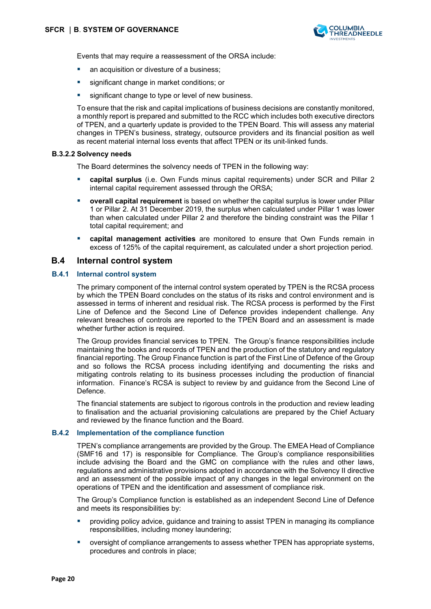

Events that may require a reassessment of the ORSA include:

- an acquisition or divesture of a business;
- significant change in market conditions; or
- significant change to type or level of new business.

To ensure that the risk and capital implications of business decisions are constantly monitored, a monthly report is prepared and submitted to the RCC which includes both executive directors of TPEN, and a quarterly update is provided to the TPEN Board. This will assess any material changes in TPEN's business, strategy, outsource providers and its financial position as well as recent material internal loss events that affect TPEN or its unit-linked funds.

#### **B.3.2.2 Solvency needs**

The Board determines the solvency needs of TPEN in the following way:

- **capital surplus** (i.e. Own Funds minus capital requirements) under SCR and Pillar 2 internal capital requirement assessed through the ORSA;
- **overall capital requirement** is based on whether the capital surplus is lower under Pillar 1 or Pillar 2. At 31 December 2019, the surplus when calculated under Pillar 1 was lower than when calculated under Pillar 2 and therefore the binding constraint was the Pillar 1 total capital requirement; and
- **capital management activities** are monitored to ensure that Own Funds remain in excess of 125% of the capital requirement, as calculated under a short projection period.

## <span id="page-19-0"></span>**B.4 Internal control system**

#### **B.4.1 Internal control system**

The primary component of the internal control system operated by TPEN is the RCSA process by which the TPEN Board concludes on the status of its risks and control environment and is assessed in terms of inherent and residual risk. The RCSA process is performed by the First Line of Defence and the Second Line of Defence provides independent challenge. Any relevant breaches of controls are reported to the TPEN Board and an assessment is made whether further action is required.

The Group provides financial services to TPEN. The Group's finance responsibilities include maintaining the books and records of TPEN and the production of the statutory and regulatory financial reporting. The Group Finance function is part of the First Line of Defence of the Group and so follows the RCSA process including identifying and documenting the risks and mitigating controls relating to its business processes including the production of financial information. Finance's RCSA is subject to review by and guidance from the Second Line of Defence.

The financial statements are subject to rigorous controls in the production and review leading to finalisation and the actuarial provisioning calculations are prepared by the Chief Actuary and reviewed by the finance function and the Board.

#### **B.4.2 Implementation of the compliance function**

TPEN's compliance arrangements are provided by the Group. The EMEA Head of Compliance (SMF16 and 17) is responsible for Compliance. The Group's compliance responsibilities include advising the Board and the GMC on compliance with the rules and other laws, regulations and administrative provisions adopted in accordance with the Solvency II directive and an assessment of the possible impact of any changes in the legal environment on the operations of TPEN and the identification and assessment of compliance risk.

The Group's Compliance function is established as an independent Second Line of Defence and meets its responsibilities by:

- providing policy advice, guidance and training to assist TPEN in managing its compliance responsibilities, including money laundering;
- oversight of compliance arrangements to assess whether TPEN has appropriate systems, procedures and controls in place;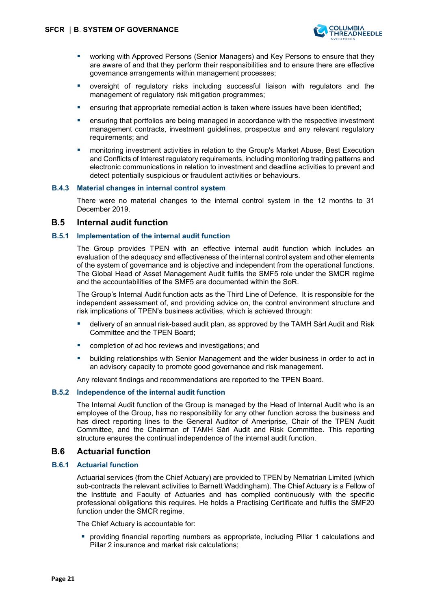

- working with Approved Persons (Senior Managers) and Key Persons to ensure that they are aware of and that they perform their responsibilities and to ensure there are effective governance arrangements within management processes;
- oversight of regulatory risks including successful liaison with regulators and the management of regulatory risk mitigation programmes;
- ensuring that appropriate remedial action is taken where issues have been identified;
- **EXECT** ensuring that portfolios are being managed in accordance with the respective investment management contracts, investment guidelines, prospectus and any relevant regulatory requirements; and
- monitoring investment activities in relation to the Group's Market Abuse, Best Execution and Conflicts of Interest regulatory requirements, including monitoring trading patterns and electronic communications in relation to investment and deadline activities to prevent and detect potentially suspicious or fraudulent activities or behaviours.

#### **B.4.3 Material changes in internal control system**

There were no material changes to the internal control system in the 12 months to 31 December 2019.

## <span id="page-20-0"></span>**B.5 Internal audit function**

## **B.5.1 Implementation of the internal audit function**

The Group provides TPEN with an effective internal audit function which includes an evaluation of the adequacy and effectiveness of the internal control system and other elements of the system of governance and is objective and independent from the operational functions. The Global Head of Asset Management Audit fulfils the SMF5 role under the SMCR regime and the accountabilities of the SMF5 are documented within the SoR.

The Group's Internal Audit function acts as the Third Line of Defence. It is responsible for the independent assessment of, and providing advice on, the control environment structure and risk implications of TPEN's business activities, which is achieved through:

- delivery of an annual risk-based audit plan, as approved by the TAMH Sàrl Audit and Risk Committee and the TPEN Board;
- **EXECOMPLERIAT COMPLETED FOR A COMPLETED** Completion of ad hoc reviews and investigations; and
- **■** building relationships with Senior Management and the wider business in order to act in an advisory capacity to promote good governance and risk management.

Any relevant findings and recommendations are reported to the TPEN Board.

#### **B.5.2 Independence of the internal audit function**

The Internal Audit function of the Group is managed by the Head of Internal Audit who is an employee of the Group, has no responsibility for any other function across the business and has direct reporting lines to the General Auditor of Ameriprise, Chair of the TPEN Audit Committee, and the Chairman of TAMH Sàrl Audit and Risk Committee. This reporting structure ensures the continual independence of the internal audit function.

## <span id="page-20-1"></span>**B.6 Actuarial function**

## **B.6.1 Actuarial function**

Actuarial services (from the Chief Actuary) are provided to TPEN by Nematrian Limited (which sub-contracts the relevant activities to Barnett Waddingham). The Chief Actuary is a Fellow of the Institute and Faculty of Actuaries and has complied continuously with the specific professional obligations this requires. He holds a Practising Certificate and fulfils the SMF20 function under the SMCR regime.

The Chief Actuary is accountable for:

 providing financial reporting numbers as appropriate, including Pillar 1 calculations and Pillar 2 insurance and market risk calculations;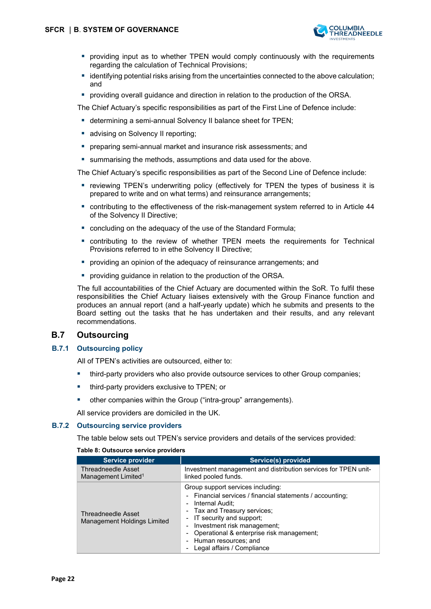

- providing input as to whether TPEN would comply continuously with the requirements regarding the calculation of Technical Provisions;
- **IDENT IS identifying potential risks arising from the uncertainties connected to the above calculation;** and
- **•** providing overall guidance and direction in relation to the production of the ORSA.

The Chief Actuary's specific responsibilities as part of the First Line of Defence include:

- determining a semi-annual Solvency II balance sheet for TPEN;
- advising on Solvency II reporting:
- **P** preparing semi-annual market and insurance risk assessments; and
- summarising the methods, assumptions and data used for the above.

The Chief Actuary's specific responsibilities as part of the Second Line of Defence include:

- **•** reviewing TPEN's underwriting policy (effectively for TPEN the types of business it is prepared to write and on what terms) and reinsurance arrangements;
- contributing to the effectiveness of the risk-management system referred to in Article 44 of the Solvency II Directive;
- concluding on the adequacy of the use of the Standard Formula:
- contributing to the review of whether TPEN meets the requirements for Technical Provisions referred to in ethe Solvency II Directive;
- **•** providing an opinion of the adequacy of reinsurance arrangements; and
- **•** providing guidance in relation to the production of the ORSA.

The full accountabilities of the Chief Actuary are documented within the SoR. To fulfil these responsibilities the Chief Actuary liaises extensively with the Group Finance function and produces an annual report (and a half-yearly update) which he submits and presents to the Board setting out the tasks that he has undertaken and their results, and any relevant recommendations.

# <span id="page-21-0"></span>**B.7 Outsourcing**

## **B.7.1 Outsourcing policy**

All of TPEN's activities are outsourced, either to:

- third-party providers who also provide outsource services to other Group companies;
- **third-party providers exclusive to TPEN; or**
- other companies within the Group ("intra-group" arrangements).

All service providers are domiciled in the UK.

#### **B.7.2 Outsourcing service providers**

The table below sets out TPEN's service providers and details of the services provided:

#### **Table 8: Outsource service providers**

| Service provider                                                | Service(s) provided                                                                                                                                                                                                                                                                                                 |
|-----------------------------------------------------------------|---------------------------------------------------------------------------------------------------------------------------------------------------------------------------------------------------------------------------------------------------------------------------------------------------------------------|
| <b>Threadneedle Asset</b><br>Management Limited <sup>1</sup>    | Investment management and distribution services for TPEN unit-<br>linked pooled funds.                                                                                                                                                                                                                              |
| <b>Threadneedle Asset</b><br><b>Management Holdings Limited</b> | Group support services including:<br>Financial services / financial statements / accounting:<br>- Internal Audit;<br>- Tax and Treasury services;<br>- IT security and support;<br>Investment risk management;<br>Operational & enterprise risk management;<br>- Human resources; and<br>Legal affairs / Compliance |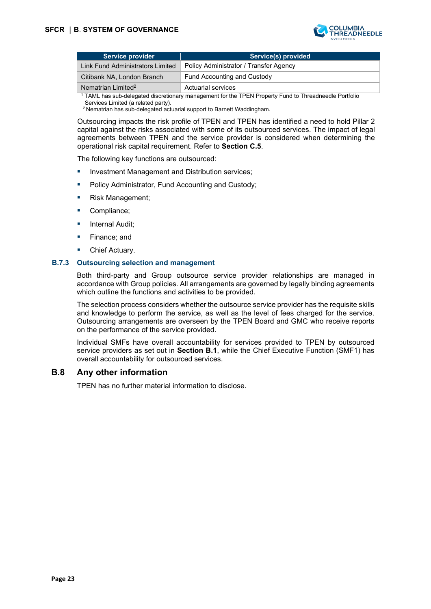

| Service provider                 | Service(s) provided                    |
|----------------------------------|----------------------------------------|
| Link Fund Administrators Limited | Policy Administrator / Transfer Agency |
| Citibank NA, London Branch       | Fund Accounting and Custody            |
| Nematrian Limited <sup>2</sup>   | Actuarial services                     |

<sup>1</sup> TAML has sub-delegated discretionary management for the TPEN Property Fund to Threadneedle Portfolio

Services Limited (a related party).

2 Nematrian has sub-delegated actuarial support to Barnett Waddingham.

Outsourcing impacts the risk profile of TPEN and TPEN has identified a need to hold Pillar 2 capital against the risks associated with some of its outsourced services. The impact of legal agreements between TPEN and the service provider is considered when determining the operational risk capital requirement. Refer to **Section C.5**.

The following key functions are outsourced:

- **Investment Management and Distribution services;**
- **Policy Administrator, Fund Accounting and Custody;**
- Risk Management;
- Compliance;
- **Internal Audit;**
- **Finance**; and
- **Chief Actuary.**

## **B.7.3 Outsourcing selection and management**

Both third-party and Group outsource service provider relationships are managed in accordance with Group policies. All arrangements are governed by legally binding agreements which outline the functions and activities to be provided.

The selection process considers whether the outsource service provider has the requisite skills and knowledge to perform the service, as well as the level of fees charged for the service. Outsourcing arrangements are overseen by the TPEN Board and GMC who receive reports on the performance of the service provided.

Individual SMFs have overall accountability for services provided to TPEN by outsourced service providers as set out in **Section B.1**, while the Chief Executive Function (SMF1) has overall accountability for outsourced services.

# <span id="page-22-0"></span>**B.8 Any other information**

TPEN has no further material information to disclose.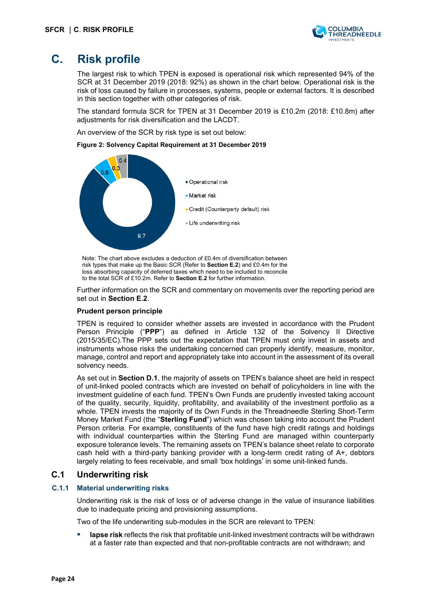

# <span id="page-23-0"></span>**C. Risk profile**

The largest risk to which TPEN is exposed is operational risk which represented 94% of the SCR at 31 December 2019 (2018: 92%) as shown in the chart below. Operational risk is the risk of loss caused by failure in processes, systems, people or external factors. It is described in this section together with other categories of risk.

The standard formula SCR for TPEN at 31 December 2019 is £10.2m (2018: £10.8m) after adjustments for risk diversification and the LACDT.

An overview of the SCR by risk type is set out below:

**Figure 2: Solvency Capital Requirement at 31 December 2019**



Note: The chart above excludes a deduction of £0.4m of diversification between risk types that make up the Basic SCR (Refer to **Section E.2**) and £0.4m for the loss absorbing capacity of deferred taxes which need to be included to reconcile to the total SCR of £10.2m. Refer to **Section E.2** for further information.

Further information on the SCR and commentary on movements over the reporting period are set out in **Section E.2**.

#### **Prudent person principle**

TPEN is required to consider whether assets are invested in accordance with the Prudent Person Principle ("**PPP**") as defined in Article 132 of the Solvency II Directive (2015/35/EC).The PPP sets out the expectation that TPEN must only invest in assets and instruments whose risks the undertaking concerned can properly identify, measure, monitor, manage, control and report and appropriately take into account in the assessment of its overall solvency needs.

As set out in **Section D.1**, the majority of assets on TPEN's balance sheet are held in respect of unit-linked pooled contracts which are invested on behalf of policyholders in line with the investment guideline of each fund. TPEN's Own Funds are prudently invested taking account of the quality, security, liquidity, profitability, and availability of the investment portfolio as a whole. TPEN invests the majority of its Own Funds in the Threadneedle Sterling Short-Term Money Market Fund (the "**Sterling Fund**") which was chosen taking into account the Prudent Person criteria. For example, constituents of the fund have high credit ratings and holdings with individual counterparties within the Sterling Fund are managed within counterparty exposure tolerance levels. The remaining assets on TPEN's balance sheet relate to corporate cash held with a third-party banking provider with a long-term credit rating of A+, debtors largely relating to fees receivable, and small 'box holdings' in some unit-linked funds.

# <span id="page-23-1"></span>**C.1 Underwriting risk**

## **C.1.1 Material underwriting risks**

Underwriting risk is the risk of loss or of adverse change in the value of insurance liabilities due to inadequate pricing and provisioning assumptions.

Two of the life underwriting sub-modules in the SCR are relevant to TPEN:

 **lapse risk** reflects the risk that profitable unit-linked investment contracts will be withdrawn at a faster rate than expected and that non-profitable contracts are not withdrawn; and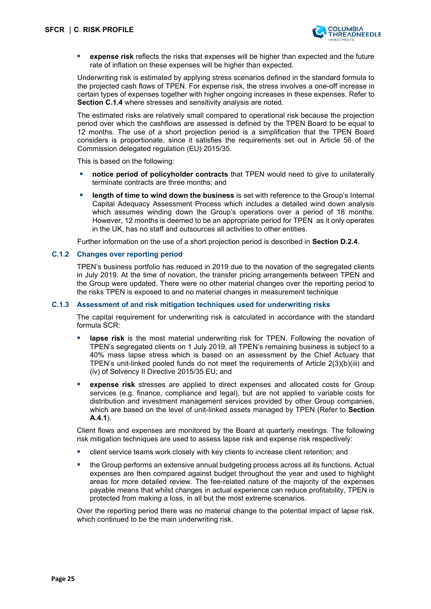

 **expense risk** reflects the risks that expenses will be higher than expected and the future rate of inflation on these expenses will be higher than expected.

Underwriting risk is estimated by applying stress scenarios defined in the standard formula to the projected cash flows of TPEN. For expense risk, the stress involves a one-off increase in certain types of expenses together with higher ongoing increases in these expenses. Refer to **Section C.1.4** where stresses and sensitivity analysis are noted.

The estimated risks are relatively small compared to operational risk because the projection period over which the cashflows are assessed is defined by the TPEN Board to be equal to 12 months. The use of a short projection period is a simplification that the TPEN Board considers is proportionate, since it satisfies the requirements set out in Article 56 of the Commission delegated regulation (EU) 2015/35.

This is based on the following:

- **notice period of policyholder contracts** that TPEN would need to give to unilaterally terminate contracts are three months; and
- **length of time to wind down the business** is set with reference to the Group's Internal Capital Adequacy Assessment Process which includes a detailed wind down analysis which assumes winding down the Group's operations over a period of 18 months. However, 12 months is deemed to be an appropriate period for TPEN as it only operates in the UK, has no staff and outsources all activities to other entities.

Further information on the use of a short projection period is described in **Section D.2.4**.

#### **C.1.2 Changes over reporting period**

TPEN's business portfolio has reduced in 2019 due to the novation of the segregated clients in July 2019. At the time of novation, the transfer pricing arrangements between TPEN and the Group were updated. There were no other material changes over the reporting period to the risks TPEN is exposed to and no material changes in measurement technique

#### **C.1.3 Assessment of and risk mitigation techniques used for underwriting risks**

The capital requirement for underwriting risk is calculated in accordance with the standard formula SCR:

- **lapse risk** is the most material underwriting risk for TPEN. Following the novation of TPEN's segregated clients on 1 July 2019, all TPEN's remaining business is subject to a 40% mass lapse stress which is based on an assessment by the Chief Actuary that TPEN's unit-linked pooled funds do not meet the requirements of Article 2(3)(b)(iii) and (iv) of Solvency II Directive 2015/35 EU; and
- **expense risk** stresses are applied to direct expenses and allocated costs for Group services (e.g. finance, compliance and legal), but are not applied to variable costs for distribution and investment management services provided by other Group companies, which are based on the level of unit-linked assets managed by TPEN (Refer to **Section A.4.1**).

Client flows and expenses are monitored by the Board at quarterly meetings. The following risk mitigation techniques are used to assess lapse risk and expense risk respectively:

- client service teams work closely with key clients to increase client retention; and
- the Group performs an extensive annual budgeting process across all its functions. Actual expenses are then compared against budget throughout the year and used to highlight areas for more detailed review. The fee-related nature of the majority of the expenses payable means that whilst changes in actual experience can reduce profitability, TPEN is protected from making a loss, in all but the most extreme scenarios.

Over the reporting period there was no material change to the potential impact of lapse risk, which continued to be the main underwriting risk.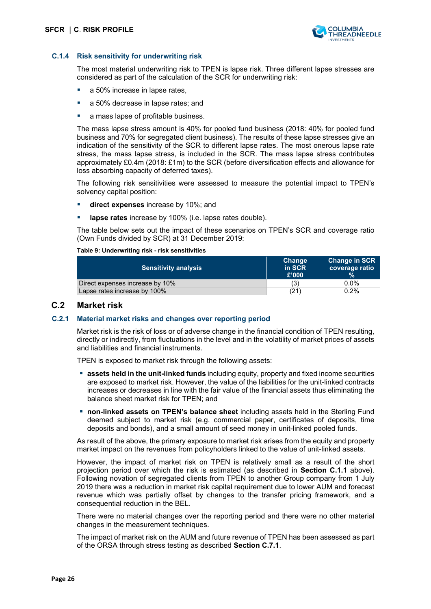

## **C.1.4 Risk sensitivity for underwriting risk**

The most material underwriting risk to TPEN is lapse risk. Three different lapse stresses are considered as part of the calculation of the SCR for underwriting risk:

- a 50% increase in lapse rates,
- a 50% decrease in lapse rates; and
- a mass lapse of profitable business.

The mass lapse stress amount is 40% for pooled fund business (2018: 40% for pooled fund business and 70% for segregated client business). The results of these lapse stresses give an indication of the sensitivity of the SCR to different lapse rates. The most onerous lapse rate stress, the mass lapse stress, is included in the SCR. The mass lapse stress contributes approximately £0.4m (2018: £1m) to the SCR (before diversification effects and allowance for loss absorbing capacity of deferred taxes).

The following risk sensitivities were assessed to measure the potential impact to TPEN's solvency capital position:

- **direct expenses** increase by 10%; and
- **lapse rates** increase by 100% (i.e. lapse rates double).

The table below sets out the impact of these scenarios on TPEN's SCR and coverage ratio (Own Funds divided by SCR) at 31 December 2019:

#### **Table 9: Underwriting risk - risk sensitivities**

| <b>Sensitivity analysis</b>     | Change<br>$\ln$ SCR $\overline{\phantom{a}}$<br>£'000 | Change in SCR<br>coverage ratio<br>$\frac{9}{6}$ |
|---------------------------------|-------------------------------------------------------|--------------------------------------------------|
| Direct expenses increase by 10% | (3)                                                   | $0.0\%$                                          |
| Lapse rates increase by 100%    | (21                                                   | 0.2%                                             |

## <span id="page-25-0"></span>**C.2 Market risk**

#### **C.2.1 Material market risks and changes over reporting period**

Market risk is the risk of loss or of adverse change in the financial condition of TPEN resulting, directly or indirectly, from fluctuations in the level and in the volatility of market prices of assets and liabilities and financial instruments.

TPEN is exposed to market risk through the following assets:

- **assets held in the unit-linked funds** including equity, property and fixed income securities are exposed to market risk. However, the value of the liabilities for the unit-linked contracts increases or decreases in line with the fair value of the financial assets thus eliminating the balance sheet market risk for TPEN; and
- **non-linked assets on TPEN's balance sheet** including assets held in the Sterling Fund deemed subject to market risk (e.g. commercial paper, certificates of deposits, time deposits and bonds), and a small amount of seed money in unit-linked pooled funds.

As result of the above, the primary exposure to market risk arises from the equity and property market impact on the revenues from policyholders linked to the value of unit-linked assets.

However, the impact of market risk on TPEN is relatively small as a result of the short projection period over which the risk is estimated (as described in **Section C.1.1** above). Following novation of segregated clients from TPEN to another Group company from 1 July 2019 there was a reduction in market risk capital requirement due to lower AUM and forecast revenue which was partially offset by changes to the transfer pricing framework, and a consequential reduction in the BEL.

There were no material changes over the reporting period and there were no other material changes in the measurement techniques.

The impact of market risk on the AUM and future revenue of TPEN has been assessed as part of the ORSA through stress testing as described **Section C.7.1**.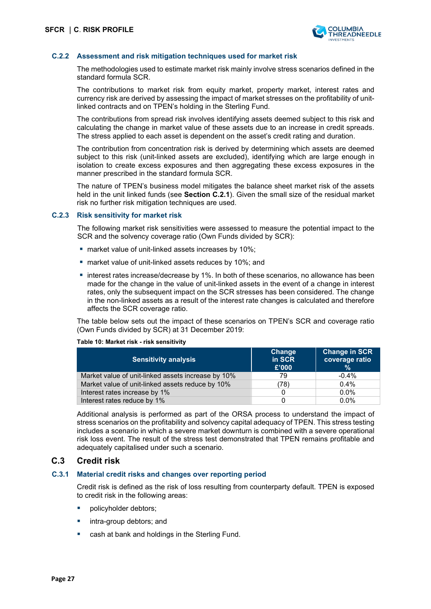

## **C.2.2 Assessment and risk mitigation techniques used for market risk**

The methodologies used to estimate market risk mainly involve stress scenarios defined in the standard formula SCR.

The contributions to market risk from equity market, property market, interest rates and currency risk are derived by assessing the impact of market stresses on the profitability of unitlinked contracts and on TPEN's holding in the Sterling Fund.

The contributions from spread risk involves identifying assets deemed subject to this risk and calculating the change in market value of these assets due to an increase in credit spreads. The stress applied to each asset is dependent on the asset's credit rating and duration.

The contribution from concentration risk is derived by determining which assets are deemed subject to this risk (unit-linked assets are excluded), identifying which are large enough in isolation to create excess exposures and then aggregating these excess exposures in the manner prescribed in the standard formula SCR.

The nature of TPEN's business model mitigates the balance sheet market risk of the assets held in the unit linked funds (see **Section C.2.1**). Given the small size of the residual market risk no further risk mitigation techniques are used.

#### **C.2.3 Risk sensitivity for market risk**

The following market risk sensitivities were assessed to measure the potential impact to the SCR and the solvency coverage ratio (Own Funds divided by SCR):

- market value of unit-linked assets increases by 10%;
- **n** market value of unit-linked assets reduces by 10%; and
- **interest rates increase/decrease by 1%. In both of these scenarios, no allowance has been** made for the change in the value of unit-linked assets in the event of a change in interest rates, only the subsequent impact on the SCR stresses has been considered. The change in the non-linked assets as a result of the interest rate changes is calculated and therefore affects the SCR coverage ratio.

The table below sets out the impact of these scenarios on TPEN's SCR and coverage ratio (Own Funds divided by SCR) at 31 December 2019:

#### **Table 10: Market risk - risk sensitivity**

| <b>Sensitivity analysis</b>                        | Change<br>in SCR<br>£'000 | <b>Change in SCR</b><br>coverage ratio<br>$\frac{9}{6}$ |
|----------------------------------------------------|---------------------------|---------------------------------------------------------|
| Market value of unit-linked assets increase by 10% | 79                        | $-0.4%$                                                 |
| Market value of unit-linked assets reduce by 10%   | (78)                      | $0.4\%$                                                 |
| Interest rates increase by 1%                      |                           | $0.0\%$                                                 |
| Interest rates reduce by 1%                        |                           | $0.0\%$                                                 |

Additional analysis is performed as part of the ORSA process to understand the impact of stress scenarios on the profitability and solvency capital adequacy of TPEN. This stress testing includes a scenario in which a severe market downturn is combined with a severe operational risk loss event. The result of the stress test demonstrated that TPEN remains profitable and adequately capitalised under such a scenario.

## <span id="page-26-0"></span>**C.3 Credit risk**

#### **C.3.1 Material credit risks and changes over reporting period**

Credit risk is defined as the risk of loss resulting from counterparty default. TPEN is exposed to credit risk in the following areas:

- **policyholder debtors;**
- **intra-group debtors; and**
- cash at bank and holdings in the Sterling Fund.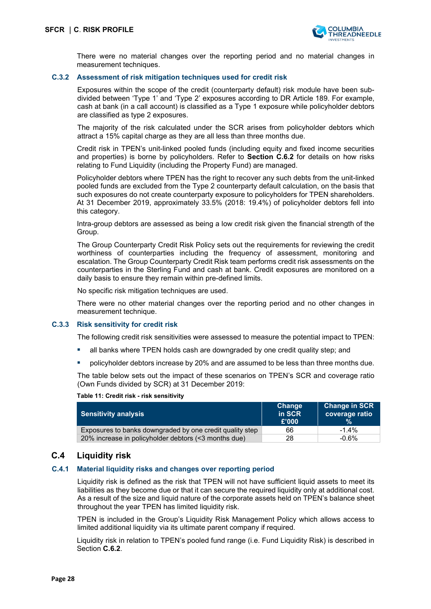

There were no material changes over the reporting period and no material changes in measurement techniques.

#### **C.3.2 Assessment of risk mitigation techniques used for credit risk**

Exposures within the scope of the credit (counterparty default) risk module have been subdivided between 'Type 1' and 'Type 2' exposures according to DR Article 189. For example, cash at bank (in a call account) is classified as a Type 1 exposure while policyholder debtors are classified as type 2 exposures.

The majority of the risk calculated under the SCR arises from policyholder debtors which attract a 15% capital charge as they are all less than three months due.

Credit risk in TPEN's unit-linked pooled funds (including equity and fixed income securities and properties) is borne by policyholders. Refer to **Section C.6.2** for details on how risks relating to Fund Liquidity (including the Property Fund) are managed.

Policyholder debtors where TPEN has the right to recover any such debts from the unit-linked pooled funds are excluded from the Type 2 counterparty default calculation, on the basis that such exposures do not create counterparty exposure to policyholders for TPEN shareholders. At 31 December 2019, approximately 33.5% (2018: 19.4%) of policyholder debtors fell into this category.

Intra-group debtors are assessed as being a low credit risk given the financial strength of the Group.

The Group Counterparty Credit Risk Policy sets out the requirements for reviewing the credit worthiness of counterparties including the frequency of assessment, monitoring and escalation. The Group Counterparty Credit Risk team performs credit risk assessments on the counterparties in the Sterling Fund and cash at bank. Credit exposures are monitored on a daily basis to ensure they remain within pre-defined limits.

No specific risk mitigation techniques are used.

There were no other material changes over the reporting period and no other changes in measurement technique.

#### **C.3.3 Risk sensitivity for credit risk**

The following credit risk sensitivities were assessed to measure the potential impact to TPEN:

- **EXECUTER 19 all banks where TPEN holds cash are downgraded by one credit quality step; and**
- **•** policyholder debtors increase by 20% and are assumed to be less than three months due.

The table below sets out the impact of these scenarios on TPEN's SCR and coverage ratio (Own Funds divided by SCR) at 31 December 2019:

#### **Table 11: Credit risk - risk sensitivity**

| <b>Sensitivity analysis</b>                              | Change<br>in SCR<br>£'000 | <b>Change in SCR</b><br>coverage ratio<br>$\frac{9}{6}$ |
|----------------------------------------------------------|---------------------------|---------------------------------------------------------|
| Exposures to banks downgraded by one credit quality step | 66                        | $-1.4\%$                                                |
| 20% increase in policyholder debtors (<3 months due)     | 28                        | $-0.6\%$                                                |

# <span id="page-27-0"></span>**C.4 Liquidity risk**

#### **C.4.1 Material liquidity risks and changes over reporting period**

Liquidity risk is defined as the risk that TPEN will not have sufficient liquid assets to meet its liabilities as they become due or that it can secure the required liquidity only at additional cost. As a result of the size and liquid nature of the corporate assets held on TPEN's balance sheet throughout the year TPEN has limited liquidity risk.

TPEN is included in the Group's Liquidity Risk Management Policy which allows access to limited additional liquidity via its ultimate parent company if required.

Liquidity risk in relation to TPEN's pooled fund range (i.e. Fund Liquidity Risk) is described in Section **C.6.2**.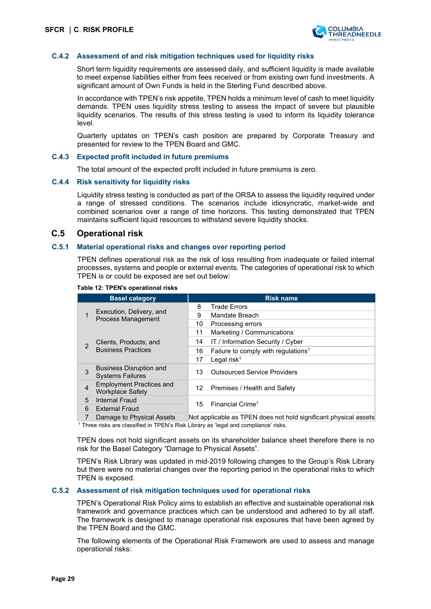

#### **C.4.2 Assessment of and risk mitigation techniques used for liquidity risks**

Short term liquidity requirements are assessed daily, and sufficient liquidity is made available to meet expense liabilities either from fees received or from existing own fund investments. A significant amount of Own Funds is held in the Sterling Fund described above.

In accordance with TPEN's risk appetite, TPEN holds a minimum level of cash to meet liquidity demands. TPEN uses liquidity stress testing to assess the impact of severe but plausible liquidity scenarios. The results of this stress testing is used to inform its liquidity tolerance level.

Quarterly updates on TPEN's cash position are prepared by Corporate Treasury and presented for review to the TPEN Board and GMC.

#### **C.4.3 Expected profit included in future premiums**

The total amount of the expected profit included in future premiums is zero.

#### **C.4.4 Risk sensitivity for liquidity risks**

Liquidity stress testing is conducted as part of the ORSA to assess the liquidity required under a range of stressed conditions. The scenarios include idiosyncratic, market-wide and combined scenarios over a range of time horizons. This testing demonstrated that TPEN maintains sufficient liquid resources to withstand severe liquidity shocks.

## <span id="page-28-0"></span>**C.5 Operational risk**

#### **C.5.1 Material operational risks and changes over reporting period**

TPEN defines operational risk as the risk of loss resulting from inadequate or failed internal processes, systems and people or external events. The categories of operational risk to which TPEN is or could be exposed are set out below:

|  |  |  | Table 12: TPEN's operational risks |  |
|--|--|--|------------------------------------|--|
|--|--|--|------------------------------------|--|

|                | <b>Basel category</b>                                      |    | <b>Risk name</b>                                |
|----------------|------------------------------------------------------------|----|-------------------------------------------------|
|                |                                                            | 8  | <b>Trade Errors</b>                             |
|                | Execution, Delivery, and<br>Process Management             | 9  | Mandate Breach                                  |
|                |                                                            | 10 | Processing errors                               |
|                |                                                            | 11 | Marketing / Communications                      |
|                | Clients, Products, and                                     | 14 | IT / Information Security / Cyber               |
|                | <b>Business Practices</b>                                  | 16 | Failure to comply with regulations <sup>1</sup> |
|                |                                                            | 17 | Legal risk <sup>1</sup>                         |
| 3              | <b>Business Disruption and</b><br><b>Systems Failures</b>  | 13 | <b>Outsourced Service Providers</b>             |
| $\overline{4}$ | <b>Employment Practices and</b><br><b>Workplace Safety</b> | 12 | Premises / Health and Safety                    |
| 5              | <b>Internal Fraud</b>                                      | 15 | <b>Financial Crime<sup>1</sup></b>              |
| 6              | <b>External Fraud</b>                                      |    |                                                 |
|                |                                                            |    |                                                 |

7 Damage to Physical Assets Not applicable as TPEN does not hold significant physical assets <sup>1</sup> Three risks are classified in TPEN's Risk Library as 'legal and compliance' risks.

TPEN does not hold significant assets on its shareholder balance sheet therefore there is no risk for the Basel Category "Damage to Physical Assets".

TPEN's Risk Library was updated in mid-2019 following changes to the Group's Risk Library but there were no material changes over the reporting period in the operational risks to which TPEN is exposed.

#### **C.5.2 Assessment of risk mitigation techniques used for operational risks**

TPEN's Operational Risk Policy aims to establish an effective and sustainable operational risk framework and governance practices which can be understood and adhered to by all staff. The framework is designed to manage operational risk exposures that have been agreed by the TPEN Board and the GMC.

The following elements of the Operational Risk Framework are used to assess and manage operational risks: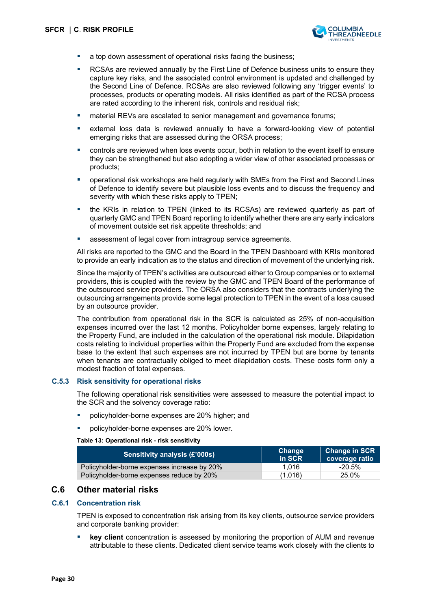

- a top down assessment of operational risks facing the business;
- **RCSAs are reviewed annually by the First Line of Defence business units to ensure they** capture key risks, and the associated control environment is updated and challenged by the Second Line of Defence. RCSAs are also reviewed following any 'trigger events' to processes, products or operating models. All risks identified as part of the RCSA process are rated according to the inherent risk, controls and residual risk;
- material REVs are escalated to senior management and governance forums;
- external loss data is reviewed annually to have a forward-looking view of potential emerging risks that are assessed during the ORSA process;
- controls are reviewed when loss events occur, both in relation to the event itself to ensure they can be strengthened but also adopting a wider view of other associated processes or products;
- **•** operational risk workshops are held regularly with SMEs from the First and Second Lines of Defence to identify severe but plausible loss events and to discuss the frequency and severity with which these risks apply to TPEN;
- the KRIs in relation to TPEN (linked to its RCSAs) are reviewed quarterly as part of quarterly GMC and TPEN Board reporting to identify whether there are any early indicators of movement outside set risk appetite thresholds; and
- **EXECTE:** assessment of legal cover from intragroup service agreements.

All risks are reported to the GMC and the Board in the TPEN Dashboard with KRIs monitored to provide an early indication as to the status and direction of movement of the underlying risk.

Since the majority of TPEN's activities are outsourced either to Group companies or to external providers, this is coupled with the review by the GMC and TPEN Board of the performance of the outsourced service providers. The ORSA also considers that the contracts underlying the outsourcing arrangements provide some legal protection to TPEN in the event of a loss caused by an outsource provider.

The contribution from operational risk in the SCR is calculated as 25% of non-acquisition expenses incurred over the last 12 months. Policyholder borne expenses, largely relating to the Property Fund, are included in the calculation of the operational risk module. Dilapidation costs relating to individual properties within the Property Fund are excluded from the expense base to the extent that such expenses are not incurred by TPEN but are borne by tenants when tenants are contractually obliged to meet dilapidation costs. These costs form only a modest fraction of total expenses.

#### **C.5.3 Risk sensitivity for operational risks**

The following operational risk sensitivities were assessed to measure the potential impact to the SCR and the solvency coverage ratio:

- **Propolicyholder-borne expenses are 20% higher; and**
- policyholder-borne expenses are 20% lower.

**Table 13: Operational risk - risk sensitivity**

| Sensitivity analysis (£'000s)               | Change<br>in SCR | Change in SCR<br>coverage ratio |
|---------------------------------------------|------------------|---------------------------------|
| Policyholder-borne expenses increase by 20% | 1.016            | $-20.5\%$                       |
| Policyholder-borne expenses reduce by 20%   | (1.016)          | 25.0%                           |

## <span id="page-29-0"></span>**C.6 Other material risks**

#### **C.6.1 Concentration risk**

TPEN is exposed to concentration risk arising from its key clients, outsource service providers and corporate banking provider:

 **key client** concentration is assessed by monitoring the proportion of AUM and revenue attributable to these clients. Dedicated client service teams work closely with the clients to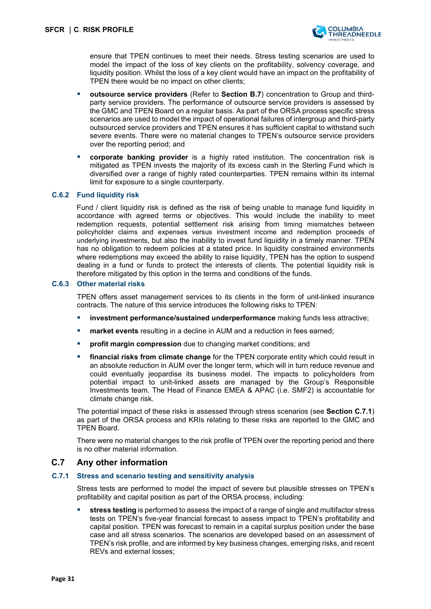

ensure that TPEN continues to meet their needs. Stress testing scenarios are used to model the impact of the loss of key clients on the profitability, solvency coverage, and liquidity position. Whilst the loss of a key client would have an impact on the profitability of TPEN there would be no impact on other clients;

- **outsource service providers** (Refer to **Section B.7**) concentration to Group and thirdparty service providers. The performance of outsource service providers is assessed by the GMC and TPEN Board on a regular basis. As part of the ORSA process specific stress scenarios are used to model the impact of operational failures of intergroup and third-party outsourced service providers and TPEN ensures it has sufficient capital to withstand such severe events. There were no material changes to TPEN's outsource service providers over the reporting period; and
- **corporate banking provider** is a highly rated institution. The concentration risk is mitigated as TPEN invests the majority of its excess cash in the Sterling Fund which is diversified over a range of highly rated counterparties. TPEN remains within its internal limit for exposure to a single counterparty.

## **C.6.2 Fund liquidity risk**

Fund / client liquidity risk is defined as the risk of being unable to manage fund liquidity in accordance with agreed terms or objectives. This would include the inability to meet redemption requests, potential settlement risk arising from timing mismatches between policyholder claims and expenses versus investment income and redemption proceeds of underlying investments, but also the inability to invest fund liquidity in a timely manner. TPEN has no obligation to redeem policies at a stated price. In liquidity constrained environments where redemptions may exceed the ability to raise liquidity, TPEN has the option to suspend dealing in a fund or funds to protect the interests of clients. The potential liquidity risk is therefore mitigated by this option in the terms and conditions of the funds.

## **C.6.3 Other material risks**

TPEN offers asset management services to its clients in the form of unit-linked insurance contracts. The nature of this service introduces the following risks to TPEN:

- **investment performance/sustained underperformance** making funds less attractive;
- **market events** resulting in a decline in AUM and a reduction in fees earned:
- **Profit margin compression** due to changing market conditions; and
- **financial risks from climate change** for the TPEN corporate entity which could result in an absolute reduction in AUM over the longer term, which will in turn reduce revenue and could eventually jeopardise its business model. The impacts to policyholders from potential impact to unit-linked assets are managed by the Group's Responsible Investments team. The Head of Finance EMEA & APAC (i.e. SMF2) is accountable for climate change risk.

The potential impact of these risks is assessed through stress scenarios (see **Section C.7.1**) as part of the ORSA process and KRIs relating to these risks are reported to the GMC and TPEN Board.

There were no material changes to the risk profile of TPEN over the reporting period and there is no other material information.

# <span id="page-30-0"></span>**C.7 Any other information**

#### **C.7.1 Stress and scenario testing and sensitivity analysis**

Stress tests are performed to model the impact of severe but plausible stresses on TPEN's profitability and capital position as part of the ORSA process, including:

 **stress testing** is performed to assess the impact of a range of single and multifactor stress tests on TPEN's five-year financial forecast to assess impact to TPEN's profitability and capital position. TPEN was forecast to remain in a capital surplus position under the base case and all stress scenarios. The scenarios are developed based on an assessment of TPEN's risk profile, and are informed by key business changes, emerging risks, and recent REVs and external losses;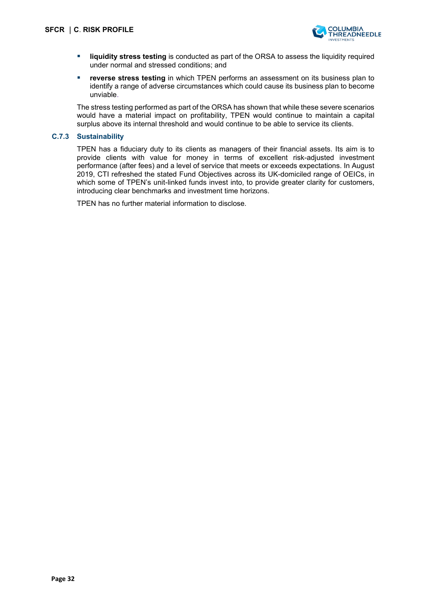

- **If is a liquidity stress testing** is conducted as part of the ORSA to assess the liquidity required under normal and stressed conditions; and
- **reverse stress testing** in which TPEN performs an assessment on its business plan to identify a range of adverse circumstances which could cause its business plan to become unviable.

The stress testing performed as part of the ORSA has shown that while these severe scenarios would have a material impact on profitability, TPEN would continue to maintain a capital surplus above its internal threshold and would continue to be able to service its clients.

## **C.7.3 Sustainability**

TPEN has a fiduciary duty to its clients as managers of their financial assets. Its aim is to provide clients with value for money in terms of excellent risk-adjusted investment performance (after fees) and a level of service that meets or exceeds expectations. In August 2019, CTI refreshed the stated Fund Objectives across its UK-domiciled range of OEICs, in which some of TPEN's unit-linked funds invest into, to provide greater clarity for customers, introducing clear benchmarks and investment time horizons.

TPEN has no further material information to disclose.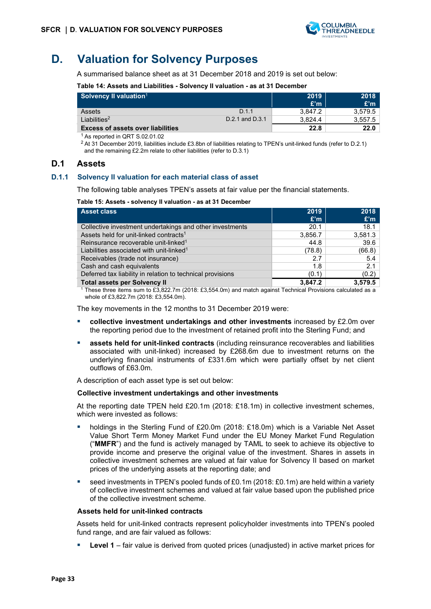

# <span id="page-32-0"></span>**D. Valuation for Solvency Purposes**

A summarised balance sheet as at 31 December 2018 and 2019 is set out below:

**Table 14: Assets and Liabilities - Solvency II valuation - as at 31 December**

| Solvency II valuation <sup>1</sup>       |                 | 2019<br>E'm | 2018<br>E'm |
|------------------------------------------|-----------------|-------------|-------------|
| Assets                                   | D.1.1           | 3.847.2     | 3.579.5     |
| $1$ iabilities <sup>2</sup>              | D.2.1 and D.3.1 | 3.824.4     | 3,557.5     |
| <b>Excess of assets over liabilities</b> |                 | 22.8        | 22.0        |

1 As reported in QRT S.02.01.02

<sup>2</sup> At 31 December 2019, liabilities include £3.8bn of liabilities relating to TPEN's unit-linked funds (refer to D.2.1) and the remaining £2.2m relate to other liabilities (refer to D.3.1)

## <span id="page-32-1"></span>**D.1 Assets**

## **D.1.1 Solvency II valuation for each material class of asset**

The following table analyses TPEN's assets at fair value per the financial statements.

**Table 15: Assets - solvency II valuation - as at 31 December**

| <b>Asset class</b>                                         | 2019    | 2018    |
|------------------------------------------------------------|---------|---------|
|                                                            | E'm     | E'm     |
| Collective investment undertakings and other investments   | 20.1    | 18.1    |
| Assets held for unit-linked contracts <sup>1</sup>         | 3,856.7 | 3,581.3 |
| Reinsurance recoverable unit-linked <sup>1</sup>           | 44.8    | 39.6    |
| Liabilities associated with unit-linked <sup>1</sup>       | (78.8)  | (66.8)  |
| Receivables (trade not insurance)                          | 2.7     | 5.4     |
| Cash and cash equivalents                                  | 1.8     | 2.1     |
| Deferred tax liability in relation to technical provisions | (0.1)   | (0.2)   |
| <b>Total assets per Solvency II</b>                        | 3.847.2 | 3.579.5 |

<sup>1</sup> These three items sum to £3,822.7m (2018: £3,554.0m) and match against Technical Provisions calculated as a whole of £3,822.7m (2018: £3,554.0m).

The key movements in the 12 months to 31 December 2019 were:

- **collective investment undertakings and other investments** increased by £2.0m over the reporting period due to the investment of retained profit into the Sterling Fund; and
- **assets held for unit-linked contracts** (including reinsurance recoverables and liabilities associated with unit-linked) increased by £268.6m due to investment returns on the underlying financial instruments of £331.6m which were partially offset by net client outflows of £63.0m.

A description of each asset type is set out below:

#### **Collective investment undertakings and other investments**

At the reporting date TPEN held £20.1m (2018: £18.1m) in collective investment schemes, which were invested as follows:

- holdings in the Sterling Fund of £20.0m (2018: £18.0m) which is a Variable Net Asset Value Short Term Money Market Fund under the EU Money Market Fund Regulation ("**MMFR**") and the fund is actively managed by TAML to seek to achieve its objective to provide income and preserve the original value of the investment. Shares in assets in collective investment schemes are valued at fair value for Solvency II based on market prices of the underlying assets at the reporting date; and
- seed investments in TPEN's pooled funds of £0.1m (2018: £0.1m) are held within a variety of collective investment schemes and valued at fair value based upon the published price of the collective investment scheme.

## **Assets held for unit-linked contracts**

Assets held for unit-linked contracts represent policyholder investments into TPEN's pooled fund range, and are fair valued as follows:

**Level 1** – fair value is derived from quoted prices (unadjusted) in active market prices for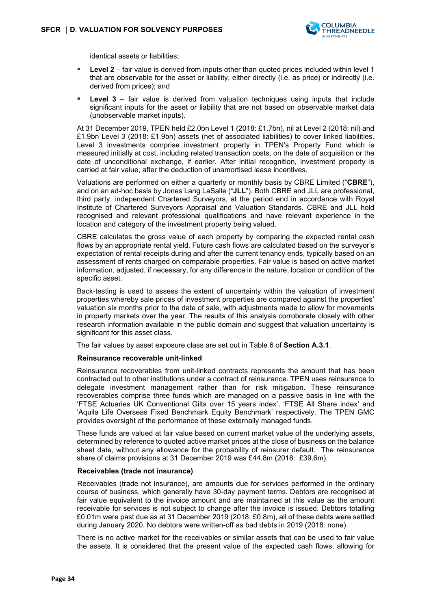

identical assets or liabilities;

- **Level 2** fair value is derived from inputs other than quoted prices included within level 1 that are observable for the asset or liability, either directly (i.e. as price) or indirectly (i.e. derived from prices); and
- **Level 3** fair value is derived from valuation techniques using inputs that include significant inputs for the asset or liability that are not based on observable market data (unobservable market inputs).

At 31 December 2019, TPEN held £2.0bn Level 1 (2018: £1.7bn), nil at Level 2 (2018: nil) and £1.9bn Level 3 (2018: £1.9bn) assets (net of associated liabilities) to cover linked liabilities. Level 3 investments comprise investment property in TPEN's Property Fund which is measured initially at cost, including related transaction costs, on the date of acquisition or the date of unconditional exchange, if earlier. After initial recognition, investment property is carried at fair value, after the deduction of unamortised lease incentives.

Valuations are performed on either a quarterly or monthly basis by CBRE Limited ("**CBRE**"), and on an ad-hoc basis by Jones Lang LaSalle ("**JLL**"). Both CBRE and JLL are professional, third party, independent Chartered Surveyors, at the period end in accordance with Royal Institute of Chartered Surveyors Appraisal and Valuation Standards. CBRE and JLL hold recognised and relevant professional qualifications and have relevant experience in the location and category of the investment property being valued.

CBRE calculates the gross value of each property by comparing the expected rental cash flows by an appropriate rental yield. Future cash flows are calculated based on the surveyor's expectation of rental receipts during and after the current tenancy ends, typically based on an assessment of rents charged on comparable properties. Fair value is based on active market information, adjusted, if necessary, for any difference in the nature, location or condition of the specific asset.

Back-testing is used to assess the extent of uncertainty within the valuation of investment properties whereby sale prices of investment properties are compared against the properties' valuation six months prior to the date of sale, with adjustments made to allow for movements in property markets over the year. The results of this analysis corroborate closely with other research information available in the public domain and suggest that valuation uncertainty is significant for this asset class.

The fair values by asset exposure class are set out in [Table 6](#page-9-1) of **Section A.3.1**.

#### **Reinsurance recoverable unit-linked**

Reinsurance recoverables from unit-linked contracts represents the amount that has been contracted out to other institutions under a contract of reinsurance. TPEN uses reinsurance to delegate investment management rather than for risk mitigation. These reinsurance recoverables comprise three funds which are managed on a passive basis in line with the 'FTSE Actuaries UK Conventional Gilts over 15 years index', 'FTSE All Share index' and 'Aquila Life Overseas Fixed Benchmark Equity Benchmark' respectively. The TPEN GMC provides oversight of the performance of these externally managed funds.

These funds are valued at fair value based on current market value of the underlying assets, determined by reference to quoted active market prices at the close of business on the balance sheet date, without any allowance for the probability of reinsurer default. The reinsurance share of claims provisions at 31 December 2019 was £44.8m (2018: £39.6m).

## **Receivables (trade not insurance)**

Receivables (trade not insurance), are amounts due for services performed in the ordinary course of business, which generally have 30-day payment terms. Debtors are recognised at fair value equivalent to the invoice amount and are maintained at this value as the amount receivable for services is not subject to change after the invoice is issued. Debtors totalling £0.01m were past due as at 31 December 2019 (2018: £0.8m), all of these debts were settled during January 2020. No debtors were written-off as bad debts in 2019 (2018: none).

There is no active market for the receivables or similar assets that can be used to fair value the assets. It is considered that the present value of the expected cash flows, allowing for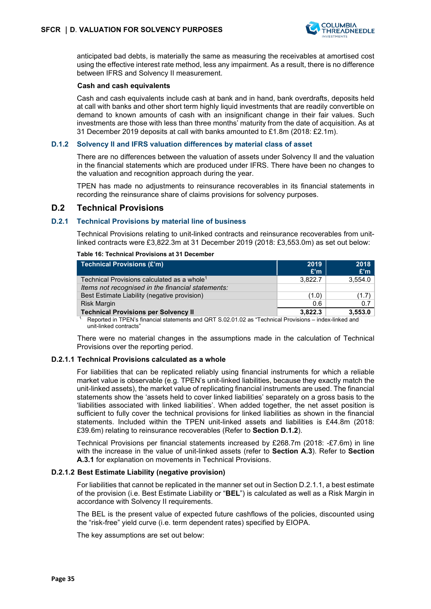

anticipated bad debts, is materially the same as measuring the receivables at amortised cost using the effective interest rate method, less any impairment. As a result, there is no difference between IFRS and Solvency II measurement.

#### **Cash and cash equivalents**

Cash and cash equivalents include cash at bank and in hand, bank overdrafts, deposits held at call with banks and other short term highly liquid investments that are readily convertible on demand to known amounts of cash with an insignificant change in their fair values. Such investments are those with less than three months' maturity from the date of acquisition. As at 31 December 2019 deposits at call with banks amounted to £1.8m (2018: £2.1m).

#### **D.1.2 Solvency II and IFRS valuation differences by material class of asset**

There are no differences between the valuation of assets under Solvency II and the valuation in the financial statements which are produced under IFRS. There have been no changes to the valuation and recognition approach during the year.

TPEN has made no adjustments to reinsurance recoverables in its financial statements in recording the reinsurance share of claims provisions for solvency purposes.

## <span id="page-34-0"></span>**D.2 Technical Provisions**

#### **D.2.1 Technical Provisions by material line of business**

Technical Provisions relating to unit-linked contracts and reinsurance recoverables from unitlinked contracts were £3,822.3m at 31 December 2019 (2018: £3,553.0m) as set out below:

## <span id="page-34-1"></span>**Table 16: Technical Provisions at 31 December**

| <b>Technical Provisions (£'m)</b>                       | 2019<br>E'm | 2018<br>E'm |
|---------------------------------------------------------|-------------|-------------|
| Technical Provisions calculated as a whole <sup>1</sup> | 3.822.7     | 3,554.0     |
| Items not recognised in the financial statements:       |             |             |
| Best Estimate Liability (negative provision)            | (1.0)       | $(1.7)$     |
| <b>Risk Margin</b>                                      | 0.6         | $0.7 \perp$ |
| <b>Technical Provisions per Solvency II</b>             | 3,822.3     | 3,553.0     |

1. Reported in TPEN's financial statements and QRT S.02.01.02 as "Technical Provisions – index-linked and unit-linked contracts"

There were no material changes in the assumptions made in the calculation of Technical Provisions over the reporting period.

#### **D.2.1.1 Technical Provisions calculated as a whole**

For liabilities that can be replicated reliably using financial instruments for which a reliable market value is observable (e.g. TPEN's unit-linked liabilities, because they exactly match the unit-linked assets), the market value of replicating financial instruments are used. The financial statements show the 'assets held to cover linked liabilities' separately on a gross basis to the 'liabilities associated with linked liabilities'. When added together, the net asset position is sufficient to fully cover the technical provisions for linked liabilities as shown in the financial statements. Included within the TPEN unit-linked assets and liabilities is £44.8m (2018: £39.6m) relating to reinsurance recoverables (Refer to **Section D.1.2**).

Technical Provisions per financial statements increased by £268.7m (2018: -£7.6m) in line with the increase in the value of unit-linked assets (refer to **Section A.3**). Refer to **Section A.3.1** for explanation on movements in Technical Provisions.

#### **D.2.1.2 Best Estimate Liability (negative provision)**

For liabilities that cannot be replicated in the manner set out in Section D.2.1.1, a best estimate of the provision (i.e. Best Estimate Liability or "**BEL**") is calculated as well as a Risk Margin in accordance with Solvency II requirements.

The BEL is the present value of expected future cashflows of the policies, discounted using the "risk-free" yield curve (i.e. term dependent rates) specified by EIOPA.

The key assumptions are set out below: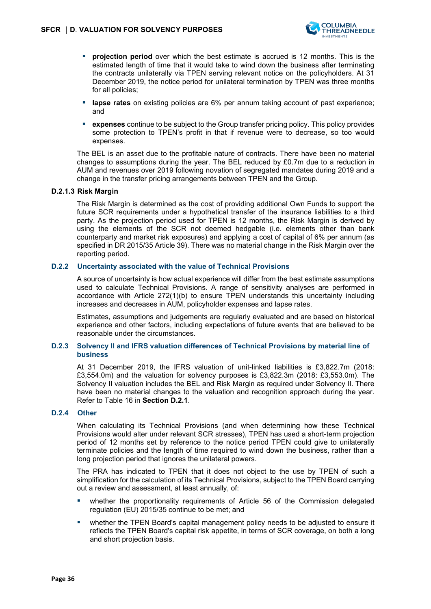

- **projection period** over which the best estimate is accrued is 12 months. This is the estimated length of time that it would take to wind down the business after terminating the contracts unilaterally via TPEN serving relevant notice on the policyholders. At 31 December 2019, the notice period for unilateral termination by TPEN was three months for all policies;
- **lapse rates** on existing policies are 6% per annum taking account of past experience; and
- **expenses** continue to be subject to the Group transfer pricing policy. This policy provides some protection to TPEN's profit in that if revenue were to decrease, so too would expenses.

The BEL is an asset due to the profitable nature of contracts. There have been no material changes to assumptions during the year. The BEL reduced by £0.7m due to a reduction in AUM and revenues over 2019 following novation of segregated mandates during 2019 and a change in the transfer pricing arrangements between TPEN and the Group.

#### **D.2.1.3 Risk Margin**

The Risk Margin is determined as the cost of providing additional Own Funds to support the future SCR requirements under a hypothetical transfer of the insurance liabilities to a third party. As the projection period used for TPEN is 12 months, the Risk Margin is derived by using the elements of the SCR not deemed hedgable (i.e. elements other than bank counterparty and market risk exposures) and applying a cost of capital of 6% per annum (as specified in DR 2015/35 Article 39). There was no material change in the Risk Margin over the reporting period.

## **D.2.2 Uncertainty associated with the value of Technical Provisions**

A source of uncertainty is how actual experience will differ from the best estimate assumptions used to calculate Technical Provisions. A range of sensitivity analyses are performed in accordance with Article 272(1)(b) to ensure TPEN understands this uncertainty including increases and decreases in AUM, policyholder expenses and lapse rates.

Estimates, assumptions and judgements are regularly evaluated and are based on historical experience and other factors, including expectations of future events that are believed to be reasonable under the circumstances.

#### **D.2.3 Solvency II and IFRS valuation differences of Technical Provisions by material line of business**

At 31 December 2019, the IFRS valuation of unit-linked liabilities is £3,822.7m (2018: £3,554.0m) and the valuation for solvency purposes is £3,822.3m (2018: £3,553.0m). The Solvency II valuation includes the BEL and Risk Margin as required under Solvency II. There have been no material changes to the valuation and recognition approach during the year. Refer to [Table 16](#page-34-1) in **Section D.2.1**.

## **D.2.4 Other**

When calculating its Technical Provisions (and when determining how these Technical Provisions would alter under relevant SCR stresses), TPEN has used a short-term projection period of 12 months set by reference to the notice period TPEN could give to unilaterally terminate policies and the length of time required to wind down the business, rather than a long projection period that ignores the unilateral powers.

The PRA has indicated to TPEN that it does not object to the use by TPEN of such a simplification for the calculation of its Technical Provisions, subject to the TPEN Board carrying out a review and assessment, at least annually, of:

- whether the proportionality requirements of Article 56 of the Commission delegated regulation (EU) 2015/35 continue to be met; and
- whether the TPEN Board's capital management policy needs to be adjusted to ensure it reflects the TPEN Board's capital risk appetite, in terms of SCR coverage, on both a long and short projection basis.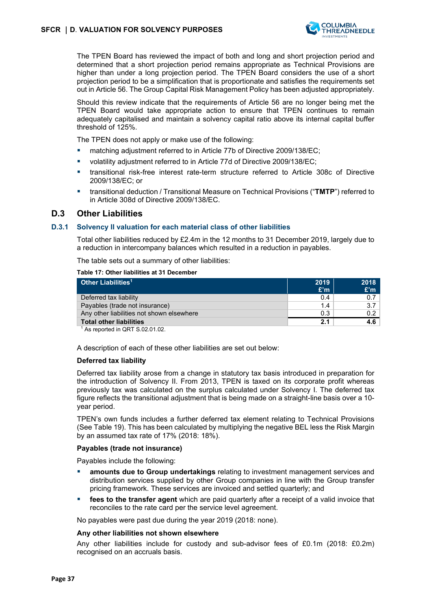

The TPEN Board has reviewed the impact of both and long and short projection period and determined that a short projection period remains appropriate as Technical Provisions are higher than under a long projection period. The TPEN Board considers the use of a short projection period to be a simplification that is proportionate and satisfies the requirements set out in Article 56. The Group Capital Risk Management Policy has been adjusted appropriately.

Should this review indicate that the requirements of Article 56 are no longer being met the TPEN Board would take appropriate action to ensure that TPEN continues to remain adequately capitalised and maintain a solvency capital ratio above its internal capital buffer threshold of 125%.

The TPEN does not apply or make use of the following:

- **natching adjustment referred to in Article 77b of Directive 2009/138/EC;**
- **•** volatility adjustment referred to in Article 77d of Directive 2009/138/EC;
- transitional risk-free interest rate-term structure referred to Article 308c of Directive 2009/138/EC; or
- transitional deduction / Transitional Measure on Technical Provisions ("**TMTP**") referred to in Article 308d of Directive 2009/138/EC.

#### <span id="page-36-0"></span>**D.3 Other Liabilities**

#### **D.3.1 Solvency II valuation for each material class of other liabilities**

Total other liabilities reduced by £2.4m in the 12 months to 31 December 2019, largely due to a reduction in intercompany balances which resulted in a reduction in payables.

The table sets out a summary of other liabilities:

#### **Table 17: Other liabilities at 31 December**

| Other Liabilities <sup>1</sup>                                                                                                                                                                                                                                                                                                                                                                                         | 2019<br>E'm | 2018<br>E'm |
|------------------------------------------------------------------------------------------------------------------------------------------------------------------------------------------------------------------------------------------------------------------------------------------------------------------------------------------------------------------------------------------------------------------------|-------------|-------------|
| Deferred tax liability                                                                                                                                                                                                                                                                                                                                                                                                 | 0.4         | 0.7         |
| Payables (trade not insurance)                                                                                                                                                                                                                                                                                                                                                                                         | 1.4         | 3.7         |
| Any other liabilities not shown elsewhere                                                                                                                                                                                                                                                                                                                                                                              | 0.3         | 0.2         |
| <b>Total other liabilities</b><br>$\overline{1}$ $\overline{1}$ $\overline{1}$ $\overline{1}$ $\overline{1}$ $\overline{1}$ $\overline{1}$ $\overline{1}$ $\overline{1}$ $\overline{1}$ $\overline{1}$ $\overline{1}$ $\overline{1}$ $\overline{1}$ $\overline{1}$ $\overline{1}$ $\overline{1}$ $\overline{1}$ $\overline{1}$ $\overline{1}$ $\overline{1}$ $\overline{1}$ $\overline{1}$ $\overline{1}$ $\overline{$ | 2.1         | 4.6         |

 $1$  As reported in QRT S.02.01.02.

A description of each of these other liabilities are set out below:

#### **Deferred tax liability**

Deferred tax liability arose from a change in statutory tax basis introduced in preparation for the introduction of Solvency II. From 2013, TPEN is taxed on its corporate profit whereas previously tax was calculated on the surplus calculated under Solvency I. The deferred tax figure reflects the transitional adjustment that is being made on a straight-line basis over a 10 year period.

TPEN's own funds includes a further deferred tax element relating to Technical Provisions (See [Table 19\)](#page-38-2). This has been calculated by multiplying the negative BEL less the Risk Margin by an assumed tax rate of 17% (2018: 18%).

#### **Payables (trade not insurance)**

Payables include the following:

- **amounts due to Group undertakings** relating to investment management services and distribution services supplied by other Group companies in line with the Group transfer pricing framework. These services are invoiced and settled quarterly; and
- **fees to the transfer agent** which are paid quarterly after a receipt of a valid invoice that reconciles to the rate card per the service level agreement.

No payables were past due during the year 2019 (2018: none).

#### **Any other liabilities not shown elsewhere**

Any other liabilities include for custody and sub-advisor fees of £0.1m (2018: £0.2m) recognised on an accruals basis.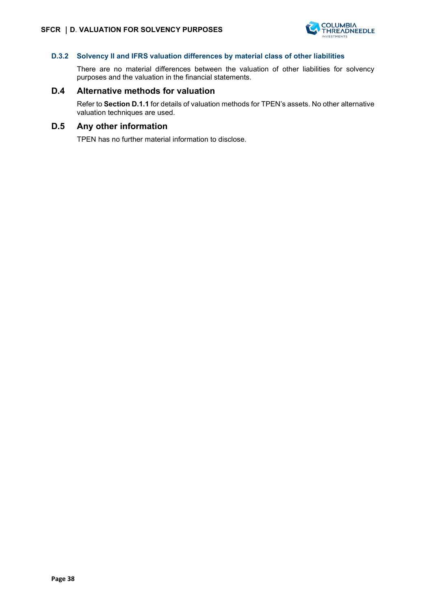

## **D.3.2 Solvency II and IFRS valuation differences by material class of other liabilities**

There are no material differences between the valuation of other liabilities for solvency purposes and the valuation in the financial statements.

## <span id="page-37-0"></span>**D.4 Alternative methods for valuation**

Refer to **Section D.1.1** for details of valuation methods for TPEN's assets. No other alternative valuation techniques are used.

## <span id="page-37-1"></span>**D.5 Any other information**

TPEN has no further material information to disclose.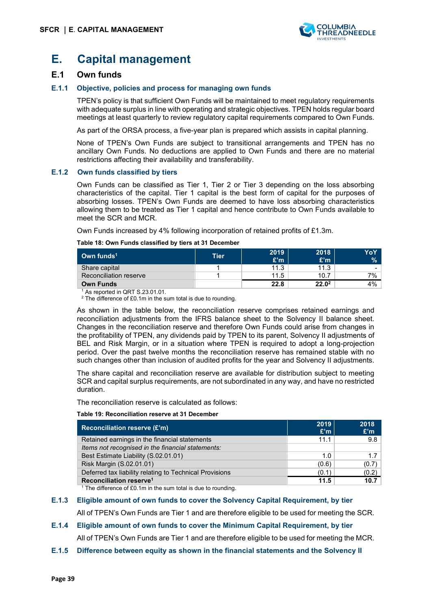

# <span id="page-38-0"></span>**E. Capital management**

## <span id="page-38-1"></span>**E.1 Own funds**

#### **E.1.1 Objective, policies and process for managing own funds**

TPEN's policy is that sufficient Own Funds will be maintained to meet regulatory requirements with adequate surplus in line with operating and strategic objectives. TPEN holds regular board meetings at least quarterly to review regulatory capital requirements compared to Own Funds.

As part of the ORSA process, a five-year plan is prepared which assists in capital planning.

None of TPEN's Own Funds are subject to transitional arrangements and TPEN has no ancillary Own Funds. No deductions are applied to Own Funds and there are no material restrictions affecting their availability and transferability.

#### **E.1.2 Own funds classified by tiers**

Own Funds can be classified as Tier 1, Tier 2 or Tier 3 depending on the loss absorbing characteristics of the capital. Tier 1 capital is the best form of capital for the purposes of absorbing losses. TPEN's Own Funds are deemed to have loss absorbing characteristics allowing them to be treated as Tier 1 capital and hence contribute to Own Funds available to meet the SCR and MCR.

Own Funds increased by 4% following incorporation of retained profits of £1.3m.

#### **Table 18: Own Funds classified by tiers at 31 December**

| Own funds <sup>1</sup> | Tier | 2019<br>£'m | 2018<br>E'mi      | YoY<br>$\frac{9}{6}$ |
|------------------------|------|-------------|-------------------|----------------------|
| Share capital          |      | 11.3        | 11.3              | -                    |
| Reconciliation reserve |      | 11.5        | 10.7              | 7%                   |
| <b>Own Funds</b>       |      | 22.8        | 22.0 <sup>2</sup> | 4%                   |

<sup>1</sup> As reported in QRT S.23.01.01.

<sup>2</sup> The difference of £0.1m in the sum total is due to rounding.

As shown in the table below, the reconciliation reserve comprises retained earnings and reconciliation adjustments from the IFRS balance sheet to the Solvency II balance sheet. Changes in the reconciliation reserve and therefore Own Funds could arise from changes in the profitability of TPEN, any dividends paid by TPEN to its parent, Solvency II adjustments of BEL and Risk Margin, or in a situation where TPEN is required to adopt a long-projection period. Over the past twelve months the reconciliation reserve has remained stable with no such changes other than inclusion of audited profits for the year and Solvency II adjustments.

The share capital and reconciliation reserve are available for distribution subject to meeting SCR and capital surplus requirements, are not subordinated in any way, and have no restricted duration.

The reconciliation reserve is calculated as follows:

#### **Table 19: Reconciliation reserve at 31 December**

<span id="page-38-2"></span>

| <b>Reconciliation reserve (£'m)</b>                     | 2019<br>E'm | 2018<br>E'm |
|---------------------------------------------------------|-------------|-------------|
| Retained earnings in the financial statements           | 11.1        | 9.8         |
| Items not recognised in the financial statements:       |             |             |
| Best Estimate Liability (S.02.01.01)                    | 1.0         | 1.7         |
| Risk Margin (S.02.01.01)                                | (0.6)       | (0.7)       |
| Deferred tax liability relating to Technical Provisions | (0.1)       | (0.2)       |
| Reconciliation reserve <sup>1</sup>                     | 11.5        | 10.7        |

 $1$  The difference of £0.1m in the sum total is due to rounding.

#### **E.1.3 Eligible amount of own funds to cover the Solvency Capital Requirement, by tier**

All of TPEN's Own Funds are Tier 1 and are therefore eligible to be used for meeting the SCR.

# **E.1.4 Eligible amount of own funds to cover the Minimum Capital Requirement, by tier**

All of TPEN's Own Funds are Tier 1 and are therefore eligible to be used for meeting the MCR.

#### **E.1.5 Difference between equity as shown in the financial statements and the Solvency II**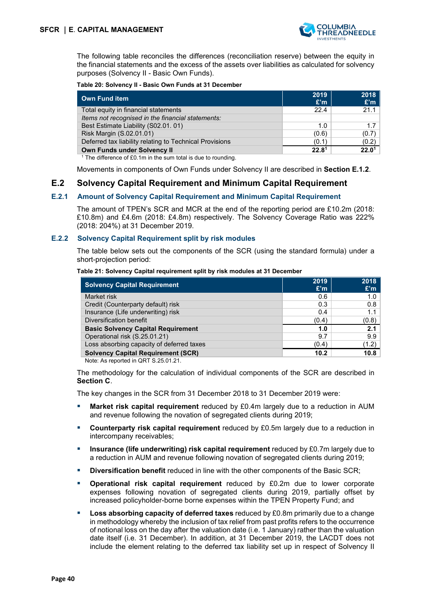

The following table reconciles the differences (reconciliation reserve) between the equity in the financial statements and the excess of the assets over liabilities as calculated for solvency purposes (Solvency II - Basic Own Funds).

#### **Table 20: Solvency II - Basic Own Funds at 31 December**

| <b>Own Fund item</b>                                    | 2019<br>E'm       | 2018<br>E'm       |
|---------------------------------------------------------|-------------------|-------------------|
| Total equity in financial statements                    | 22.4              | 21.1              |
| Items not recognised in the financial statements:       |                   |                   |
| Best Estimate Liability (S02.01.01)                     | 1.0               | 1.7               |
| Risk Margin (S.02.01.01)                                | (0.6)             | (0.7)             |
| Deferred tax liability relating to Technical Provisions | (0.1)             | (0.2)             |
| <b>Own Funds under Solvency II</b>                      | 22.8 <sup>1</sup> | 22.0 <sup>1</sup> |

<sup>1</sup> The difference of £0.1m in the sum total is due to rounding.

Movements in components of Own Funds under Solvency II are described in **Section E.1.2**.

# <span id="page-39-0"></span>**E.2 Solvency Capital Requirement and Minimum Capital Requirement**

## **E.2.1 Amount of Solvency Capital Requirement and Minimum Capital Requirement**

The amount of TPEN's SCR and MCR at the end of the reporting period are £10.2m (2018: £10.8m) and £4.6m (2018: £4.8m) respectively. The Solvency Coverage Ratio was 222% (2018: 204%) at 31 December 2019.

#### **E.2.2 Solvency Capital Requirement split by risk modules**

The table below sets out the components of the SCR (using the standard formula) under a short-projection period:

| <b>Solvency Capital Requirement</b>       | 2019<br>E'm | 2018<br>E'm |
|-------------------------------------------|-------------|-------------|
| Market risk                               | 0.6         | 1.0         |
| Credit (Counterparty default) risk        | 0.3         | 0.8         |
| Insurance (Life underwriting) risk        | 0.4         | 1.1         |
| Diversification benefit                   | (0.4)       | (0.8)       |
| <b>Basic Solvency Capital Requirement</b> | 1.0         | 2.1         |
| Operational risk (S.25.01.21)             | 9.7         | 9.9         |
| Loss absorbing capacity of deferred taxes | (0.4)       | (1.2)       |
| <b>Solvency Capital Requirement (SCR)</b> | 10.2        | 10.8        |
| Note: As reported in ODT C OF 04.24       |             |             |

**Table 21: Solvency Capital requirement split by risk modules at 31 December**

Note: As reported in QRT S.25.01.21.

The methodology for the calculation of individual components of the SCR are described in **Section C**.

The key changes in the SCR from 31 December 2018 to 31 December 2019 were:

- **Market risk capital requirement** reduced by £0.4m largely due to a reduction in AUM and revenue following the novation of segregated clients during 2019;
- **Counterparty risk capital requirement** reduced by £0.5m largely due to a reduction in intercompany receivables;
- **Insurance (life underwriting) risk capital requirement** reduced by £0.7m largely due to a reduction in AUM and revenue following novation of segregated clients during 2019;
- **Diversification benefit** reduced in line with the other components of the Basic SCR;
- **Operational risk capital requirement** reduced by £0.2m due to lower corporate expenses following novation of segregated clients during 2019, partially offset by increased policyholder-borne borne expenses within the TPEN Property Fund; and
- **Loss absorbing capacity of deferred taxes** reduced by £0.8m primarily due to a change in methodology whereby the inclusion of tax relief from past profits refers to the occurrence of notional loss on the day after the valuation date (i.e. 1 January) rather than the valuation date itself (i.e. 31 December). In addition, at 31 December 2019, the LACDT does not include the element relating to the deferred tax liability set up in respect of Solvency II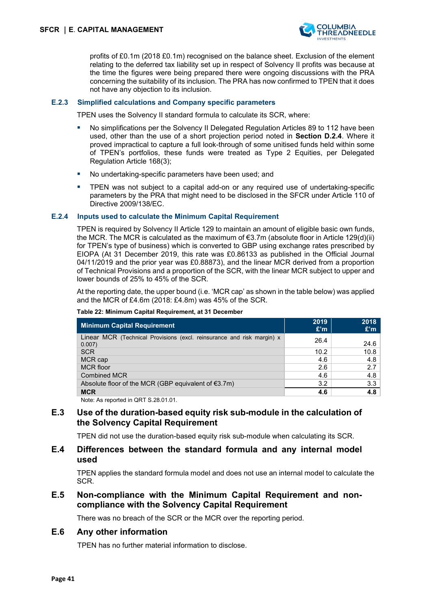

profits of £0.1m (2018 £0.1m) recognised on the balance sheet. Exclusion of the element relating to the deferred tax liability set up in respect of Solvency II profits was because at the time the figures were being prepared there were ongoing discussions with the PRA concerning the suitability of its inclusion. The PRA has now confirmed to TPEN that it does not have any objection to its inclusion.

## **E.2.3 Simplified calculations and Company specific parameters**

TPEN uses the Solvency II standard formula to calculate its SCR, where:

- No simplifications per the Solvency II Delegated Regulation Articles 89 to 112 have been used, other than the use of a short projection period noted in **Section D.2.4**. Where it proved impractical to capture a full look-through of some unitised funds held within some of TPEN's portfolios, these funds were treated as Type 2 Equities, per Delegated Regulation Article 168(3);
- No undertaking-specific parameters have been used; and
- TPEN was not subject to a capital add-on or any required use of undertaking-specific parameters by the PRA that might need to be disclosed in the SFCR under Article 110 of Directive 2009/138/EC.

#### **E.2.4 Inputs used to calculate the Minimum Capital Requirement**

TPEN is required by Solvency II Article 129 to maintain an amount of eligible basic own funds, the MCR. The MCR is calculated as the maximum of  $\epsilon$ 3.7m (absolute floor in Article 129(d)(ii) for TPEN's type of business) which is converted to GBP using exchange rates prescribed by EIOPA (At 31 December 2019, this rate was £0.86133 as published in the Official Journal 04/11/2019 and the prior year was £0.88873), and the linear MCR derived from a proportion of Technical Provisions and a proportion of the SCR, with the linear MCR subject to upper and lower bounds of 25% to 45% of the SCR.

At the reporting date, the upper bound (i.e. 'MCR cap' as shown in the table below) was applied and the MCR of £4.6m (2018: £4.8m) was 45% of the SCR.

| <b>Minimum Capital Requirement</b>                                               | 2019<br>E'm | 2018<br>E'm |
|----------------------------------------------------------------------------------|-------------|-------------|
| Linear MCR (Technical Provisions (excl. reinsurance and risk margin) x<br>0.007) | 26.4        | 24.6        |
| <b>SCR</b>                                                                       | 10.2        | 10.8        |
| MCR cap                                                                          | 4.6         | 4.8         |
| <b>MCR</b> floor                                                                 | 2.6         | 2.7         |
| <b>Combined MCR</b>                                                              | 4.6         | 4.8         |
| Absolute floor of the MCR (GBP equivalent of $\epsilon$ 3.7m)                    | 3.2         | 3.3         |
| <b>MCR</b>                                                                       | 4.6         | 4.8         |

#### **Table 22: Minimum Capital Requirement, at 31 December**

Note: As reported in QRT S.28.01.01.

# <span id="page-40-0"></span>**E.3 Use of the duration-based equity risk sub-module in the calculation of the Solvency Capital Requirement**

TPEN did not use the duration-based equity risk sub-module when calculating its SCR.

# <span id="page-40-1"></span>**E.4 Differences between the standard formula and any internal model used**

TPEN applies the standard formula model and does not use an internal model to calculate the SCR.

# <span id="page-40-2"></span>**E.5 Non-compliance with the Minimum Capital Requirement and noncompliance with the Solvency Capital Requirement**

There was no breach of the SCR or the MCR over the reporting period.

# <span id="page-40-3"></span>**E.6 Any other information**

TPEN has no further material information to disclose.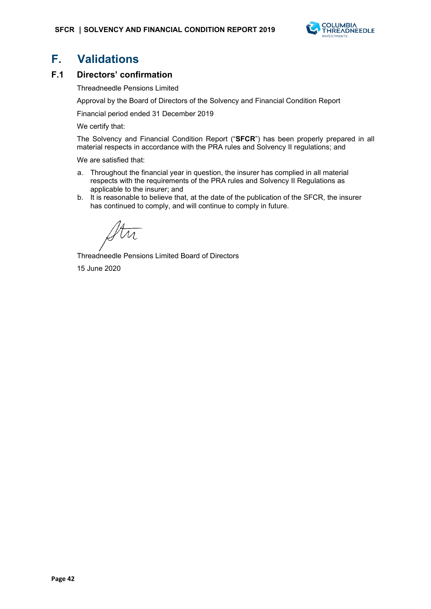

# <span id="page-41-0"></span>**F. Validations**

# <span id="page-41-1"></span>**F.1 Directors' confirmation**

Threadneedle Pensions Limited

Approval by the Board of Directors of the Solvency and Financial Condition Report

Financial period ended 31 December 2019

We certify that:

The Solvency and Financial Condition Report ("**SFCR**") has been properly prepared in all material respects in accordance with the PRA rules and Solvency II regulations; and

We are satisfied that:

- a. Throughout the financial year in question, the insurer has complied in all material respects with the requirements of the PRA rules and Solvency II Regulations as applicable to the insurer; and
- b. It is reasonable to believe that, at the date of the publication of the SFCR, the insurer has continued to comply, and will continue to comply in future.

Threadneedle Pensions Limited Board of Directors

15 June 2020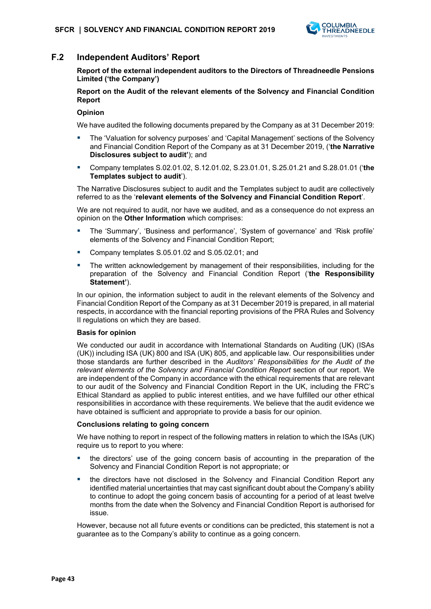

# <span id="page-42-0"></span>**F.2 Independent Auditors' Report**

**Report of the external independent auditors to the Directors of Threadneedle Pensions Limited ('the Company')** 

**Report on the Audit of the relevant elements of the Solvency and Financial Condition Report**

## **Opinion**

We have audited the following documents prepared by the Company as at 31 December 2019:

- The 'Valuation for solvency purposes' and 'Capital Management' sections of the Solvency and Financial Condition Report of the Company as at 31 December 2019, ('**the Narrative Disclosures subject to audit'**); and
- Company templates S.02.01.02, S.12.01.02, S.23.01.01, S.25.01.21 and S.28.01.01 ('**the Templates subject to audit**').

The Narrative Disclosures subject to audit and the Templates subject to audit are collectively referred to as the '**relevant elements of the Solvency and Financial Condition Report**'.

We are not required to audit, nor have we audited, and as a consequence do not express an opinion on the **Other Information** which comprises:

- The 'Summary', 'Business and performance', 'System of governance' and 'Risk profile' elements of the Solvency and Financial Condition Report;
- Company templates S.05.01.02 and S.05.02.01; and
- The written acknowledgement by management of their responsibilities, including for the preparation of the Solvency and Financial Condition Report ('**the Responsibility Statement'**).

In our opinion, the information subject to audit in the relevant elements of the Solvency and Financial Condition Report of the Company as at 31 December 2019 is prepared, in all material respects, in accordance with the financial reporting provisions of the PRA Rules and Solvency II regulations on which they are based.

#### **Basis for opinion**

We conducted our audit in accordance with International Standards on Auditing (UK) (ISAs (UK)) including ISA (UK) 800 and ISA (UK) 805, and applicable law. Our responsibilities under those standards are further described in the *Auditors' Responsibilities for the Audit of the relevant elements of the Solvency and Financial Condition Report* section of our report. We are independent of the Company in accordance with the ethical requirements that are relevant to our audit of the Solvency and Financial Condition Report in the UK, including the FRC's Ethical Standard as applied to public interest entities, and we have fulfilled our other ethical responsibilities in accordance with these requirements. We believe that the audit evidence we have obtained is sufficient and appropriate to provide a basis for our opinion.

#### **Conclusions relating to going concern**

We have nothing to report in respect of the following matters in relation to which the ISAs (UK) require us to report to you where:

- the directors' use of the going concern basis of accounting in the preparation of the Solvency and Financial Condition Report is not appropriate; or
- the directors have not disclosed in the Solvency and Financial Condition Report any identified material uncertainties that may cast significant doubt about the Company's ability to continue to adopt the going concern basis of accounting for a period of at least twelve months from the date when the Solvency and Financial Condition Report is authorised for issue.

However, because not all future events or conditions can be predicted, this statement is not a guarantee as to the Company's ability to continue as a going concern.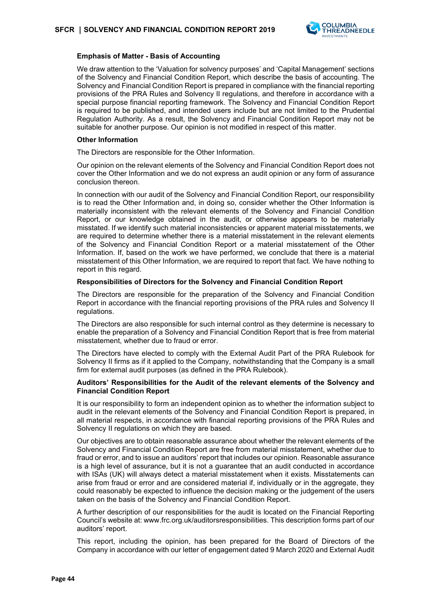

## **Emphasis of Matter - Basis of Accounting**

We draw attention to the 'Valuation for solvency purposes' and 'Capital Management' sections of the Solvency and Financial Condition Report, which describe the basis of accounting. The Solvency and Financial Condition Report is prepared in compliance with the financial reporting provisions of the PRA Rules and Solvency II regulations, and therefore in accordance with a special purpose financial reporting framework. The Solvency and Financial Condition Report is required to be published, and intended users include but are not limited to the Prudential Regulation Authority. As a result, the Solvency and Financial Condition Report may not be suitable for another purpose. Our opinion is not modified in respect of this matter.

#### **Other Information**

The Directors are responsible for the Other Information.

Our opinion on the relevant elements of the Solvency and Financial Condition Report does not cover the Other Information and we do not express an audit opinion or any form of assurance conclusion thereon.

In connection with our audit of the Solvency and Financial Condition Report, our responsibility is to read the Other Information and, in doing so, consider whether the Other Information is materially inconsistent with the relevant elements of the Solvency and Financial Condition Report, or our knowledge obtained in the audit, or otherwise appears to be materially misstated. If we identify such material inconsistencies or apparent material misstatements, we are required to determine whether there is a material misstatement in the relevant elements of the Solvency and Financial Condition Report or a material misstatement of the Other Information. If, based on the work we have performed, we conclude that there is a material misstatement of this Other Information, we are required to report that fact. We have nothing to report in this regard.

#### **Responsibilities of Directors for the Solvency and Financial Condition Report**

The Directors are responsible for the preparation of the Solvency and Financial Condition Report in accordance with the financial reporting provisions of the PRA rules and Solvency II regulations.

The Directors are also responsible for such internal control as they determine is necessary to enable the preparation of a Solvency and Financial Condition Report that is free from material misstatement, whether due to fraud or error.

The Directors have elected to comply with the External Audit Part of the PRA Rulebook for Solvency II firms as if it applied to the Company, notwithstanding that the Company is a small firm for external audit purposes (as defined in the PRA Rulebook).

#### **Auditors' Responsibilities for the Audit of the relevant elements of the Solvency and Financial Condition Report**

It is our responsibility to form an independent opinion as to whether the information subject to audit in the relevant elements of the Solvency and Financial Condition Report is prepared, in all material respects, in accordance with financial reporting provisions of the PRA Rules and Solvency II regulations on which they are based.

Our objectives are to obtain reasonable assurance about whether the relevant elements of the Solvency and Financial Condition Report are free from material misstatement, whether due to fraud or error, and to issue an auditors' report that includes our opinion. Reasonable assurance is a high level of assurance, but it is not a guarantee that an audit conducted in accordance with ISAs (UK) will always detect a material misstatement when it exists. Misstatements can arise from fraud or error and are considered material if, individually or in the aggregate, they could reasonably be expected to influence the decision making or the judgement of the users taken on the basis of the Solvency and Financial Condition Report.

A further description of our responsibilities for the audit is located on the Financial Reporting Council's website at: www.frc.org.uk/auditorsresponsibilities. This description forms part of our auditors' report.

This report, including the opinion, has been prepared for the Board of Directors of the Company in accordance with our letter of engagement dated 9 March 2020 and External Audit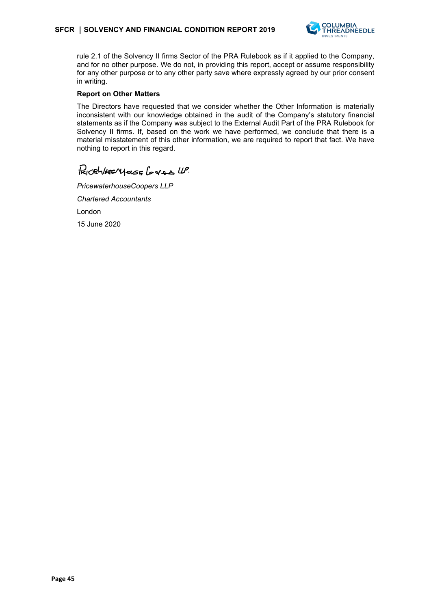

rule 2.1 of the Solvency II firms Sector of the PRA Rulebook as if it applied to the Company, and for no other purpose. We do not, in providing this report, accept or assume responsibility for any other purpose or to any other party save where expressly agreed by our prior consent in writing.

## **Report on Other Matters**

The Directors have requested that we consider whether the Other Information is materially inconsistent with our knowledge obtained in the audit of the Company's statutory financial statements as if the Company was subject to the External Audit Part of the PRA Rulebook for Solvency II firms. If, based on the work we have performed, we conclude that there is a material misstatement of this other information, we are required to report that fact. We have nothing to report in this regard.

PRICEWHENHOUSE CONSE LP.

*PricewaterhouseCoopers LLP Chartered Accountants* London 15 June 2020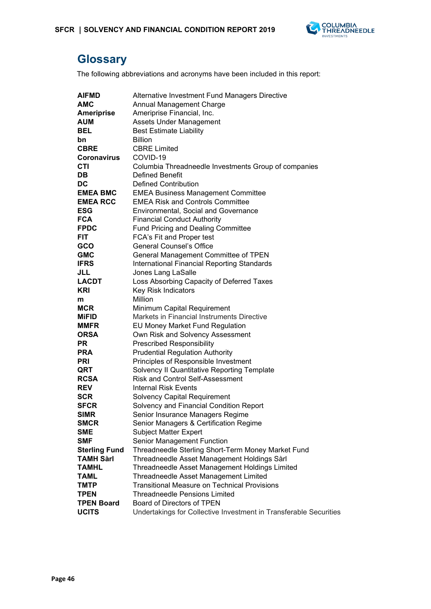

# <span id="page-45-0"></span>**Glossary**

The following abbreviations and acronyms have been included in this report:

<span id="page-45-1"></span>

| <b>AIFMD</b>             | Alternative Investment Fund Managers Directive                                         |
|--------------------------|----------------------------------------------------------------------------------------|
| <b>AMC</b>               | Annual Management Charge                                                               |
| <b>Ameriprise</b>        | Ameriprise Financial, Inc.                                                             |
| <b>AUM</b>               | Assets Under Management                                                                |
| BEL.                     | <b>Best Estimate Liability</b>                                                         |
| bn                       | <b>Billion</b>                                                                         |
| <b>CBRE</b>              | <b>CBRE Limited</b>                                                                    |
| <b>Coronavirus</b>       | COVID-19                                                                               |
| <b>CTI</b>               | Columbia Threadneedle Investments Group of companies                                   |
| DB                       | Defined Benefit                                                                        |
| <b>DC</b>                | <b>Defined Contribution</b>                                                            |
| <b>EMEA BMC</b>          | <b>EMEA Business Management Committee</b>                                              |
| <b>EMEA RCC</b>          | <b>EMEA Risk and Controls Committee</b>                                                |
| <b>ESG</b>               | <b>Environmental, Social and Governance</b>                                            |
| <b>FCA</b>               | <b>Financial Conduct Authority</b>                                                     |
| <b>FPDC</b>              | <b>Fund Pricing and Dealing Committee</b>                                              |
| <b>FIT</b>               | FCA's Fit and Proper test                                                              |
| <b>GCO</b>               | <b>General Counsel's Office</b>                                                        |
| <b>GMC</b>               | General Management Committee of TPEN                                                   |
| <b>IFRS</b>              | International Financial Reporting Standards                                            |
| <b>JLL</b>               | Jones Lang LaSalle                                                                     |
| <b>LACDT</b>             | Loss Absorbing Capacity of Deferred Taxes                                              |
| <b>KRI</b>               | Key Risk Indicators                                                                    |
| m                        | Million                                                                                |
| <b>MCR</b>               | Minimum Capital Requirement                                                            |
| <b>MiFID</b>             | Markets in Financial Instruments Directive                                             |
| <b>MMFR</b>              | <b>EU Money Market Fund Regulation</b>                                                 |
| <b>ORSA</b>              | Own Risk and Solvency Assessment                                                       |
| <b>PR</b>                | <b>Prescribed Responsibility</b>                                                       |
| <b>PRA</b>               | <b>Prudential Regulation Authority</b>                                                 |
| <b>PRI</b>               | Principles of Responsible Investment                                                   |
| QRT                      | Solvency II Quantitative Reporting Template<br><b>Risk and Control Self-Assessment</b> |
| <b>RCSA</b>              |                                                                                        |
| <b>REV</b><br><b>SCR</b> | <b>Internal Risk Events</b>                                                            |
| <b>SFCR</b>              | <b>Solvency Capital Requirement</b><br>Solvency and Financial Condition Report         |
| <b>SIMR</b>              | Senior Insurance Managers Regime                                                       |
| <b>SMCR</b>              | Senior Managers & Certification Regime                                                 |
| <b>SME</b>               | <b>Subject Matter Expert</b>                                                           |
| <b>SMF</b>               | <b>Senior Management Function</b>                                                      |
| <b>Sterling Fund</b>     | Threadneedle Sterling Short-Term Money Market Fund                                     |
| <b>TAMH Sàrl</b>         | Threadneedle Asset Management Holdings Sàrl                                            |
| <b>TAMHL</b>             | Threadneedle Asset Management Holdings Limited                                         |
| <b>TAML</b>              | Threadneedle Asset Management Limited                                                  |
| <b>TMTP</b>              | <b>Transitional Measure on Technical Provisions</b>                                    |
| <b>TPEN</b>              | <b>Threadneedle Pensions Limited</b>                                                   |
| <b>TPEN Board</b>        | Board of Directors of TPEN                                                             |
| <b>UCITS</b>             | Undertakings for Collective Investment in Transferable Securities                      |
|                          |                                                                                        |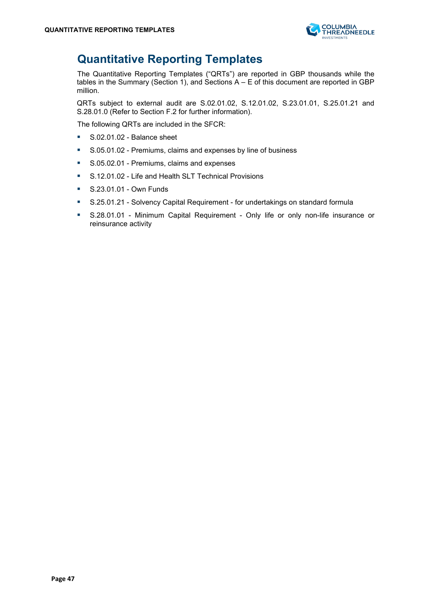

# **Quantitative Reporting Templates**

The Quantitative Reporting Templates ("QRTs") are reported in GBP thousands while the tables in the Summary (Section 1), and Sections  $A - E$  of this document are reported in GBP million.

QRTs subject to external audit are S.02.01.02, S.12.01.02, S.23.01.01, S.25.01.21 and S.28.01.0 (Refer to Section F.2 for further information).

The following QRTs are included in the SFCR:

- S.02.01.02 Balance sheet
- S.05.01.02 Premiums, claims and expenses by line of business
- **S.05.02.01 Premiums, claims and expenses**
- S.12.01.02 Life and Health SLT Technical Provisions
- **S.23.01.01 Own Funds**
- S.25.01.21 Solvency Capital Requirement for undertakings on standard formula
- S.28.01.01 Minimum Capital Requirement Only life or only non-life insurance or reinsurance activity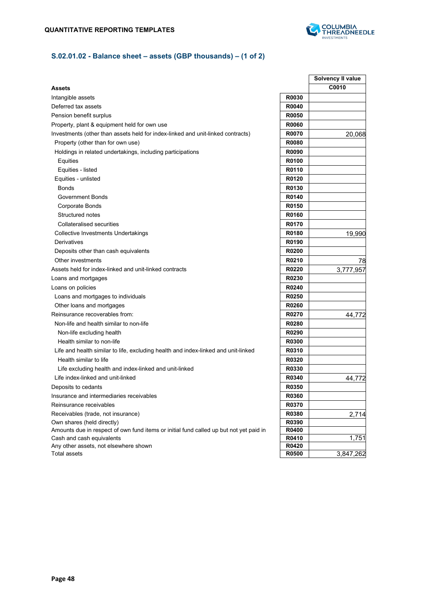

# **S.02.01.02 - Balance sheet – assets (GBP thousands) – (1 of 2)**

|                                                                                        |                | Solvency II value |
|----------------------------------------------------------------------------------------|----------------|-------------------|
| <b>Assets</b>                                                                          |                | C0010             |
| Intangible assets                                                                      | R0030          |                   |
| Deferred tax assets                                                                    | <b>R0040</b>   |                   |
| Pension benefit surplus                                                                | R0050          |                   |
| Property, plant & equipment held for own use                                           | <b>R0060</b>   |                   |
| Investments (other than assets held for index-linked and unit-linked contracts)        | R0070          | 20,068            |
| Property (other than for own use)                                                      | R0080          |                   |
| Holdings in related undertakings, including participations                             | R0090          |                   |
| Equities                                                                               | R0100          |                   |
| Equities - listed                                                                      | R0110          |                   |
| Equities - unlisted                                                                    | R0120          |                   |
| <b>Bonds</b>                                                                           | R0130          |                   |
| Government Bonds                                                                       | R0140          |                   |
| Corporate Bonds                                                                        | R0150          |                   |
| Structured notes                                                                       | R0160          |                   |
| <b>Collateralised securities</b>                                                       | R0170          |                   |
| Collective Investments Undertakings                                                    | R0180          | 19,990            |
| Derivatives                                                                            | R0190          |                   |
| Deposits other than cash equivalents                                                   | R0200          |                   |
| Other investments                                                                      | R0210          | 78                |
| Assets held for index-linked and unit-linked contracts                                 | R0220          | 3,777,957         |
| Loans and mortgages                                                                    | R0230          |                   |
| Loans on policies                                                                      | R0240          |                   |
| Loans and mortgages to individuals                                                     | R0250          |                   |
| Other loans and mortgages                                                              | R0260          |                   |
| Reinsurance recoverables from:                                                         | R0270          | 44,772            |
| Non-life and health similar to non-life                                                | R0280          |                   |
| Non-life excluding health                                                              | R0290          |                   |
| Health similar to non-life                                                             | R0300          |                   |
| Life and health similar to life, excluding health and index-linked and unit-linked     | R0310          |                   |
| Health similar to life                                                                 | R0320          |                   |
| Life excluding health and index-linked and unit-linked                                 | R0330          |                   |
| Life index-linked and unit-linked                                                      | R0340          | 44,772            |
| Deposits to cedants                                                                    | R0350          |                   |
| Insurance and intermediaries receivables                                               | R0360          |                   |
| Reinsurance receivables                                                                | R0370          |                   |
| Receivables (trade, not insurance)                                                     | R0380          | 2,714             |
| Own shares (held directly)                                                             | R0390          |                   |
| Amounts due in respect of own fund items or initial fund called up but not yet paid in | R0400          |                   |
| Cash and cash equivalents<br>Any other assets, not elsewhere shown                     | R0410<br>R0420 | 1,751             |
| Total assets                                                                           | R0500          | 3,847,262         |
|                                                                                        |                |                   |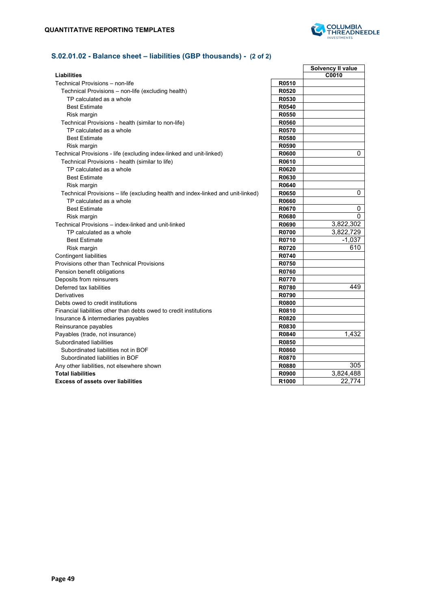

# **S.02.01.02 - Balance sheet – liabilities (GBP thousands) - (2 of 2)**

|                                                                                 |              | Solvency II value |
|---------------------------------------------------------------------------------|--------------|-------------------|
| <b>Liabilities</b>                                                              |              | C0010             |
| Technical Provisions - non-life                                                 | R0510        |                   |
| Technical Provisions - non-life (excluding health)                              | R0520        |                   |
| TP calculated as a whole                                                        | R0530        |                   |
| <b>Best Estimate</b>                                                            | R0540        |                   |
| Risk margin                                                                     | R0550        |                   |
| Technical Provisions - health (similar to non-life)                             | <b>R0560</b> |                   |
| TP calculated as a whole                                                        | R0570        |                   |
| <b>Best Estimate</b>                                                            | R0580        |                   |
| Risk margin                                                                     | R0590        |                   |
| Technical Provisions - life (excluding index-linked and unit-linked)            | R0600        | 0                 |
| Technical Provisions - health (similar to life)                                 | R0610        |                   |
| TP calculated as a whole                                                        | R0620        |                   |
| <b>Best Estimate</b>                                                            | R0630        |                   |
| Risk margin                                                                     | R0640        |                   |
| Technical Provisions - life (excluding health and index-linked and unit-linked) | R0650        | 0                 |
| TP calculated as a whole                                                        | R0660        |                   |
| <b>Best Estimate</b>                                                            | R0670        | 0                 |
| Risk margin                                                                     | R0680        | $\mathbf 0$       |
| Technical Provisions – index-linked and unit-linked                             | R0690        | 3,822,302         |
| TP calculated as a whole                                                        | R0700        | 3,822,729         |
| <b>Best Estimate</b>                                                            | R0710        | $-1,037$          |
| Risk margin                                                                     | R0720        | 610               |
| <b>Contingent liabilities</b>                                                   | R0740        |                   |
| Provisions other than Technical Provisions                                      | R0750        |                   |
| Pension benefit obligations                                                     | R0760        |                   |
| Deposits from reinsurers                                                        | <b>R0770</b> |                   |
| Deferred tax liabilities                                                        | R0780        | 449               |
| Derivatives                                                                     | R0790        |                   |
| Debts owed to credit institutions                                               | <b>R0800</b> |                   |
| Financial liabilities other than debts owed to credit institutions              | R0810        |                   |
| Insurance & intermediaries payables                                             | R0820        |                   |
| Reinsurance payables                                                            | R0830        |                   |
| Payables (trade, not insurance)                                                 | R0840        | 1.432             |
| Subordinated liabilities                                                        | R0850        |                   |
| Subordinated liabilities not in BOF                                             | R0860        |                   |
| Subordinated liabilities in BOF                                                 | R0870        |                   |
| Any other liabilities, not elsewhere shown                                      | R0880        | 305               |
| <b>Total liabilities</b>                                                        | R0900        | 3,824,488         |
| <b>Excess of assets over liabilities</b>                                        | R1000        | 22,774            |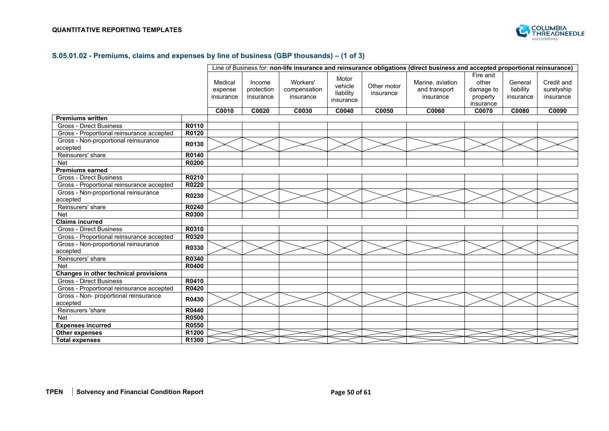

# **S.05.01.02 - Premiums, claims and expenses by line of business (GBP thousands) – (1 of 3)**

|                                                  |       |                                 |                                   |                                       |                                            |                          | Line of Business for: non-life insurance and reinsurance obligations (direct business and accepted proportional reinsurance) |                                                         |                                   |                                       |
|--------------------------------------------------|-------|---------------------------------|-----------------------------------|---------------------------------------|--------------------------------------------|--------------------------|------------------------------------------------------------------------------------------------------------------------------|---------------------------------------------------------|-----------------------------------|---------------------------------------|
|                                                  |       | Medical<br>expense<br>insurance | Income<br>protection<br>insurance | Workers'<br>compensation<br>insurance | Motor<br>vehicle<br>liability<br>insurance | Other motor<br>insurance | Marine, aviation<br>and transport<br>insurance                                                                               | Fire and<br>other<br>damage to<br>property<br>insurance | General<br>liability<br>insurance | Credit and<br>suretyship<br>insurance |
|                                                  |       | C0010                           | C0020                             | C0030                                 | C0040                                      | C0050                    | C0060                                                                                                                        | C0070                                                   | C0080                             | C0090                                 |
| <b>Premiums written</b>                          |       |                                 |                                   |                                       |                                            |                          |                                                                                                                              |                                                         |                                   |                                       |
| <b>Gross - Direct Business</b>                   | R0110 |                                 |                                   |                                       |                                            |                          |                                                                                                                              |                                                         |                                   |                                       |
| Gross - Proportional reinsurance accepted        | R0120 |                                 |                                   |                                       |                                            |                          |                                                                                                                              |                                                         |                                   |                                       |
| Gross - Non-proportional reinsurance<br>accepted | R0130 |                                 |                                   |                                       |                                            |                          |                                                                                                                              |                                                         |                                   |                                       |
| Reinsurers' share                                | R0140 |                                 |                                   |                                       |                                            |                          |                                                                                                                              |                                                         |                                   |                                       |
| <b>Net</b>                                       | R0200 |                                 |                                   |                                       |                                            |                          |                                                                                                                              |                                                         |                                   |                                       |
| <b>Premiums earned</b>                           |       |                                 |                                   |                                       |                                            |                          |                                                                                                                              |                                                         |                                   |                                       |
| <b>Gross - Direct Business</b>                   | R0210 |                                 |                                   |                                       |                                            |                          |                                                                                                                              |                                                         |                                   |                                       |
| Gross - Proportional reinsurance accepted        | R0220 |                                 |                                   |                                       |                                            |                          |                                                                                                                              |                                                         |                                   |                                       |
| Gross - Non-proportional reinsurance<br>accepted | R0230 |                                 |                                   |                                       |                                            |                          |                                                                                                                              |                                                         |                                   |                                       |
| Reinsurers' share                                | R0240 |                                 |                                   |                                       |                                            |                          |                                                                                                                              |                                                         |                                   |                                       |
| <b>Net</b>                                       | R0300 |                                 |                                   |                                       |                                            |                          |                                                                                                                              |                                                         |                                   |                                       |
| <b>Claims incurred</b>                           |       |                                 |                                   |                                       |                                            |                          |                                                                                                                              |                                                         |                                   |                                       |
| <b>Gross - Direct Business</b>                   | R0310 |                                 |                                   |                                       |                                            |                          |                                                                                                                              |                                                         |                                   |                                       |
| Gross - Proportional reinsurance accepted        | R0320 |                                 |                                   |                                       |                                            |                          |                                                                                                                              |                                                         |                                   |                                       |
| Gross - Non-proportional reinsurance<br>accepted | R0330 |                                 |                                   |                                       |                                            |                          |                                                                                                                              |                                                         |                                   |                                       |
| Reinsurers' share                                | R0340 |                                 |                                   |                                       |                                            |                          |                                                                                                                              |                                                         |                                   |                                       |
| <b>Net</b>                                       | R0400 |                                 |                                   |                                       |                                            |                          |                                                                                                                              |                                                         |                                   |                                       |
| Changes in other technical provisions            |       |                                 |                                   |                                       |                                            |                          |                                                                                                                              |                                                         |                                   |                                       |
| <b>Gross - Direct Business</b>                   | R0410 |                                 |                                   |                                       |                                            |                          |                                                                                                                              |                                                         |                                   |                                       |
| Gross - Proportional reinsurance accepted        | R0420 |                                 |                                   |                                       |                                            |                          |                                                                                                                              |                                                         |                                   |                                       |
| Gross - Non- proportional reinsurance            | R0430 |                                 |                                   |                                       |                                            |                          |                                                                                                                              |                                                         |                                   |                                       |
| accepted                                         |       |                                 |                                   |                                       |                                            |                          |                                                                                                                              |                                                         |                                   |                                       |
| Reinsurers 'share                                | R0440 |                                 |                                   |                                       |                                            |                          |                                                                                                                              |                                                         |                                   |                                       |
| <b>Net</b>                                       | R0500 |                                 |                                   |                                       |                                            |                          |                                                                                                                              |                                                         |                                   |                                       |
| <b>Expenses incurred</b>                         | R0550 |                                 |                                   |                                       |                                            |                          |                                                                                                                              |                                                         |                                   |                                       |
| Other expenses                                   | R1200 |                                 |                                   |                                       |                                            |                          |                                                                                                                              |                                                         |                                   |                                       |
| <b>Total expenses</b>                            | R1300 |                                 |                                   |                                       |                                            |                          |                                                                                                                              |                                                         |                                   |                                       |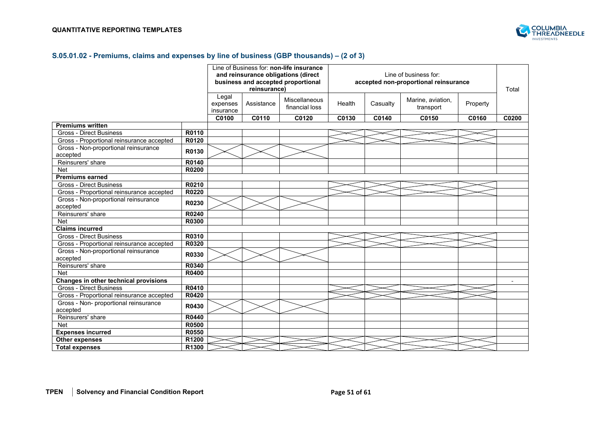

# **S.05.01.02 - Premiums, claims and expenses by line of business (GBP thousands) – (2 of 3)**

|                                                   |       |                                | Line of Business for: non-life insurance<br>and reinsurance obligations (direct<br>business and accepted proportional<br>reinsurance) |                                 |        | Line of business for:<br>accepted non-proportional reinsurance |                                |          |        |
|---------------------------------------------------|-------|--------------------------------|---------------------------------------------------------------------------------------------------------------------------------------|---------------------------------|--------|----------------------------------------------------------------|--------------------------------|----------|--------|
|                                                   |       | Legal<br>expenses<br>insurance | Assistance                                                                                                                            | Miscellaneous<br>financial loss | Health | Casualty                                                       | Marine, aviation,<br>transport | Property |        |
|                                                   |       | C0100                          | C0110                                                                                                                                 | C0120                           | C0130  | C0140                                                          | C0150                          | C0160    | C0200  |
| <b>Premiums written</b>                           |       |                                |                                                                                                                                       |                                 |        |                                                                |                                |          |        |
| <b>Gross - Direct Business</b>                    | R0110 |                                |                                                                                                                                       |                                 |        |                                                                |                                |          |        |
| Gross - Proportional reinsurance accepted         | R0120 |                                |                                                                                                                                       |                                 |        |                                                                |                                |          |        |
| Gross - Non-proportional reinsurance<br>accepted  | R0130 |                                |                                                                                                                                       |                                 |        |                                                                |                                |          |        |
| Reinsurers' share                                 | R0140 |                                |                                                                                                                                       |                                 |        |                                                                |                                |          |        |
| <b>Net</b>                                        | R0200 |                                |                                                                                                                                       |                                 |        |                                                                |                                |          |        |
| <b>Premiums earned</b>                            |       |                                |                                                                                                                                       |                                 |        |                                                                |                                |          |        |
| <b>Gross - Direct Business</b>                    | R0210 |                                |                                                                                                                                       |                                 |        |                                                                |                                |          |        |
| Gross - Proportional reinsurance accepted         | R0220 |                                |                                                                                                                                       |                                 |        |                                                                |                                |          |        |
| Gross - Non-proportional reinsurance<br>accepted  | R0230 |                                |                                                                                                                                       |                                 |        |                                                                |                                |          |        |
| Reinsurers' share                                 | R0240 |                                |                                                                                                                                       |                                 |        |                                                                |                                |          |        |
| <b>Net</b>                                        | R0300 |                                |                                                                                                                                       |                                 |        |                                                                |                                |          |        |
| <b>Claims incurred</b>                            |       |                                |                                                                                                                                       |                                 |        |                                                                |                                |          |        |
| <b>Gross - Direct Business</b>                    | R0310 |                                |                                                                                                                                       |                                 |        |                                                                |                                |          |        |
| Gross - Proportional reinsurance accepted         | R0320 |                                |                                                                                                                                       |                                 |        |                                                                |                                |          |        |
| Gross - Non-proportional reinsurance<br>accepted  | R0330 |                                |                                                                                                                                       |                                 |        |                                                                |                                |          |        |
| Reinsurers' share                                 | R0340 |                                |                                                                                                                                       |                                 |        |                                                                |                                |          |        |
| <b>Net</b>                                        | R0400 |                                |                                                                                                                                       |                                 |        |                                                                |                                |          |        |
| Changes in other technical provisions             |       |                                |                                                                                                                                       |                                 |        |                                                                |                                |          | $\sim$ |
| <b>Gross - Direct Business</b>                    | R0410 |                                |                                                                                                                                       |                                 |        |                                                                |                                |          |        |
| Gross - Proportional reinsurance accepted         | R0420 |                                |                                                                                                                                       |                                 |        |                                                                |                                |          |        |
| Gross - Non- proportional reinsurance<br>accepted | R0430 |                                |                                                                                                                                       |                                 |        |                                                                |                                |          |        |
| Reinsurers' share                                 | R0440 |                                |                                                                                                                                       |                                 |        |                                                                |                                |          |        |
| Net                                               | R0500 |                                |                                                                                                                                       |                                 |        |                                                                |                                |          |        |
| <b>Expenses incurred</b>                          | R0550 |                                |                                                                                                                                       |                                 |        |                                                                |                                |          |        |
| Other expenses                                    | R1200 |                                |                                                                                                                                       |                                 |        |                                                                |                                |          |        |
| <b>Total expenses</b>                             | R1300 |                                |                                                                                                                                       |                                 |        |                                                                |                                |          |        |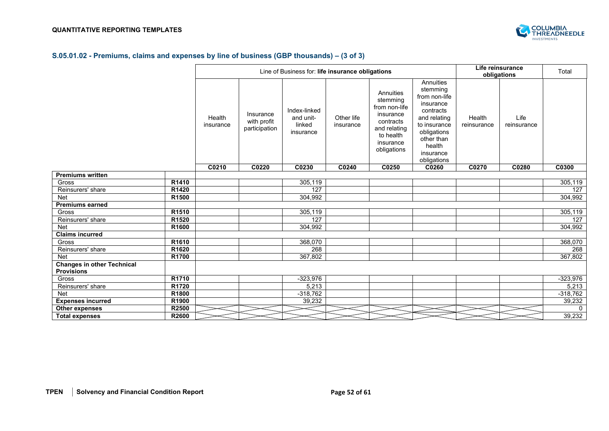

# **S.05.01.02 - Premiums, claims and expenses by line of business (GBP thousands) – (3 of 3)**

|                                                        |                   |                     |                                           | Line of Business for: life insurance obligations |                         |                                                                                                                           |                                                                                                                                                                     | Life reinsurance<br>obligations |                     | Total      |
|--------------------------------------------------------|-------------------|---------------------|-------------------------------------------|--------------------------------------------------|-------------------------|---------------------------------------------------------------------------------------------------------------------------|---------------------------------------------------------------------------------------------------------------------------------------------------------------------|---------------------------------|---------------------|------------|
|                                                        |                   | Health<br>insurance | Insurance<br>with profit<br>participation | Index-linked<br>and unit-<br>linked<br>insurance | Other life<br>insurance | Annuities<br>stemming<br>from non-life<br>insurance<br>contracts<br>and relating<br>to health<br>insurance<br>obligations | Annuities<br>stemming<br>from non-life<br>insurance<br>contracts<br>and relating<br>to insurance<br>obligations<br>other than<br>health<br>insurance<br>obligations | Health<br>reinsurance           | Life<br>reinsurance |            |
|                                                        |                   | C0210               | C0220                                     | C0230                                            | C0240                   | C0250                                                                                                                     | C0260                                                                                                                                                               | C0270                           | C0280               | C0300      |
| <b>Premiums written</b>                                |                   |                     |                                           |                                                  |                         |                                                                                                                           |                                                                                                                                                                     |                                 |                     |            |
| Gross                                                  | R1410             |                     |                                           | 305,119                                          |                         |                                                                                                                           |                                                                                                                                                                     |                                 |                     | 305,119    |
| Reinsurers' share                                      | R1420             |                     |                                           | 127                                              |                         |                                                                                                                           |                                                                                                                                                                     |                                 |                     | 127        |
| <b>Net</b>                                             | R1500             |                     |                                           | 304,992                                          |                         |                                                                                                                           |                                                                                                                                                                     |                                 |                     | 304,992    |
| <b>Premiums earned</b>                                 |                   |                     |                                           |                                                  |                         |                                                                                                                           |                                                                                                                                                                     |                                 |                     |            |
| Gross                                                  | R <sub>1510</sub> |                     |                                           | 305,119                                          |                         |                                                                                                                           |                                                                                                                                                                     |                                 |                     | 305,119    |
| Reinsurers' share                                      | R <sub>1520</sub> |                     |                                           | 127                                              |                         |                                                                                                                           |                                                                                                                                                                     |                                 |                     | 127        |
| <b>Net</b>                                             | R1600             |                     |                                           | 304,992                                          |                         |                                                                                                                           |                                                                                                                                                                     |                                 |                     | 304,992    |
| <b>Claims incurred</b>                                 |                   |                     |                                           |                                                  |                         |                                                                                                                           |                                                                                                                                                                     |                                 |                     |            |
| Gross                                                  | R1610             |                     |                                           | 368,070                                          |                         |                                                                                                                           |                                                                                                                                                                     |                                 |                     | 368,070    |
| Reinsurers' share                                      | R1620             |                     |                                           | 268                                              |                         |                                                                                                                           |                                                                                                                                                                     |                                 |                     | 268        |
| <b>Net</b>                                             | R1700             |                     |                                           | 367,802                                          |                         |                                                                                                                           |                                                                                                                                                                     |                                 |                     | 367,802    |
| <b>Changes in other Technical</b><br><b>Provisions</b> |                   |                     |                                           |                                                  |                         |                                                                                                                           |                                                                                                                                                                     |                                 |                     |            |
| Gross                                                  | R1710             |                     |                                           | $-323,976$                                       |                         |                                                                                                                           |                                                                                                                                                                     |                                 |                     | $-323,976$ |
| Reinsurers' share                                      | R1720             |                     |                                           | 5,213                                            |                         |                                                                                                                           |                                                                                                                                                                     |                                 |                     | 5,213      |
| <b>Net</b>                                             | R1800             |                     |                                           | $-318,762$                                       |                         |                                                                                                                           |                                                                                                                                                                     |                                 |                     | $-318,762$ |
| <b>Expenses incurred</b>                               | R1900             |                     |                                           | 39,232                                           |                         |                                                                                                                           |                                                                                                                                                                     |                                 |                     | 39,232     |
| Other expenses                                         | R2500             |                     |                                           |                                                  |                         |                                                                                                                           |                                                                                                                                                                     |                                 |                     | $\Omega$   |
| <b>Total expenses</b>                                  | R2600             |                     |                                           |                                                  |                         |                                                                                                                           |                                                                                                                                                                     |                                 |                     | 39,232     |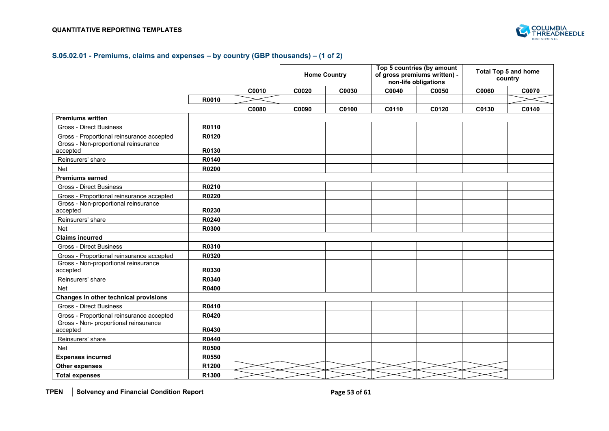

# **S.05.02.01 - Premiums, claims and expenses – by country (GBP thousands) – (1 of 2)**

|                                                  |       |       |       | <b>Home Country</b> |       | Top 5 countries (by amount<br>of gross premiums written) -<br>non-life obligations |       | <b>Total Top 5 and home</b><br>country |
|--------------------------------------------------|-------|-------|-------|---------------------|-------|------------------------------------------------------------------------------------|-------|----------------------------------------|
|                                                  |       | C0010 | C0020 | C0030               | C0040 | C0050                                                                              | C0060 | C0070                                  |
|                                                  | R0010 |       |       |                     |       |                                                                                    |       |                                        |
|                                                  |       | C0080 | C0090 | C0100               | C0110 | C0120                                                                              | C0130 | C0140                                  |
| <b>Premiums written</b>                          |       |       |       |                     |       |                                                                                    |       |                                        |
| <b>Gross - Direct Business</b>                   | R0110 |       |       |                     |       |                                                                                    |       |                                        |
| Gross - Proportional reinsurance accepted        | R0120 |       |       |                     |       |                                                                                    |       |                                        |
| Gross - Non-proportional reinsurance             |       |       |       |                     |       |                                                                                    |       |                                        |
| accepted                                         | R0130 |       |       |                     |       |                                                                                    |       |                                        |
| Reinsurers' share                                | R0140 |       |       |                     |       |                                                                                    |       |                                        |
| Net                                              | R0200 |       |       |                     |       |                                                                                    |       |                                        |
| <b>Premiums earned</b>                           |       |       |       |                     |       |                                                                                    |       |                                        |
| <b>Gross - Direct Business</b>                   | R0210 |       |       |                     |       |                                                                                    |       |                                        |
| Gross - Proportional reinsurance accepted        | R0220 |       |       |                     |       |                                                                                    |       |                                        |
| Gross - Non-proportional reinsurance<br>accepted | R0230 |       |       |                     |       |                                                                                    |       |                                        |
| Reinsurers' share                                | R0240 |       |       |                     |       |                                                                                    |       |                                        |
| <b>Net</b>                                       | R0300 |       |       |                     |       |                                                                                    |       |                                        |
| <b>Claims incurred</b>                           |       |       |       |                     |       |                                                                                    |       |                                        |
| <b>Gross - Direct Business</b>                   | R0310 |       |       |                     |       |                                                                                    |       |                                        |
| Gross - Proportional reinsurance accepted        | R0320 |       |       |                     |       |                                                                                    |       |                                        |
| Gross - Non-proportional reinsurance             |       |       |       |                     |       |                                                                                    |       |                                        |
| accepted                                         | R0330 |       |       |                     |       |                                                                                    |       |                                        |
| Reinsurers' share                                | R0340 |       |       |                     |       |                                                                                    |       |                                        |
| <b>Net</b>                                       | R0400 |       |       |                     |       |                                                                                    |       |                                        |
| Changes in other technical provisions            |       |       |       |                     |       |                                                                                    |       |                                        |
| <b>Gross - Direct Business</b>                   | R0410 |       |       |                     |       |                                                                                    |       |                                        |
| Gross - Proportional reinsurance accepted        | R0420 |       |       |                     |       |                                                                                    |       |                                        |
| Gross - Non- proportional reinsurance            |       |       |       |                     |       |                                                                                    |       |                                        |
| accepted                                         | R0430 |       |       |                     |       |                                                                                    |       |                                        |
| Reinsurers' share                                | R0440 |       |       |                     |       |                                                                                    |       |                                        |
| <b>Net</b>                                       | R0500 |       |       |                     |       |                                                                                    |       |                                        |
| <b>Expenses incurred</b>                         | R0550 |       |       |                     |       |                                                                                    |       |                                        |
| <b>Other expenses</b>                            | R1200 |       |       |                     |       |                                                                                    |       |                                        |
| <b>Total expenses</b>                            | R1300 |       |       |                     |       |                                                                                    |       |                                        |

**TPEN** Solvency and Financial Condition Report<br> **Page 53 of 61**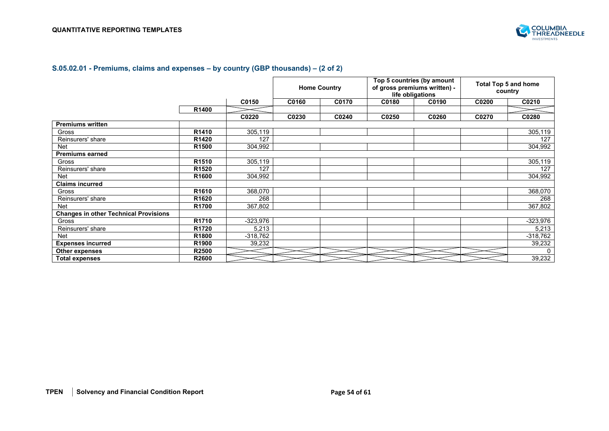

## **S.05.02.01 - Premiums, claims and expenses – by country (GBP thousands) – (2 of 2)**

|                                              |                   |            | <b>Home Country</b> |       |       | Top 5 countries (by amount<br>of gross premiums written) -<br>life obligations |       | <b>Total Top 5 and home</b><br>country |
|----------------------------------------------|-------------------|------------|---------------------|-------|-------|--------------------------------------------------------------------------------|-------|----------------------------------------|
|                                              |                   | C0150      | C0160               | C0170 | C0180 | C0190                                                                          | C0200 | C0210                                  |
|                                              | R1400             |            |                     |       |       |                                                                                |       |                                        |
|                                              |                   | C0220      | C0230               | C0240 | C0250 | C0260                                                                          | C0270 | C0280                                  |
| <b>Premiums written</b>                      |                   |            |                     |       |       |                                                                                |       |                                        |
| Gross                                        | R1410             | 305,119    |                     |       |       |                                                                                |       | 305,119                                |
| Reinsurers' share                            | R1420             | 127        |                     |       |       |                                                                                |       | 127                                    |
| Net                                          | R <sub>1500</sub> | 304,992    |                     |       |       |                                                                                |       | 304,992                                |
| <b>Premiums earned</b>                       |                   |            |                     |       |       |                                                                                |       |                                        |
| Gross                                        | R1510             | 305,119    |                     |       |       |                                                                                |       | 305,119                                |
| Reinsurers' share                            | R <sub>1520</sub> | 127        |                     |       |       |                                                                                |       | 127                                    |
| Net                                          | R <sub>1600</sub> | 304,992    |                     |       |       |                                                                                |       | 304,992                                |
| <b>Claims incurred</b>                       |                   |            |                     |       |       |                                                                                |       |                                        |
| Gross                                        | R1610             | 368,070    |                     |       |       |                                                                                |       | 368,070                                |
| Reinsurers' share                            | R1620             | 268        |                     |       |       |                                                                                |       | 268                                    |
| <b>Net</b>                                   | R <sub>1700</sub> | 367,802    |                     |       |       |                                                                                |       | 367,802                                |
| <b>Changes in other Technical Provisions</b> |                   |            |                     |       |       |                                                                                |       |                                        |
| Gross                                        | R <sub>1710</sub> | $-323,976$ |                     |       |       |                                                                                |       | $-323,976$                             |
| Reinsurers' share                            | R1720             | 5,213      |                     |       |       |                                                                                |       | 5,213                                  |
| <b>Net</b>                                   | R1800             | $-318,762$ |                     |       |       |                                                                                |       | $-318,762$                             |
| <b>Expenses incurred</b>                     | R1900             | 39,232     |                     |       |       |                                                                                |       | 39,232                                 |
| <b>Other expenses</b>                        | R <sub>2500</sub> |            |                     |       |       |                                                                                |       | $\mathbf{0}$                           |
| <b>Total expenses</b>                        | R2600             |            |                     |       |       |                                                                                |       | 39,232                                 |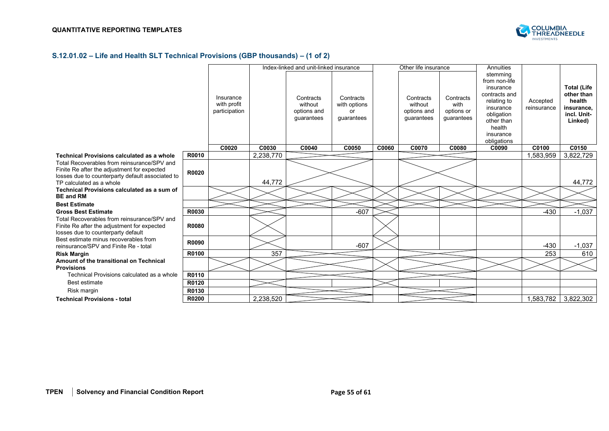

# **S.12.01.02 – Life and Health SLT Technical Provisions (GBP thousands) – (1 of 2)**

| stemming<br>from non-life<br>insurance<br>contracts and<br>Contracts<br>Contracts<br>Insurance<br>Contracts<br>Contracts<br>relating to<br>Accepted<br>with profit<br>without<br>without<br>with<br>with options<br>insurance<br>reinsurance | <b>Total (Life</b><br>other than<br>health<br>insurance,<br>incl. Unit-<br>Linked) |
|----------------------------------------------------------------------------------------------------------------------------------------------------------------------------------------------------------------------------------------------|------------------------------------------------------------------------------------|
| participation<br>options or<br>options and<br>options and<br>or<br>obligation<br>guarantees<br>guarantees<br>quarantees<br>guarantees<br>other than<br>health<br>insurance<br>obligations                                                    |                                                                                    |
| C0020<br>C0030<br>C0050<br>C0060<br>C0070<br>C0090<br>C0100<br>C0040<br>C0080                                                                                                                                                                | C0150                                                                              |
| 2,238,770<br>R0010<br>1,583,959<br><b>Technical Provisions calculated as a whole</b>                                                                                                                                                         | 3,822,729                                                                          |
| Total Recoverables from reinsurance/SPV and<br>Finite Re after the adjustment for expected<br>R0020<br>losses due to counterparty default associated to<br>44,772<br>TP calculated as a whole                                                | 44,772                                                                             |
| Technical Provisions calculated as a sum of<br><b>BE and RM</b>                                                                                                                                                                              |                                                                                    |
| <b>Best Estimate</b>                                                                                                                                                                                                                         |                                                                                    |
| $-607$<br>$-430$<br><b>R0030</b><br><b>Gross Best Estimate</b>                                                                                                                                                                               | $-1,037$                                                                           |
| Total Recoverables from reinsurance/SPV and<br><b>R0080</b><br>Finite Re after the adjustment for expected<br>losses due to counterparty default                                                                                             |                                                                                    |
| Best estimate minus recoverables from<br>R0090<br>$-607$<br>$-430$<br>reinsurance/SPV and Finite Re - total                                                                                                                                  | $-1,037$                                                                           |
| 357<br>253<br>R0100<br><b>Risk Margin</b>                                                                                                                                                                                                    | 610                                                                                |
| Amount of the transitional on Technical<br><b>Provisions</b>                                                                                                                                                                                 |                                                                                    |
| R0110<br>Technical Provisions calculated as a whole                                                                                                                                                                                          |                                                                                    |
| Best estimate<br><b>R0120</b>                                                                                                                                                                                                                |                                                                                    |
| Risk margin<br>R0130                                                                                                                                                                                                                         |                                                                                    |
| R0200<br>2,238,520<br>1,583,782<br><b>Technical Provisions - total</b>                                                                                                                                                                       | 3,822,302                                                                          |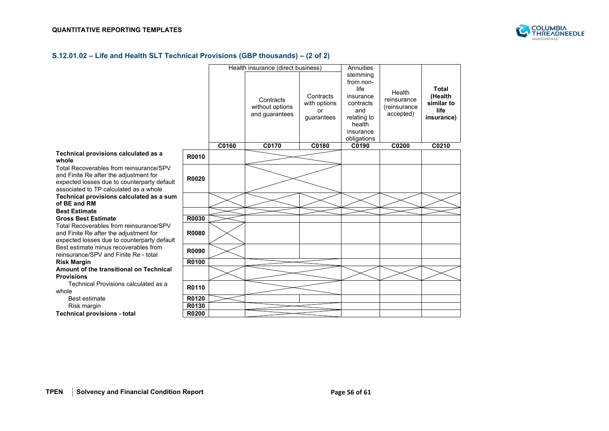

## **S.12.01.02 – Life and Health SLT Technical Provisions (GBP thousands) – (2 of 2)**

|                                                                                                                                                                            |              | C0160 | Contracts<br>without options<br>and guarantees<br>C0170 | Contracts<br>with options<br>or<br>guarantees<br>C0180 | stemming<br>from non-<br>life<br>insurance<br>contracts<br>and<br>relating to<br>health<br>insurance<br>obligations<br>C0190 | Health<br>reinsurance<br>(reinsurance<br>accepted)<br>C0200 | <b>Total</b><br>(Health<br>similar to<br>life<br>insurance)<br>C0210 |
|----------------------------------------------------------------------------------------------------------------------------------------------------------------------------|--------------|-------|---------------------------------------------------------|--------------------------------------------------------|------------------------------------------------------------------------------------------------------------------------------|-------------------------------------------------------------|----------------------------------------------------------------------|
|                                                                                                                                                                            |              |       |                                                         |                                                        |                                                                                                                              |                                                             |                                                                      |
| Technical provisions calculated as a<br>whole                                                                                                                              | R0010        |       |                                                         |                                                        |                                                                                                                              |                                                             |                                                                      |
| Total Recoverables from reinsurance/SPV<br>and Finite Re after the adjustment for<br>expected losses due to counterparty default<br>associated to TP calculated as a whole | R0020        |       |                                                         |                                                        |                                                                                                                              |                                                             |                                                                      |
| Technical provisions calculated as a sum<br>of BE and RM                                                                                                                   |              |       |                                                         |                                                        |                                                                                                                              |                                                             |                                                                      |
| <b>Best Estimate</b>                                                                                                                                                       |              |       |                                                         |                                                        |                                                                                                                              |                                                             |                                                                      |
| <b>Gross Best Estimate</b>                                                                                                                                                 | R0030        |       |                                                         |                                                        |                                                                                                                              |                                                             |                                                                      |
| Total Recoverables from reinsurance/SPV<br>and Finite Re after the adjustment for<br>expected losses due to counterparty default                                           | <b>R0080</b> |       |                                                         |                                                        |                                                                                                                              |                                                             |                                                                      |
| Best estimate minus recoverables from<br>reinsurance/SPV and Finite Re - total                                                                                             | R0090        |       |                                                         |                                                        |                                                                                                                              |                                                             |                                                                      |
| <b>Risk Margin</b>                                                                                                                                                         | R0100        |       |                                                         |                                                        |                                                                                                                              |                                                             |                                                                      |
| Amount of the transitional on Technical<br><b>Provisions</b>                                                                                                               |              |       |                                                         |                                                        |                                                                                                                              |                                                             |                                                                      |
| Technical Provisions calculated as a<br>whole                                                                                                                              | R0110        |       |                                                         |                                                        |                                                                                                                              |                                                             |                                                                      |
| Best estimate                                                                                                                                                              | R0120        |       |                                                         |                                                        |                                                                                                                              |                                                             |                                                                      |
| Risk margin                                                                                                                                                                | R0130        |       |                                                         |                                                        |                                                                                                                              |                                                             |                                                                      |
| <b>Technical provisions - total</b>                                                                                                                                        | R0200        |       |                                                         |                                                        |                                                                                                                              |                                                             |                                                                      |

Health insurance (direct business) | Annuities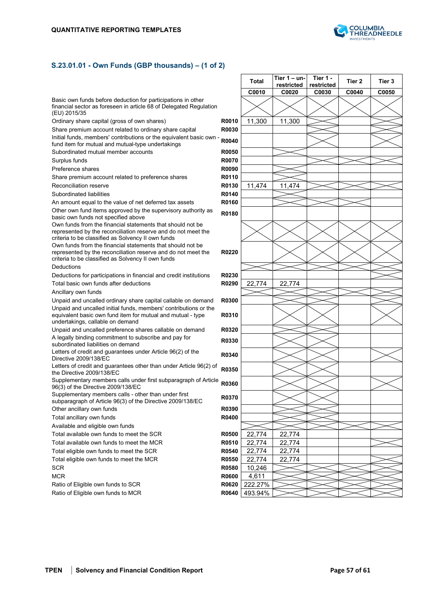

**restricted Tier 2 Tier 3**

**Total Tier 1 – unrestricted**

**Tier 1 -**

## **S.23.01.01 - Own Funds (GBP thousands) – (1 of 2)**

|                                                                                                                                                                                   |       | C0010   | C0020  | C0030 | C0040 | C0050 |
|-----------------------------------------------------------------------------------------------------------------------------------------------------------------------------------|-------|---------|--------|-------|-------|-------|
| Basic own funds before deduction for participations in other<br>financial sector as foreseen in article 68 of Delegated Regulation<br>(EU) 2015/35                                |       |         |        |       |       |       |
| Ordinary share capital (gross of own shares)                                                                                                                                      | R0010 | 11,300  | 11,300 |       |       |       |
| Share premium account related to ordinary share capital                                                                                                                           | R0030 |         |        |       |       |       |
| Initial funds, members' contributions or the equivalent basic own -<br>fund item for mutual and mutual-type undertakings                                                          | R0040 |         |        |       |       |       |
| Subordinated mutual member accounts                                                                                                                                               | R0050 |         |        |       |       |       |
| Surplus funds                                                                                                                                                                     | R0070 |         |        |       |       |       |
| Preference shares                                                                                                                                                                 | R0090 |         |        |       |       |       |
| Share premium account related to preference shares                                                                                                                                | R0110 |         |        |       |       |       |
| Reconciliation reserve                                                                                                                                                            | R0130 | 11,474  | 11,474 |       |       |       |
| Subordinated liabilities                                                                                                                                                          | R0140 |         |        |       |       |       |
| An amount equal to the value of net deferred tax assets                                                                                                                           | R0160 |         |        |       |       |       |
| Other own fund items approved by the supervisory authority as<br>basic own funds not specified above                                                                              | R0180 |         |        |       |       |       |
| Own funds from the financial statements that should not be<br>represented by the reconciliation reserve and do not meet the<br>criteria to be classified as Solvency II own funds |       |         |        |       |       |       |
| Own funds from the financial statements that should not be<br>represented by the reconciliation reserve and do not meet the<br>criteria to be classified as Solvency II own funds | R0220 |         |        |       |       |       |
| <b>Deductions</b>                                                                                                                                                                 |       |         |        |       |       |       |
| Deductions for participations in financial and credit institutions                                                                                                                | R0230 |         |        |       |       |       |
| Total basic own funds after deductions                                                                                                                                            | R0290 | 22,774  | 22,774 |       |       |       |
| Ancillary own funds                                                                                                                                                               |       |         |        |       |       |       |
| Unpaid and uncalled ordinary share capital callable on demand                                                                                                                     | R0300 |         |        |       |       |       |
| Unpaid and uncalled initial funds, members' contributions or the<br>equivalent basic own fund item for mutual and mutual - type<br>undertakings, callable on demand               | R0310 |         |        |       |       |       |
| Unpaid and uncalled preference shares callable on demand                                                                                                                          | R0320 |         |        |       |       |       |
| A legally binding commitment to subscribe and pay for                                                                                                                             |       |         |        |       |       |       |
| subordinated liabilities on demand<br>Letters of credit and guarantees under Article 96(2) of the                                                                                 | R0330 |         |        |       |       |       |
| Directive 2009/138/EC                                                                                                                                                             | R0340 |         |        |       |       |       |
| Letters of credit and guarantees other than under Article 96(2) of<br>the Directive 2009/138/EC                                                                                   | R0350 |         |        |       |       |       |
| Supplementary members calls under first subparagraph of Article<br>96(3) of the Directive 2009/138/EC                                                                             | R0360 |         |        |       |       |       |
| Supplementary members calls - other than under first<br>subparagraph of Article 96(3) of the Directive 2009/138/EC                                                                | R0370 |         |        |       |       |       |
| Other ancillary own funds                                                                                                                                                         | R0390 |         |        |       |       |       |
| Total ancillary own funds                                                                                                                                                         | R0400 |         |        |       |       |       |
| Available and eligible own funds                                                                                                                                                  |       |         |        |       |       |       |
| Total available own funds to meet the SCR                                                                                                                                         | R0500 | 22,774  | 22,774 |       |       |       |
| Total available own funds to meet the MCR                                                                                                                                         | R0510 | 22,774  | 22,774 |       |       |       |
| Total eligible own funds to meet the SCR                                                                                                                                          | R0540 | 22,774  | 22,774 |       |       |       |
| Total eligible own funds to meet the MCR                                                                                                                                          | R0550 | 22,774  | 22,774 |       |       |       |
| <b>SCR</b>                                                                                                                                                                        | R0580 | 10,246  |        |       |       |       |
| <b>MCR</b>                                                                                                                                                                        | R0600 | 4,611   |        |       |       |       |
| Ratio of Eligible own funds to SCR                                                                                                                                                | R0620 | 222.27% |        |       |       |       |
| Ratio of Eligible own funds to MCR                                                                                                                                                | R0640 | 493.94% |        |       |       |       |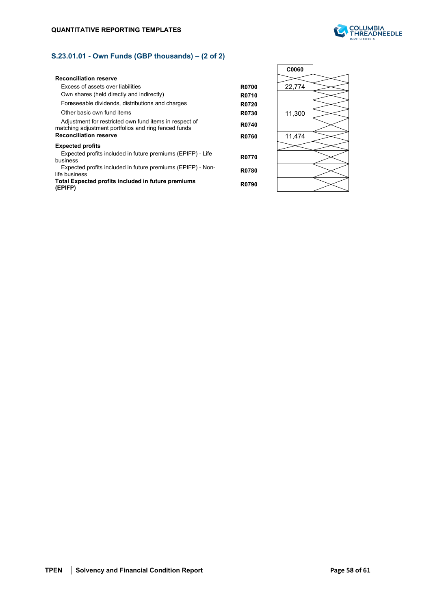

# **S.23.01.01 - Own Funds (GBP thousands) – (2 of 2)**

|                                                                                                                |              | C0060  |  |
|----------------------------------------------------------------------------------------------------------------|--------------|--------|--|
| <b>Reconciliation reserve</b>                                                                                  |              |        |  |
| Excess of assets over liabilities                                                                              | <b>R0700</b> | 22,774 |  |
| Own shares (held directly and indirectly)                                                                      | R0710        |        |  |
| Foreseeable dividends, distributions and charges                                                               | R0720        |        |  |
| Other basic own fund items                                                                                     | R0730        | 11.300 |  |
| Adjustment for restricted own fund items in respect of<br>matching adjustment portfolios and ring fenced funds | R0740        |        |  |
| <b>Reconciliation reserve</b>                                                                                  | R0760        | 11,474 |  |
| <b>Expected profits</b>                                                                                        |              |        |  |
| Expected profits included in future premiums (EPIFP) - Life<br>business                                        | <b>R0770</b> |        |  |
| Expected profits included in future premiums (EPIFP) - Non-<br>life business                                   | <b>R0780</b> |        |  |
| Total Expected profits included in future premiums<br>(EPIFP)                                                  | R0790        |        |  |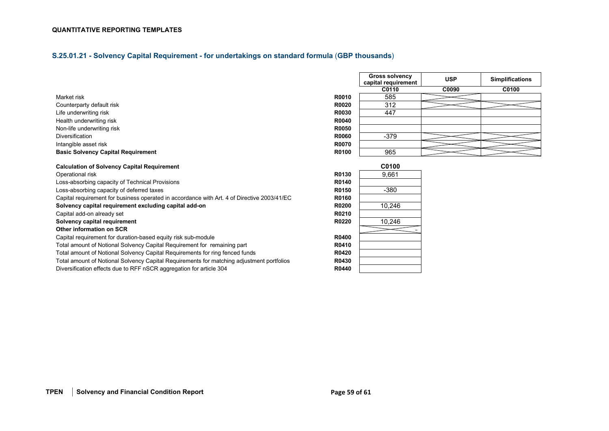# **S.25.01.21 - Solvency Capital Requirement - for undertakings on standard formula** (**GBP thousands**)

|                                                                                             |              | <b>Gross solvency</b><br>capital requirement | <b>USP</b> | <b>Simplifications</b> |
|---------------------------------------------------------------------------------------------|--------------|----------------------------------------------|------------|------------------------|
|                                                                                             |              | C0110                                        | C0090      | C0100                  |
| Market risk                                                                                 | <b>R0010</b> | 585                                          |            |                        |
| Counterparty default risk                                                                   | R0020        | 312                                          |            |                        |
| Life underwriting risk                                                                      | <b>R0030</b> | 447                                          |            |                        |
| Health underwriting risk                                                                    | R0040        |                                              |            |                        |
| Non-life underwriting risk                                                                  | R0050        |                                              |            |                        |
| <b>Diversification</b>                                                                      | R0060        | $-379$                                       |            |                        |
| Intangible asset risk                                                                       | R0070        |                                              |            |                        |
| <b>Basic Solvency Capital Requirement</b>                                                   | R0100        | 965                                          |            |                        |
|                                                                                             |              |                                              |            |                        |
| <b>Calculation of Solvency Capital Requirement</b>                                          |              | C0100                                        |            |                        |
| Operational risk                                                                            | R0130        | 9,661                                        |            |                        |
| Loss-absorbing capacity of Technical Provisions                                             | R0140        |                                              |            |                        |
| Loss-absorbing capacity of deferred taxes                                                   | R0150        | $-380$                                       |            |                        |
| Capital requirement for business operated in accordance with Art. 4 of Directive 2003/41/EC | <b>R0160</b> |                                              |            |                        |
| Solvency capital requirement excluding capital add-on                                       | R0200        | 10,246                                       |            |                        |
| Capital add-on already set                                                                  | R0210        |                                              |            |                        |
| Solvency capital requirement                                                                | R0220        | 10,246                                       |            |                        |
| Other information on SCR                                                                    |              |                                              |            |                        |
| Capital requirement for duration-based equity risk sub-module                               | R0400        |                                              |            |                        |
| Total amount of Notional Solvency Capital Requirement for remaining part                    | R0410        |                                              |            |                        |
| Total amount of Notional Solvency Capital Requirements for ring fenced funds                | R0420        |                                              |            |                        |
| Total amount of Notional Solvency Capital Requirements for matching adjustment portfolios   | R0430        |                                              |            |                        |
| Diversification effects due to RFF nSCR aggregation for article 304                         | <b>R0440</b> |                                              |            |                        |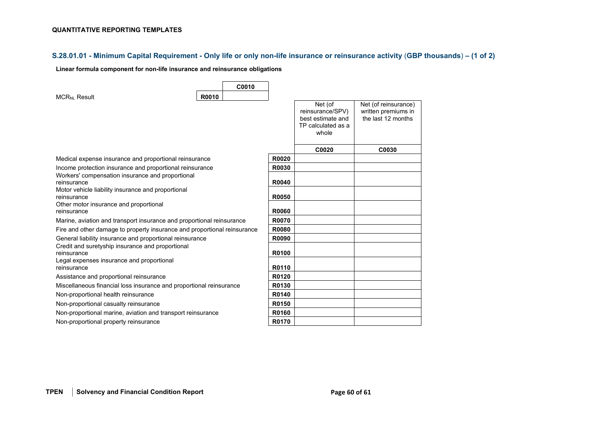#### **QUANTITATIVE REPORTING TEMPLATES**

## **S.28.01.01 - Minimum Capital Requirement - Only life or only non-life insurance or reinsurance activity** (**GBP thousands**) **– (1 of 2)**

**Linear formula component for non-life insurance and reinsurance obligations**

|                                                                          |              | C0010 |              |                                                                                 |                                                                   |
|--------------------------------------------------------------------------|--------------|-------|--------------|---------------------------------------------------------------------------------|-------------------------------------------------------------------|
| <b>MCR<sub>NL</sub></b> Result                                           | <b>R0010</b> |       |              |                                                                                 |                                                                   |
|                                                                          |              |       |              | Net (of<br>reinsurance/SPV)<br>best estimate and<br>TP calculated as a<br>whole | Net (of reinsurance)<br>written premiums in<br>the last 12 months |
|                                                                          |              |       |              | C0020                                                                           | C0030                                                             |
| Medical expense insurance and proportional reinsurance                   |              |       | R0020        |                                                                                 |                                                                   |
| Income protection insurance and proportional reinsurance                 |              |       | R0030        |                                                                                 |                                                                   |
| Workers' compensation insurance and proportional<br>reinsurance          |              |       | R0040        |                                                                                 |                                                                   |
| Motor vehicle liability insurance and proportional<br>reinsurance        |              |       | <b>R0050</b> |                                                                                 |                                                                   |
| Other motor insurance and proportional<br>reinsurance                    |              |       | <b>R0060</b> |                                                                                 |                                                                   |
| Marine, aviation and transport insurance and proportional reinsurance    |              |       | <b>R0070</b> |                                                                                 |                                                                   |
| Fire and other damage to property insurance and proportional reinsurance |              |       | <b>R0080</b> |                                                                                 |                                                                   |
| General liability insurance and proportional reinsurance                 |              |       | R0090        |                                                                                 |                                                                   |
| Credit and suretyship insurance and proportional<br>reinsurance          |              |       | R0100        |                                                                                 |                                                                   |
| Legal expenses insurance and proportional<br>reinsurance                 |              |       | R0110        |                                                                                 |                                                                   |
| Assistance and proportional reinsurance                                  |              |       | R0120        |                                                                                 |                                                                   |
| Miscellaneous financial loss insurance and proportional reinsurance      |              |       | R0130        |                                                                                 |                                                                   |
| Non-proportional health reinsurance                                      |              |       | R0140        |                                                                                 |                                                                   |
| Non-proportional casualty reinsurance                                    |              |       | R0150        |                                                                                 |                                                                   |
| Non-proportional marine, aviation and transport reinsurance              |              |       | <b>R0160</b> |                                                                                 |                                                                   |
| Non-proportional property reinsurance                                    |              |       | R0170        |                                                                                 |                                                                   |